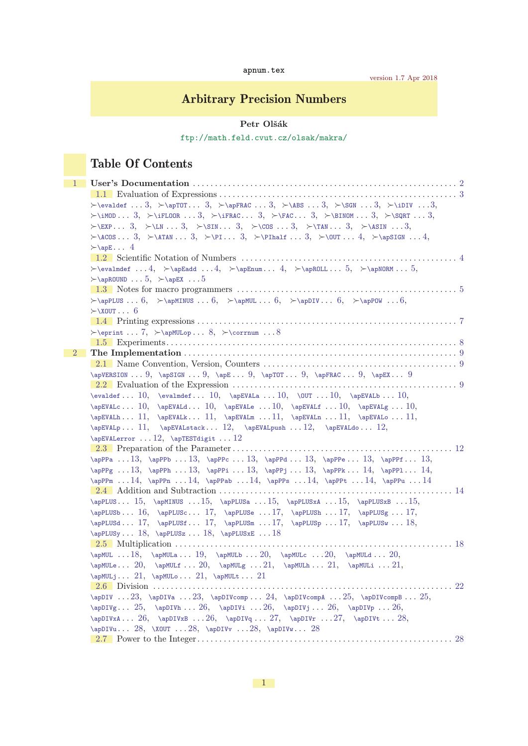| apnum.tex |  |  |  |
|-----------|--|--|--|
|-----------|--|--|--|

# Arbitrary Precision Numbers

Petr Olšák

<ftp://math.feld.cvut.cz/olsak/makra/>

# Table Of Contents

| 1           |                                                                                                                                                                                                                                                                                                                                                                                                                                  |
|-------------|----------------------------------------------------------------------------------------------------------------------------------------------------------------------------------------------------------------------------------------------------------------------------------------------------------------------------------------------------------------------------------------------------------------------------------|
|             |                                                                                                                                                                                                                                                                                                                                                                                                                                  |
|             | $\label{eq:2} $$\leval def \dots 3, \geq TOT \dots 3, \geq FRC \dots 3, \geq S \dots 3, \geq S \dots 3, \geq S \dots 3, \geq S \dots 3, \geq S \dots 3, \geq S \dots 3, \geq S \dots 3, \geq S \dots 3, \geq S \dots 3, \geq S \dots 3, \geq S \dots 3, \geq S \dots 3, \geq S \dots 3, \geq S \dots 3, \geq S \dots 3, \geq S \dots 3, \geq S \dots 3, \geq S \dots 3, \geq S \dots 3, \geq S \dots 3, \geq$                    |
|             | $\verb \iMDD 3,  \iFLOR 3,  \iFRAC 3,  \iFRAC 3,  \iFRAC 3,  \iFRAC 3,  \iFRAC 3,  \iFRAC 3,  \iFRAC 3,  \iFRAC 3,  \iFRAC 3,  \iFRAC 3,  \iFRAC 3,  \iFRAC 3,  \iFRAC 3,  \iFRAC 3,  \iFRAC 3,  \iFRAC 3,  \iFRAC 3,  \iFRAC 3,  \iFRAC 3,  \iFRAC 3,  \iFRAC 3,  \iFRAC 3,  \iFRAC 3,  \iFRAC 3,  \iFRAC 3,  \i$                                                                                                               |
|             | $\searrow$ EXP 3, $\searrow$ LN  3, $\searrow$ SIN 3, $\searrow$ COS  3, $\searrow$ TAN 3, $\searrow$ ASIN  3,                                                                                                                                                                                                                                                                                                                   |
|             | $\lambda$ (COS 3, $\lambda$ ) $\lambda$ TAN 3, $\lambda$ ) $\lambda$ $\lambda$ , $\lambda$ , $\lambda$ , $\lambda$ , $\lambda$ , $\lambda$ , $\lambda$ , $\lambda$ , $\lambda$ , $\lambda$ , $\lambda$ , $\lambda$ , $\lambda$ , $\lambda$ , $\lambda$ , $\lambda$ , $\lambda$ , $\lambda$ , $\lambda$ , $\lambda$ , $\lambda$ , $\lambda$ , $\lambda$ , $\lambda$ , $\lambda$ , $\lambda$ , $\lambda$ , $\lambda$ , $\lambda$ , |
|             | $\succ$ \apE 4                                                                                                                                                                                                                                                                                                                                                                                                                   |
|             |                                                                                                                                                                                                                                                                                                                                                                                                                                  |
|             | $\label{lem:main} $$\levalmdef  4, \geqRad 4, \geqEmum 4, \geqROLL 5, \geqNORM 5, $$$                                                                                                                                                                                                                                                                                                                                            |
|             | $\rightarrow$ \apROUND 5, $\rightarrow$ \apEX 5                                                                                                                                                                                                                                                                                                                                                                                  |
|             |                                                                                                                                                                                                                                                                                                                                                                                                                                  |
|             | $\rightarrow$ CapPLUS  6, $\rightarrow$ CapMINUS  6, $\rightarrow$ CapPLUS  6, $\rightarrow$ CapPLUS  6, $\rightarrow$ CapPLUS  6,                                                                                                                                                                                                                                                                                               |
|             | $\succ$ \XOUT 6                                                                                                                                                                                                                                                                                                                                                                                                                  |
|             |                                                                                                                                                                                                                                                                                                                                                                                                                                  |
|             | $\epsilon$ 7, $\alpha$ 8, $\epsilon$ 8                                                                                                                                                                                                                                                                                                                                                                                           |
|             |                                                                                                                                                                                                                                                                                                                                                                                                                                  |
| $2^{\circ}$ |                                                                                                                                                                                                                                                                                                                                                                                                                                  |
|             |                                                                                                                                                                                                                                                                                                                                                                                                                                  |
|             | $\verb \approx9, \approx5IGN9, \approx69, \approx70T9, \approx67.9$                                                                                                                                                                                                                                                                                                                                                              |
|             |                                                                                                                                                                                                                                                                                                                                                                                                                                  |
|             | $\v{a} f \rightarrow 10$ , $\v{a} f \rightarrow 10$ , $\v{b} f \rightarrow 10$ , $\v{b} f \rightarrow 10$ , $\v{b} f \rightarrow 10$ , $\v{b} f \rightarrow 10$ , $\v{c} f \rightarrow 10$ , $\v{d} f \rightarrow 10$ , $\v{d} f \rightarrow 10$ , $\v{e} f \rightarrow 10$ , $\v{d} f \rightarrow 10$ , $\v{e} f \rightarrow 10$ , $\v{f} \rightarrow 10$ , $\v{f} \rightarrow 10$ , $\v{f} \rightarrow 10$ ,                   |
|             | $\Delta$ 10, $\Delta$ 10, $\Delta$ 10, $\Delta$ 10, $\Delta$ 10, $\Delta$ $\Delta$ 10, $\Delta$                                                                                                                                                                                                                                                                                                                                  |
|             | $\alpha$ 11, $\alpha$ EVAL $\alpha$ 11, $\alpha$ EVAL $\alpha$ 11, $\alpha$ EVAL $\alpha$ 11, $\alpha$                                                                                                                                                                                                                                                                                                                           |
|             | $\apEVALv1, \apEVALv1, \apEVALv1, \apEVALv2, \apEVALv2, \apEVALv2, \apEVALv2, \apEVALv2, \apEVALv2, \apEVALv2, \apEVALv2, \apEVALv2, \apEVALv2, \apEVALv2, \apEVALv2, \apEVALv2, \apEVALv2, \apEVALv2, \apEVALv2, \apEVALv2, \apEVALv2, \apEVALv2, \apEVALv2, \apEVALv2, \apEVALv2, \apEVALv2, \apEVALv2, \apEVALv2, \apEVALv2, \apEVALv2, \apEVALv2, \apE$<br>$\apEVALerror$ 12, $\apTESTdigit$ 12                              |
|             |                                                                                                                                                                                                                                                                                                                                                                                                                                  |
|             | \apPPa  13, \apPPb  13, \apPPc  13, \apPPd  13, \apPPe  13, \apPPf  13,                                                                                                                                                                                                                                                                                                                                                          |
|             | $\alpha$ 13, $\alpha$ PPh13, $\alpha$ PPi13, $\alpha$ PPFj13, $\alpha$ PPR14, $\alpha$ PPPg14,                                                                                                                                                                                                                                                                                                                                   |
|             | $\alpha$ 14, $\alpha$ , 14, $\alpha$ , 14, $\alpha$ , 14, $\alpha$ , 14, $\alpha$ , 14, $\alpha$ , 14, $\alpha$ , 14                                                                                                                                                                                                                                                                                                             |
|             |                                                                                                                                                                                                                                                                                                                                                                                                                                  |
|             | \apPLUS 15, \apMINUS  15, \apPLUSa  15, \apPLUSxA  15, \apPLUSxB  15,                                                                                                                                                                                                                                                                                                                                                            |
|             | $\apPLUSb 16, \apPLUSc 17, \apPLUSe 17, \apPLUSh 17, \apPLUSg 17,$                                                                                                                                                                                                                                                                                                                                                               |
|             | $\apPLUSd \ldots 17, \apPLUSf \ldots 17, \apPLUSm \ldots 17, \apPLUSp \ldots 18,$                                                                                                                                                                                                                                                                                                                                                |
|             | $\apPLUSy \ldots 18, \apPLUSz \ldots 18, \apPLUSxE \ldots 18$                                                                                                                                                                                                                                                                                                                                                                    |
|             |                                                                                                                                                                                                                                                                                                                                                                                                                                  |
|             | $\alpha \ldots 18$ , $\ap{MULa \ldots 19}$ , $\ap{MULb \ldots 20}$ , $\ap{MULc \ldots 20}$ , $\ap{MULd \ldots 20}$                                                                                                                                                                                                                                                                                                               |
|             | $\alpha \ldots 20$ , $\alpha \ldots 21$ , $\alpha \ldots 21$ , $\alpha \ldots 21$ ,                                                                                                                                                                                                                                                                                                                                              |
|             | $\alpha_1 \ldots 21$ , $\alpha_2 \ldots 21$ , $\alpha_3 \ldots 21$                                                                                                                                                                                                                                                                                                                                                               |
|             |                                                                                                                                                                                                                                                                                                                                                                                                                                  |
|             | $\alpha$ 23, $\alpha$ ,23, $\alpha$ ,23, $\alpha$ ,24, $\alpha$ ,25, $\alpha$ ,25, $\alpha$ 25,                                                                                                                                                                                                                                                                                                                                  |
|             | $\alpha$ 25, $\alpha$ DIVh 26, $\alpha$ DIVi 26, $\alpha$ DIVj 26, $\alpha$ DIVp 26,                                                                                                                                                                                                                                                                                                                                             |
|             | $\verb+\apDIVxA 26, \apDIVxB 26, \apDIVq 27, \apDIVr 27, \apDIVt 28,$                                                                                                                                                                                                                                                                                                                                                            |
|             | \apDIVu $28$ , \XOUT $28$ , \apDIVv $28$                                                                                                                                                                                                                                                                                                                                                                                         |
|             |                                                                                                                                                                                                                                                                                                                                                                                                                                  |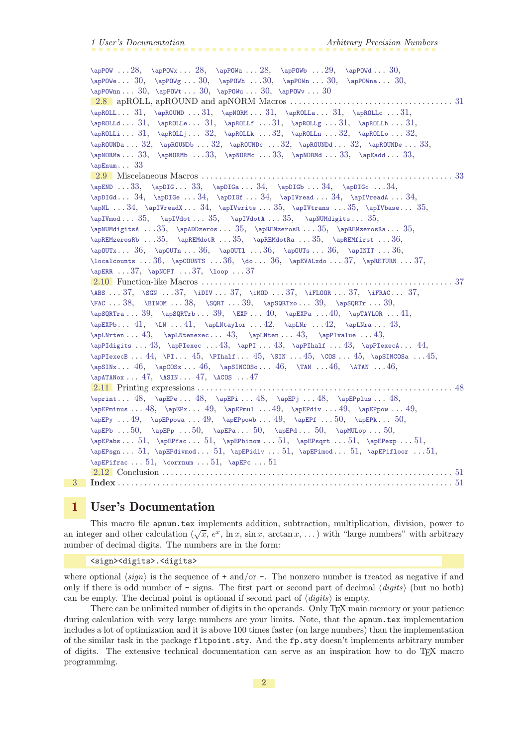```
\alpha28, \aprow . . . 28, \aprow . . . 28, \aprow29, \aprow30,
         \alpha30, 30, \ap{POWh ... 30, \ap{POWn ... 30, \ap{POWn ... 30, \ap{POWn ... 30, \ap{POWn ... 30, \ap{POWn ... 30, \ap{POWn ... 30, \ap{POWn ... 30, \ap{POWn ... 30, \ap{POWn ... 30, \ap{POWn ... 30, \ap{POWn ... 30, \ap{POWn ... 30, \ap{POWn ... 30, \ap{POWn ... 30, \ap{POWn ... 30, \ap{POWn ... 30, \ap{POWn ... 30,\apPOWnn30,\apPOWt\apPOWu30\apPOWv \ldots 302.8 apROLL, apROUND and apNORM Macros . . . . . . . . . . . . . . . . . . . . . . . . . . . . . . . . . . . . . 31
         \alpha31, \ap{\alpha\alpha. . . 31, \ap{\alpha}, 31, \ap{\alpha}, 31, \ap{\alpha}31,31, \ap{\alpha \ldots 31, \ap{\alpha \ldots 31, \ap{\alpha \ldots 31, \ap{\alpha \ldots 31, \ap{\alpha \ldots 31, \ap{\alpha \ldots 31, \ap{\alpha \ldots 31, \ap{\alpha \ldots 31, \ap{\alpha \ldots 31, \ap{\alpha \ldots 31, \ap{\alpha \ldots 31, \ap{\alpha \ldots 31, \ap{\alpha \ldots 31, \ap{\alpha \ldots 31, \ap{\alpha \ldots 31, \ap{\alpha \ldots 31, \ap{\alpha \ldots 31, \ap{\alpha \ldots 31,\alpha31, \alpha32, \alpha32, \alpha, 32, \alpha, 32, \alpha, 32, \alpha. 32,
         \aDROUNDa . . . 32, apROUNDb . . . 32, apROUNDd . . . 33, apROUNDe . . . 33,
         \alpha33, \apNORMo33, \apNORMc . . 33, \apNORMd . . . 33, \apRadd . . . 33,
         \alpha33
         2.9 Miscelaneous Macros . . . . . . . . . . . . . . . . . . . . . . . . . . . . . . . . . . . . . . . . . . . . . . . . . . . . . . . . . 33
         \apEND333434, \apDIS. . . . 34, \apDIS. . . . 34, \apDIS. . . . 34, \apDIS. . . . 34, \apDIS. . . . 34, \apDIS. . . . . 34, \apDIS. . . . . 34,\apDIGd34\apDIGe34,\apDIGf\apIVread ... 34, \apIVread. ... 34,34,35,35, \approx 35, \approx 35, \approx 35, \approx 35, \approx 35, \approx 35, \approx 35, \approx 35, \approx 35, \approx 35, \approx 35, \approx 35, \approx 35, \approx 35, \approx 35, \approx 35, \approx 35, \approx 35, \approx 35, \approx 35, \approx 35, \approx 35, \approx 35, \approx 35, \approx 35, \approx 35, \approx 35, \approx 35, \approx 35, \approx 35, \approx 35, \approx 35, \approx\alpha35, \ap{IVmod... 35, \ap{IVdot... 35, \ap{IVmod... 35, \ap{IVdot... 35, \ap{IVdot... 35, \ap{IVdot... 35, \ap{IVdot... 35, \ap{IVdot... 35, \ap{IVdot... 35, \ap{IVdot... 35, \ap{IVdot... 35, \ap{IVdot... 35, \ap{IVdot... 35, \ap{IVdot... 35, \ap{IVdot... 35, \ap{IVdot... 35, \ap{IVdot... 35, \ap{IVdot... 35, \ap{IVdot... 35\apNUMdigitsA35,\apADDzeros35\apREMzerosR\apREMzerosRa ... 35,
         \apREMzerosRb35,\apREMdotR35\apREMdotRa\apREMfirst36,3636, \ap{OUTn ... 36, \ap{OUTs ... 36, \ap{InHT} ... 36, \ap{OUTs ... 36, \ap{InHT} ... 36, \ap{OUTs ... 36, \ap{InHT} ... 36, \ap{OUTs ... 36, \ap{InHT} ... 36, \ap{OUTs ... 36, \ap{InHT} ... 36, \ap{OUTs ... 36, \ap{InHT} ... 36, \ap{OUTs ... 36, \ap{InHT} ... 36, \ap{OUTs ... 36, \ap{InHT} ... 36, \ap{OUTs ... 36,\lozenge36, \qquad \ldots36, \qquad \ldots 36, \geq37, \geqETURN ... 37,
         \alpha37, \alpha . . . 37, \lozenge . . . 37
         2.10 Function-like Macros . . . . . . . . . . . . . . . . . . . . . . . . . . . . . . . . . . . . . . . . . . . . . . . . . . . . . . . . . 37
         \ABS37, \SB37, \IFLOOR . . . 37, \IFRAC . . . 37, \IFRAC . . . 37,
         \FAC \ldots 38, \BINOM \ldots 38, \SQRT39, \apsQRTx39, \apsQRTr \ldots 39\ap{\\alpha41, \L{M ... 41}, \alpha42, \alpha43,
         \alpha43, \alpha43, \alpha.. 43, \alpha.. 43, \alpha.. 43,
         4343,44,\apPIexecB44\PI4545,\SIN ... 45, \cap SINCOS ... 45, \apSINCOS a ... 45,\apSINx46\apCOSx46,\apSINCOSo \ldots 46, \arAN \ldots 46, \arAN \ldots 46,\aph{TANOx47, ASIN47, ACOS . . . 47
         2.11 Printing expressions . . . . . . . . . . . . . . . . . . . . . . . . . . . . . . . . . . . . . . . . . . . . . . . . . . . . . . . . . . 48
         \eprint48\apEPe\apEPi48,\apEPj\apEPplus . . . 48,
         \apEPminus48\apEPx49\apEPmul49,\apEPdiv\apEPpow ... 49,\apEPy4949,50, \apEPR... 50,\alpha50, \alpha50, \alpha, . . 50, \alpha, . . 50, \alpha, . . 50,
         \apEPabs51,51, \apEPerger \ldots 51, \apEPerger \ldots 51,\apEPsgn51,51, \apEPinod \ldots 51, \apEPiiv \ldots 51, \abla Pifloor \ldots 51, \abla Pifloor \ldots 51, \abla Pifloor \ldots 51, \abla Pifloor \ldots 51, \abla Pifloor \ldots 51, \abla Pifloor \ldots 51, \abla Pifloor \ldots 51, \abla Pifloor \ldots 51, \abla Pifloor \ldots 51, \abla Pifloor \ldots 51, \abla Pifloor \ldots 51, \abla Pifloor \ldots 51, \abla P\emptyset. 51, \overline{51}, 51, \overline{51}2.12 Conclusion . . . . . . . . . . . . . . . . . . . . . . . . . . . . . . . . . . . . . . . . . . . . . . . . . . . . . . . . . . . . . . . . . . 51
3 Index . . . . . . . . . . . . . . . . . . . . . . . . . . . . . . . . . . . . . . . . . . . . . . . . . . . . . . . . . . . . . . . . . . . . . . . . . . . . 51
```
#### <span id="page-1-0"></span>1 User's Documentation

This macro file apnum.tex implements addition, subtraction, multiplication, division, power to This macro me applied. Lex implements addition, subtraction, multiplication, division, power to<br>an integer and other calculation ( $\sqrt{x}$ ,  $e^x$ ,  $\ln x$ ,  $\sin x$ ,  $\arctan x$ , ...) with "large numbers" with arbitrary number of decimal digits. The numbers are in the form:

<sign><digits>.<digits>

where optional  $\langle sign \rangle$  is the sequence of + and/or -. The nonzero number is treated as negative if and only if there is odd number of  $-$  signs. The first part or second part of decimal  $\langle diqits \rangle$  (but no both) can be empty. The decimal point is optional if second part of  $\langle \text{digits} \rangle$  is empty.

There can be unlimited number of digits in the operands. Only T<sub>E</sub>X main memory or your patience during calculation with very large numbers are your limits. Note, that the apnum.tex implementation includes a lot of optimization and it is above 100 times faster (on large numbers) than the implementation of the similar task in the package fltpoint.sty. And the fp.sty doesn't implements arbitrary number of digits. The extensive technical documentation can serve as an inspiration how to do T<sub>E</sub>X macro programming.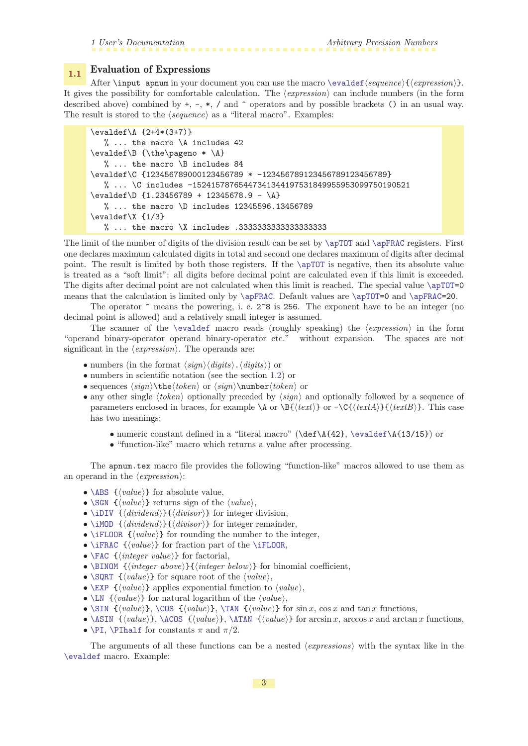# <span id="page-2-1"></span><span id="page-2-0"></span>1.1 Evaluation of Expressions

After \input apnum in your document you can use the macro [\evaldef](#page-9-0){sequence}{{expression}}. It gives the possibility for comfortable calculation. The  $\langle expression \rangle$  can include numbers (in the form described above) combined by  $+$ ,  $-$ ,  $*$ ,  $/$  and  $\hat{ }$  operators and by possible brackets () in an usual way. The result is stored to the  $\langle sequence \rangle$  as a "literal macro". Examples:

```
\evaldef\A {2+4*(3+7)}
   % ... the macro \A includes 42
\evaldef\B {\the\pageno * \A}
   % ... the macro \B includes 84
\evaldef\C {123456789000123456789 * -123456789123456789123456789}
   % ... \C includes -15241578765447341344197531849955953099750190521
\text{evaldef}\D \{1.23456789 + 12345678.9 - \A\}% ... the macro \D includes 12345596.13456789
\evaldef\X {1/3}
   % ... the macro \X includes .3333333333333333333
```
The limit of the number of digits of the division result can be set by [\apTOT](#page-8-6) and [\apFRAC](#page-8-7) registers. First one declares maximum calculated digits in total and second one declares maximum of digits after decimal point. The result is limited by both those registers. If the [\apTOT](#page-8-6) is negative, then its absolute value is treated as a "soft limit": all digits before decimal point are calculated even if this limit is exceeded. The digits after decimal point are not calculated when this limit is reached. The special value [\apTOT=](#page-8-6)0 means that the calculation is limited only by  $\ap{FRAC. Default values are \ap{DTOT=0 and \ap{FRAC=20.$ 

The operator  $\hat{\ }$  means the powering, i. e. 2 $\hat{\ }$  is 256. The exponent have to be an integer (no decimal point is allowed) and a relatively small integer is assumed.

The scanner of the [\evaldef](#page-9-0) macro reads (roughly speaking) the  $\langle expression \rangle$  in the form "operand binary-operator operand binary-operator etc." without expansion. The spaces are not significant in the  $\langle expression \rangle$ . The operands are:

- numbers (in the format  $\langle sign \rangle \langle digits \rangle$ .  $\langle digits \rangle$ ) or
- numbers in scientific notation (see the section [1.2](#page-3-4)) or
- sequences  $\langle \sigma \rangle$  or  $\langle \sigma \rangle$  or  $\langle \sigma \rangle$  or
- any other single  $\langle token \rangle$  optionally preceded by  $\langle sign \rangle$  and optionally followed by a sequence of parameters enclosed in braces, for example  $\A$  or  $\Bbbk({text})$  or  $-\C({text{text})}{\Theta}$ . This case has two meanings:
	- numeric constant defined in a "literal macro" (\def\A{42}, [\evaldef\](#page-9-0)A{13/15}) or
	- "function-like" macro which returns a value after processing.

The apnum.tex macro file provides the following "function-like" macros allowed to use them as an operand in the  $\langle expression \rangle$ :

- <span id="page-2-5"></span>•  $\Delta$ BS  $\{value\}$  for absolute value,
- <span id="page-2-6"></span>• [\SGN](#page-36-8)  $\{value\}$ } returns sign of the  $\langle value \rangle$ ,
- <span id="page-2-7"></span>• [\iDIV](#page-36-9)  $\{\langle \text{dividend} \rangle\}$  for integer division,
- <span id="page-2-8"></span>• [\iMOD](#page-36-10)  $\{\langle \text{dividend} \rangle\}$  for integer remainder,
- <span id="page-2-9"></span>• [\iFLOOR](#page-36-11)  $\{value\}$  for rounding the number to the integer,
- <span id="page-2-10"></span>• [\iFRAC](#page-36-12)  $\{value\}$  for fraction part of the [\iFLOOR](#page-36-11),
- <span id="page-2-11"></span>• [\FAC](#page-37-0)  $\{\langle integer \ value\rangle\}$  for factorial,
- <span id="page-2-12"></span>• [\BINOM](#page-37-2)  ${\langle integer above\rangle}\}{\langle integer below\rangle}$  for binomial coefficient,
- <span id="page-2-13"></span>•  $\SQRT \ {\langle value \rangle\}$  $\SQRT \ {\langle value \rangle\}$  for square root of the  $\langle value \rangle$ ,
- <span id="page-2-14"></span>•  $\E{value}$  { $\{value\}$ } applies exponential function to  $\{value\}$ ,
- <span id="page-2-15"></span>•  $\langle \text{U} \mid \{ \text{value} \rangle \}$  for natural logarithm of the  $\langle \text{value} \rangle$ ,
- <span id="page-2-16"></span>• [\SIN](#page-44-3)  $\{\langle value \rangle\}$ , [\COS](#page-44-4)  $\{\langle value \rangle\}$ , [\TAN](#page-45-4)  $\{\langle value \rangle\}$  for sin x, cos x and tan x functions,
- <span id="page-2-17"></span>• [\ASIN](#page-46-2)  $\{value\}$ , [\ACOS](#page-46-3)  $\{\langle value \rangle\}$ , [\ATAN](#page-45-5)  $\{\langle value \rangle\}$  for arcsin x, arccos x and arctan x functions,
- <span id="page-2-18"></span>• [\PI](#page-44-0), [\PIhalf](#page-44-2) for constants  $\pi$  and  $\pi/2$ .

The arguments of all these functions can be a nested  $\langle expressions \rangle$  with the syntax like in the [\evaldef](#page-9-0) macro. Example: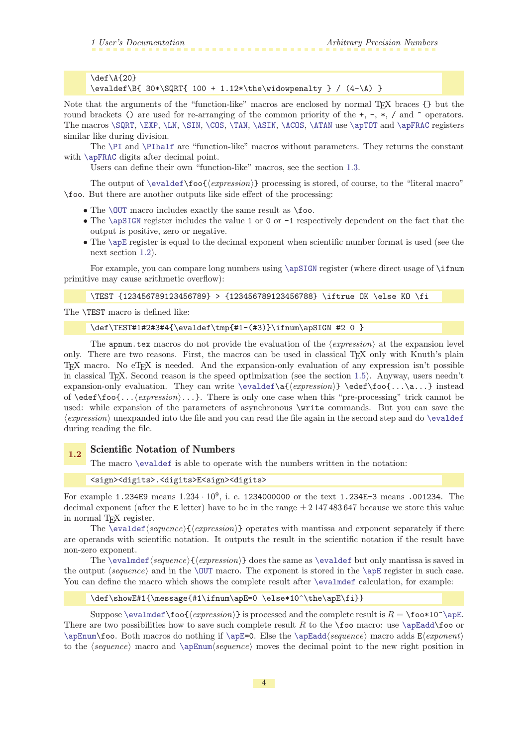<span id="page-3-1"></span>\def\A{20} \evaldef\B{ 30\*\SQRT{ 100 + 1.12\*\the\widowpenalty } / (4-\A) }

Note that the arguments of the "function-like" macros are enclosed by normal T<sub>EX</sub> braces {} but the round brackets () are used for re-arranging of the common priority of the  $+$ ,  $-$ ,  $*$ ,  $/$  and  $\hat{ }$  operators. The macros [\SQRT](#page-38-0), [\EXP](#page-39-0), [\LN](#page-40-3), [\SIN](#page-44-3), [\COS](#page-44-4), [\TAN](#page-45-4), [\ASIN](#page-46-2), [\ACOS](#page-46-3), [\ATAN](#page-45-5) use [\apTOT](#page-8-6) and [\apFRAC](#page-8-7) registers similar like during division.

The [\PI](#page-44-0) and [\PIhalf](#page-44-2) are "function-like" macros without parameters. They returns the constant with [\apFRAC](#page-8-7) digits after decimal point.

Users can define their own "function-like" macros, see the section [1.3.](#page-4-5)

The output of  $\evaldef\footnotesize\{expression\}$  $\evaldef\footnotesize\{expression\}$  processing is stored, of course, to the "literal macro" \foo. But there are another outputs like side effect of the processing:

- <span id="page-3-0"></span>• The \CUT macro includes exactly the same result as \foo.
- <span id="page-3-2"></span>• The [\apSIGN](#page-8-4) register includes the value 1 or 0 or -1 respectively dependent on the fact that the output is positive, zero or negative.
- <span id="page-3-3"></span>• The [\apE](#page-8-5) register is equal to the decimal exponent when scientific number format is used (see the next section [1.2](#page-3-4)).

For example, you can compare long numbers using [\apSIGN](#page-8-4) register (where direct usage of \ifnum primitive may cause arithmetic overflow):

```
\TEST {123456789123456789} > {123456789123456788} \iftrue OK \else KO \fi
```
The \TEST macro is defined like:

\def\TEST#1#2#3#4{\evaldef\tmp{#1-(#3)}\ifnum\apSIGN #2 0 }

The apnum.tex macros do not provide the evaluation of the  $\langle expression \rangle$  at the expansion level only. There are two reasons. First, the macros can be used in classical T<sub>EX</sub> only with Knuth's plain TEX macro. No eTEX is needed. And the expansion-only evaluation of any expression isn't possible in classical TEX. Second reason is the speed optimization (see the section [1.5\)](#page-7-3). Anyway, users needn't expansion-only evaluation. They can write  $\evaldef\af{\expression} \cdot\dedef\foo{...}\a...$  $\evaldef\af{\expression} \cdot\dedef\foo{...}\a...$  instead of  $\ede{f}$ foo{... $\langle expression \rangle$ ...}. There is only one case when this "pre-processing" trick cannot be used: while expansion of the parameters of asynchronous \write commands. But you can save the  $\langle expression \rangle$  unexpanded into the file and you can read the file again in the second step and do \evalder during reading the file.

# <span id="page-3-4"></span>1.2 Scientific Notation of Numbers

The macro  $\operatorname{\backslash}\operatorname{\mathsf{evaldef}}$  is able to operate with the numbers written in the notation:

<sign><digits>.<digits>E<sign><digits>

For example 1.234E9 means  $1.234 \cdot 10^9$ , i. e. 1234000000 or the text 1.234E-3 means .001234. The decimal exponent (after the E letter) have to be in the range  $\pm 2147483647$  because we store this value in normal T<sub>E</sub>X register.

The [\evaldef](#page-9-0)  $\langle sequence\{\langle expression\}\rangle\}$  operates with mantissa and exponent separately if there are operands with scientific notation. It outputs the result in the scientific notation if the result have non-zero exponent.

<span id="page-3-5"></span>The [\evalmdef](#page-9-2)  $\{sequence\} {\{expression\}}$  does the same as [\evaldef](#page-9-0) but only mantissa is saved in the output  $\langle sequence \rangle$  and in the [\OUT](#page-9-4) macro. The exponent is stored in the [\apE](#page-8-5) register in such case. You can define the macro which shows the complete result after [\evalmdef](#page-9-2) calculation, for example:

<span id="page-3-7"></span><span id="page-3-6"></span>\def\showE#1{\message{#1\ifnum\apE=0 \else\*10^\the\apE\fi}}

Suppose [\evalmdef\](#page-9-2)foo{ $\langle expression \rangle$ } is processed and the complete result is  $R = \to \bullet^*10^ \text{E}$ . There are two possibilities how to save such complete result R to the  $\text{too macro: use } \ap{A\footnotesize{to or}}$  $\apEnum\footnotesize\$  $\apEnum\footnotesize\$ co. Both macros do nothing if  $\apE=0$  $\apE=0$ . Else the  $\apEadd\ \sequence$  $\apEadd\ \sequence$  macro adds  $E(exponen)$ to the  $\langle sequence \rangle$  macro and  $\langle sequence \rangle$  moves the decimal point to the new right position in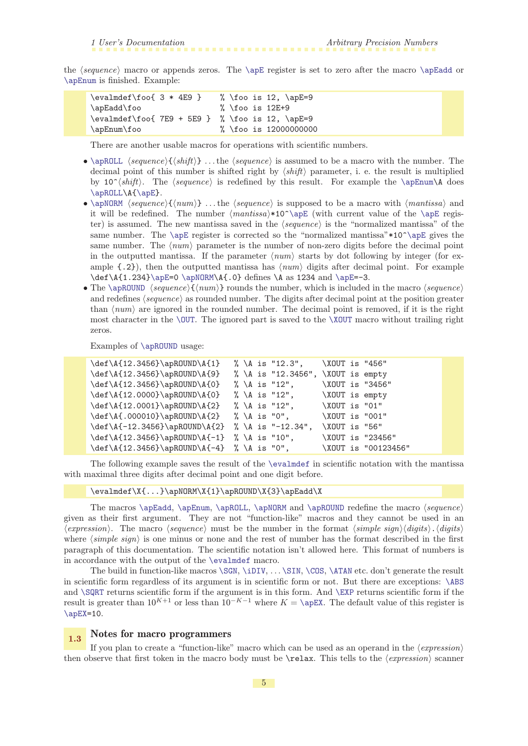<span id="page-4-1"></span>the  $\langle sequence \rangle$  macro or appends zeros. The  $\angle$  register is set to zero after the macro  $\angle$  apEadd or [\apEnum](#page-32-7) is finished. Example:

| \evalmdef\foo{ 3 * 4E9 }                        | % \foo is 12, $\ap{\angle}apE=9$ |
|-------------------------------------------------|----------------------------------|
| \apEadd\foo                                     | % \foo is 12E+9                  |
| \evalmdef\foo{ 7E9 + 5E9 } % \foo is 12, \apE=9 |                                  |
| \apEnum\foo                                     | % \foo is 12000000000            |

There are another usable macros for operations with scientific numbers.

- <span id="page-4-0"></span>• [\apROLL](#page-30-2)  $\langle sequence \{ \shtit \} \dots$  the  $\langle sequence \rangle$  is assumed to be a macro with the number. The decimal point of this number is shifted right by  $\langle shift \rangle$  parameter, i. e. the result is multiplied by 10<sup> $\gamma$ </sup>(*shift*). The (*sequence*) is redefined by this result. For example the **[\apEnum\](#page-32-7)A** does [\apROLL](#page-30-2)\A[{\apE](#page-8-5)}.
- <span id="page-4-2"></span>• [\apNORM](#page-30-4)  $\langle sequence\rangle{\{\langle num\rangle\}} \dots$  the  $\langle sequence\rangle$  is supposed to be a macro with  $\langle mantissa\rangle$  and it will be redefined. The number  $\{mantissa\}\$ 10<sup> $\alpha$ </sup> apE (with current value of the [\apE](#page-8-5) register) is assumed. The new mantissa saved in the  $\langle sequence \rangle$  is the "normalized mantissa" of the same number. The  $\apadesuit$  register is corrected so the "normalized mantissa" $*10^ \apadesuit$  gives the same number. The  $\langle num \rangle$  parameter is the number of non-zero digits before the decimal point in the outputted mantissa. If the parameter  $\langle num \rangle$  starts by dot following by integer (for example  $\{.2\}$ , then the outputted mantissa has  $\langle num \rangle$  digits after decimal point. For example  $\def\{1.234}\apE=0 \ap\normalsize\nA 234 and \apE=-3.$  $\def\{1.234}\apE=0 \ap\normalsize\nA 234 and \apE=-3.$  $\def\{1.234}\apE=0 \ap\normalsize\nA 234 and \apE=-3.$  $\def\{1.234}\apE=0 \ap\normalsize\nA 234 and \apE=-3.$  $\def\{1.234}\apE=0 \ap\normalsize\nA 234 and \apE=-3.$
- <span id="page-4-3"></span>• The [\apROUND](#page-30-3) (sequence) $\{(num)\}$  rounds the number, which is included in the macro (sequence) and redefines  $\langle sequence \rangle$  as rounded number. The digits after decimal point at the position greater than  $\langle num \rangle$  are ignored in the rounded number. The decimal point is removed, if it is the right most character in the [\OUT](#page-9-4). The ignored part is saved to the [\XOUT](#page-27-3) macro without trailing right zeros.

Examples of [\apROUND](#page-30-3) usage:

| \def\A{12.3456}\apROUND\A{1}                      |  | % \A is "12.3",                   | \XOUT is "456" |                     |
|---------------------------------------------------|--|-----------------------------------|----------------|---------------------|
| \def\A{12.3456}\apROUND\A{9}                      |  | % \A is "12.3456", \XOUT is empty |                |                     |
| \def\A{12.3456}\apROUND\A{0}                      |  | % \A is "12",                     |                | \XOUT is "3456"     |
| \def\A{12.0000}\apROUND\A{0}                      |  | % \A is "12",                     | \XOUT is empty |                     |
| \def\A{12.0001}\apROUND\A{2}                      |  | % \A is "12",                     | \XOUT is "01"  |                     |
| $\def\A{.000010}\apRobNDD\A{2}$ % \A is "0",      |  |                                   | \XOUT is "001" |                     |
| $\def \A{-12.3456}\apRUND\A{2} % \A is "-12.34",$ |  |                                   | \XOUT is "56"  |                     |
| $\def\12.3456}\apROUND\A{-1} % \A is "10",$       |  |                                   |                | \XOUT is "23456"    |
| $\def\12.3456}\apRobNDD\A{-4} % \A is "0",$       |  |                                   |                | \XOUT is "00123456" |

The following example saves the result of the [\evalmdef](#page-9-2) in scientific notation with the mantissa with maximal three digits after decimal point and one digit before.

\evalmdef\X{...}\apNORM\X{1}\apROUND\X{3}\apEadd\X

The macros  $\aprel\phi$ ,  $\aprel\phi$ ,  $\aprel\phi$  and  $\aprel\phi$  redefine the macro  $\geq$ given as their first argument. They are not "function-like" macros and they cannot be used in an  $\langle expression \rangle$ . The macro  $\langle sequence \rangle$  must be the number in the format  $\langle simple \ sign \rangle \langle digits \rangle \cdot \langle digits \rangle$ where  $\langle simple\ sign\rangle$  is one minus or none and the rest of number has the format described in the first paragraph of this documentation. The scientific notation isn't allowed here. This format of numbers is in accordance with the output of the [\evalmdef](#page-9-2) macro.

The build in function-like macros [\SGN](#page-36-8), [\iDIV](#page-36-9), . . . [\SIN](#page-44-3), [\COS](#page-44-4), [\ATAN](#page-45-5) etc. don't generate the result in scientific form regardless of its argument is in scientific form or not. But there are exceptions: [\ABS](#page-36-7) and [\SQRT](#page-38-0) returns scientific form if the argument is in this form. And [\EXP](#page-39-0) returns scientific form if the result is greater than  $10^{K+1}$  or less than  $10^{-K-1}$  where  $K = \cap$ EX. The default value of this register is  $\alpha EX=10$ .

#### <span id="page-4-5"></span><span id="page-4-4"></span>1.3 Notes for macro programmers

If you plan to create a "function-like" macro which can be used as an operand in the  $\langle$ *expression* $\rangle$ then observe that first token in the macro body must be  $\text{relax}$ . This tells to the  $\langle expression \rangle$  scanner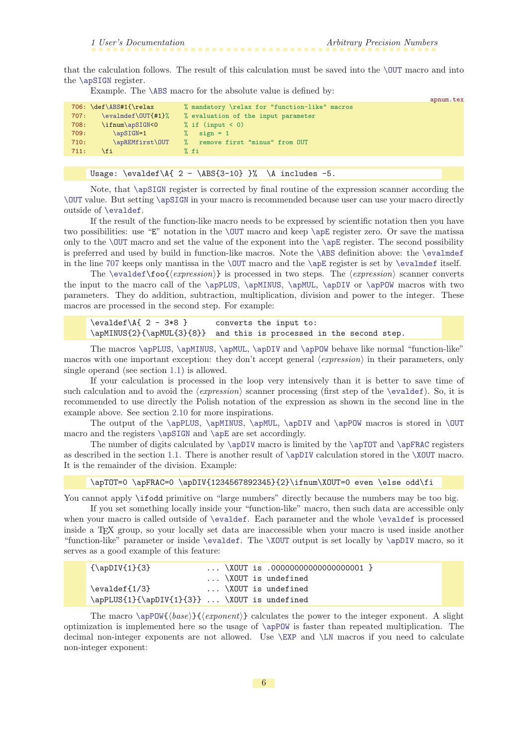<span id="page-5-5"></span><span id="page-5-4"></span>appear text

<span id="page-5-1"></span>that the calculation follows. The result of this calculation must be saved into the [\OUT](#page-9-4) macro and into the [\apSIGN](#page-8-4) register.

Example. The [\ABS](#page-36-7) macro for the absolute value is defined by:

<span id="page-5-7"></span>

|      |                           |                                               | aphum.cex |
|------|---------------------------|-----------------------------------------------|-----------|
|      | $706: \def\ABS#1{\relax}$ | % mandatory \relax for "function-like" macros |           |
| 707: | \evalmdef\OUT{#1}%        | % evaluation of the input parameter           |           |
| 708: | \ifnum\apSIGN<0           | % if $(\text{input} < 0)$                     |           |
| 709: | $\alpha$ sign=1           | $sign = 1$                                    |           |
| 710: | \apREMfirst\OUT           | remove first "minus" from OUT                 |           |
| 711: | <b>\fi</b>                | % fi                                          |           |
|      |                           |                                               |           |

Usage:  $\text{U}\$   $\{ 2 - \hbox{B}\$   $\}$   $\Lambda$  includes -5.

Note, that [\apSIGN](#page-8-4) register is corrected by final routine of the expression scanner according the [\OUT](#page-9-4) value. But setting [\apSIGN](#page-8-4) in your macro is recommended because user can use your macro directly outside of [\evaldef](#page-9-0).

If the result of the function-like macro needs to be expressed by scientific notation then you have two possibilities: use "E" notation in the [\OUT](#page-9-4) macro and keep [\apE](#page-8-5) register zero. Or save the matissa only to the [\OUT](#page-9-4) macro and set the value of the exponent into the [\apE](#page-8-5) register. The second possibility is preferred and used by build in function-like macros. Note the [\ABS](#page-36-7) definition above: the [\evalmdef](#page-9-2) in the line [707](#page-5-7) keeps only mantissa in the  $\OUT$  macro and the  $\ap{\angle \ap{\alpha}$  register is set by  $\eval{\bf{}$  itself.

The [\evaldef\](#page-9-0)foo{ $\langle expression \rangle$ } is processed in two steps. The  $\langle expression \rangle$  scanner converts the input to the macro call of the [\apPLUS](#page-14-0), [\apMINUS](#page-14-2), [\apMUL](#page-17-6), [\apDIV](#page-22-0) or [\apPOW](#page-27-7) macros with two parameters. They do addition, subtraction, multiplication, division and power to the integer. These macros are processed in the second step. For example:

<span id="page-5-3"></span><span id="page-5-2"></span><span id="page-5-0"></span>\evaldef\A{ 2 - 3\*8 } converts the input to: \apMINUS{2}{\apMUL{3}{8}} and this is processed in the second step.

The macros [\apPLUS](#page-14-0), [\apMINUS](#page-14-2), [\apMUL](#page-17-6), [\apDIV](#page-22-0) and [\apPOW](#page-27-7) behave like normal "function-like" macros with one important exception: they don't accept general  $\langle expression \rangle$  in their parameters, only single operand (see section [1.1](#page-2-0)) is allowed.

If your calculation is processed in the loop very intensively than it is better to save time of such calculation and to avoid the  $\langle expression \rangle$  scanner processing (first step of the [\evaldef](#page-9-0)). So, it is recommended to use directly the Polish notation of the expression as shown in the second line in the example above. See section [2.10](#page-36-6) for more inspirations.

The output of the [\apPLUS](#page-14-0), [\apMINUS](#page-14-2), [\apMUL](#page-17-6), [\apDIV](#page-22-0) and [\apPOW](#page-27-7) macros is stored in [\OUT](#page-9-4) macro and the registers [\apSIGN](#page-8-4) and [\apE](#page-8-5) are set accordingly.

The number of digits calculated by  $\ap{DIV}$  macro is limited by the  $\ap{DTT}$  and  $\ap{DFRAC}$  registers as described in the section [1.1.](#page-2-0) There is another result of [\apDIV](#page-22-0) calculation stored in the [\XOUT](#page-27-3) macro. It is the remainder of the division. Example:

```
\apTOT=0 \apFRAC=0 \apDIV{1234567892345}{2}\ifnum\XOUT=0 even \else odd\fi
```
You cannot apply  $\iota$  ifodd primitive on "large numbers" directly because the numbers may be too big.

If you set something locally inside your "function-like" macro, then such data are accessible only when your macro is called outside of [\evaldef](#page-9-0). Each parameter and the whole [\evaldef](#page-9-0) is processed inside a TEX group, so your locally set data are inaccessible when your macro is used inside another "function-like" parameter or inside [\evaldef](#page-9-0). The [\XOUT](#page-27-3) output is set locally by [\apDIV](#page-22-0) macro, so it serves as a good example of this feature:

```
{\apDIV{1}{3} ... \XOUT is .00000000000000000001 }
                      ... \XOUT is undefined
\evaldef{1/3} ... \XOUT is undefined
\apPLUS{1}{\apDIV{1}{3}} ... \XOUT is undefined
```
The macro  $\apph{\alpha s}({\epsilon}$ } ( ${\epsilon}$ ) calculates the power to the integer exponent. A slight optimization is implemented here so the usage of [\apPOW](#page-27-7) is faster than repeated multiplication. The decimal non-integer exponents are not allowed. Use [\EXP](#page-39-0) and [\LN](#page-40-3) macros if you need to calculate non-integer exponent: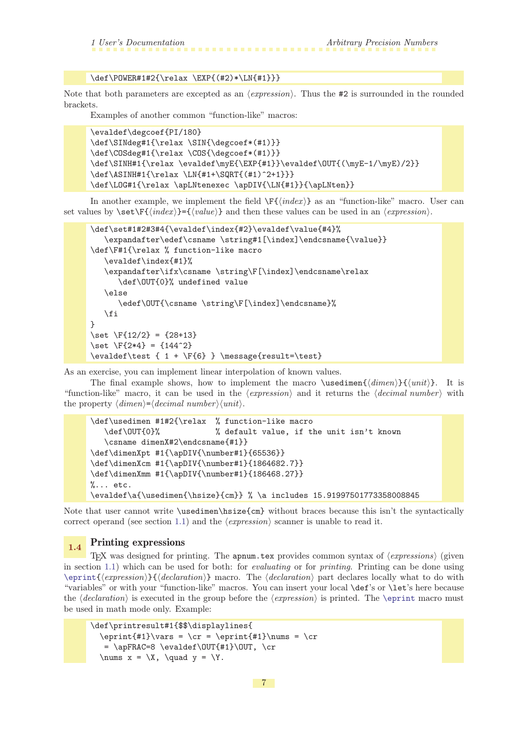#### \def\POWER#1#2{\relax \EXP{(#2)\*\LN{#1}}}

<span id="page-6-1"></span>Note that both parameters are excepted as an  $\langle expression \rangle$ . Thus the #2 is surrounded in the rounded brackets.

Examples of another common "function-like" macros:

```
\evaldef\degcoef{PI/180}
\def\SINdeg#1{\relax \SIN{\degcoef*(#1)}}
\def\COSdeg#1{\relax \COS{\degcoef*(#1)}}
\def\SWH#1{\relx \evaldef\myE{\EXP{#1}}\evaldef\OUT{(\myE-1/\myE)/2}}
\def\ASINH#1{\relax \LN{#1+\SQRT{(#1)^2+1}}}
\def\LOG#1{\relax \apLNtenexec \apDIV{\LN{#1}}{\apLNten}}
```
In another example, we implement the field  $\F{index}$  as an "function-like" macro. User can set values by  $\setminus \setminus \setminus \{ \langle \mathit{index} \rangle \}$  and then these values can be used in an  $\langle \mathit{expression} \rangle$ .

```
\def\set#1#2#3#4{\evaldef\index{#2}\evaldef\value{#4}%
   \expandafter\edef\csname \string#1[\index]\endcsname{\value}}
\def\F#1{\relax % function-like macro
   \evaldef\index{#1}%
   \expandafter\ifx\csname \string\F[\index]\endcsname\relax
      \def\OUT{0}% undefined value
   \else
      \edef\OUT{\csname \string\F[\index]\endcsname}%
   \fi
}
\set \F{12/2} = {28+13}
\setminusset \F{2*4} = \{144^2\}\evaldef\test { 1 + \F{6} } \message{result= \test}
```
As an exercise, you can implement linear interpolation of known values.

The final example shows, how to implement the macro \usedimen{ $\dim\{\dim\}$ }{ $\{\text{}\}$ . It is "function-like" macro, it can be used in the  $\langle expression \rangle$  and it returns the  $\langle decimal\ number \rangle$  with the property  $\langle dimen \rangle = \langle decimal\ number \rangle \langle unit \rangle$ .

```
\def\usedimen #1#2{\relax % function-like macro
   \def\OUT{0}% % default value, if the unit isn't known
   \csname dimenX#2\endcsname{#1}}
\def\dimenXpt #1{\apDIV{\number#1}{65536}}
\def\dimenXcm #1{\apDIV{\number#1}{1864682.7}}
\def\dimenXmm #1{\apDIV{\number#1}{186468.27}}
% \ldots etc.
\evaldef\a{\usedimen{\hsize}{cm}} % \a includes 15.91997501773358008845
```
Note that user cannot write \usedimen\hsize{cm} without braces because this isn't the syntactically correct operand (see section [1.1\)](#page-2-0) and the  $\langle expression \rangle$  scanner is unable to read it.

# <span id="page-6-0"></span>1.4 Printing expressions

<span id="page-6-2"></span>TEX was designed for printing. The apnum.tex provides common syntax of  $\langle \text{expressions} \rangle$  (given in section [1.1\)](#page-2-0) which can be used for both: for evaluating or for printing. Printing can be done using  $\epsilon_{\text{expression}}({\text{declamation}} \text{ and } {\text{declamation}} \text{ and } {\text{declusion}}$ "variables" or with your "function-like" macros. You can insert your local \def's or \let's here because the  $\delta$  is executed in the group before the  $\langle expression \rangle$  is printed. The [\eprint](#page-47-2) macro must be used in math mode only. Example:

```
\def\printresult#1{$$\displaylines{
  \epsilon_{\#1}\vars = \c{r = \epsilon_{\#1}\nums = \c{r}= \apFRAC=8 \evaldef\OUT{#1}\OUT, \cr\text{max } x = \X, \text{quad } y = \Y.
```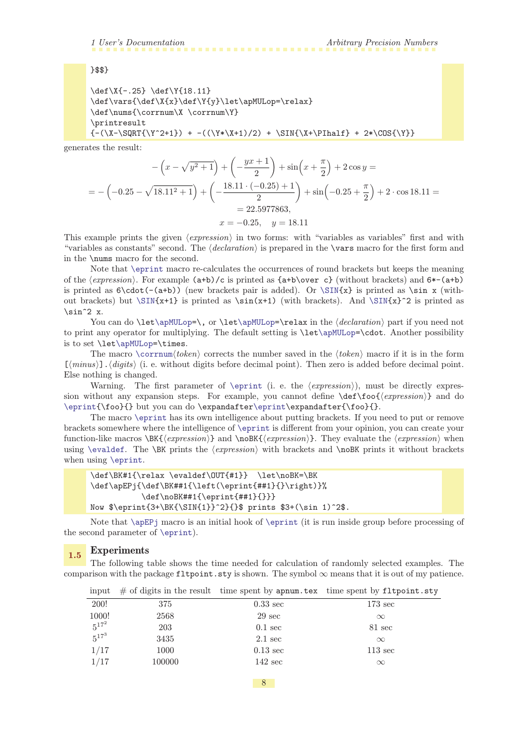<span id="page-7-1"></span>}\$\$}

```
\def\X{-.25} \def\Y{18.11}
\def\vars{\def\X{x}\def\Y{y}\let\apMULop=\relax}
\def\nums{\corrnum\X \corrnum\Y}
\printresult
{-(\X-\SQRT{\Y^2+1}) + -((\Y*\X+1)/2) + \SIN{\X+\PInalf} + 2*\COS{\Y}}
```
generates the result:

$$
-\left(x - \sqrt{y^2 + 1}\right) + \left(-\frac{yx + 1}{2}\right) + \sin\left(x + \frac{\pi}{2}\right) + 2\cos y =
$$
\n
$$
= -\left(-0.25 - \sqrt{18.11^2 + 1}\right) + \left(-\frac{18.11 \cdot (-0.25) + 1}{2}\right) + \sin\left(-0.25 + \frac{\pi}{2}\right) + 2 \cdot \cos 18.11 =
$$
\n
$$
= 22.5977863,
$$
\n
$$
x = -0.25, \quad y = 18.11
$$

This example prints the given  $\langle expression \rangle$  in two forms: with "variables as variables" first and with "variables as constants" second. The  $\declaration$  is prepared in the **\vars** macro for the first form and in the \nums macro for the second.

Note that [\eprint](#page-47-2) macro re-calculates the occurrences of round brackets but keeps the meaning of the  $\langle expression \rangle$ . For example  $(a+b)/c$  is printed as  $\{a+b\}$  over c} (without brackets) and  $6*(-a+b)$ is printed as  $\cdot$  (dot(-(a+b)) (new brackets pair is added). Or  $\Sim{x}$  is printed as  $\sin x$  (without brackets) but  $\Sim{x+1}$  is printed as  $\sin(x+1)$  (with brackets). And  $\Sim{x}^2$  is printed as  $\sin^2 2$  x.

<span id="page-7-0"></span>You can do  $\let\apMULop=\, \or \let\apMULop=\relax in the \declaration \ part if you need not$  $\let\apMULop=\, \or \let\apMULop=\relax in the \declaration \ part if you need not$  $\let\apMULop=\, \or \let\apMULop=\relax in the \declaration \ part if you need not$  $\let\apMULop=\, \or \let\apMULop=\relax in the \declaration \ part if you need not$  $\let\apMULop=\, \or \let\apMULop=\relax in the \declaration \ part if you need not$ to print any operator for multiplying. The default setting is \le[t\apMULop](#page-49-7)=\cdot. Another possibility is to set \let[\apMULop=](#page-49-7)\times.

<span id="page-7-2"></span>The macro [\corrnum](#page-50-12) $\{token\}$  corrects the number saved in the  $\{token\}$  macro if it is in the form  $[\langle minus \rangle] \cdot \langle digits \rangle$  (i. e. without digits before decimal point). Then zero is added before decimal point. Else nothing is changed.

Warning. The first parameter of [\eprint](#page-47-2) (i. e. the  $\langle expression \rangle$ ), must be directly expression without any expansion steps. For example, you cannot define  $\def\of{\expresion}$  and do [\eprint{](#page-47-2)\foo}{} but you can do \expandafter[\eprint](#page-47-2)\expandafter{\foo}{}.

The macro [\eprint](#page-47-2) has its own intelligence about putting brackets. If you need to put or remove brackets somewhere where the intelligence of [\eprint](#page-47-2) is different from your opinion, you can create your function-like macros  $\Bbb{K}\{\text{expression}\}\$  and  $\n\oB\nK\{\text{expression}\}.$  They evaluate the  $\text{expression}$  when using [\evaldef](#page-9-0). The \BK prints the  $\langle expression \rangle$  with brackets and \noBK prints it without brackets when using [\eprint](#page-47-2).

```
\def\BK#1{\relax \evaldef\OUT{#1}} \let\noBK=\BK
\def\apEPj{\def\BK##1{\left(\eprint{##1}{}\right)}%
           \def\noBK##1{\eprint{##1}{}}}
Now $\eprint{3+\BK{\SIN{1}}^2}{}$ prints $3+(\sin 1)^2$.
```
Note that  $\ap{\epsilon}$  macro is an initial hook of  $\epsilon$  it is run inside group before processing of the second parameter of [\eprint](#page-47-2)).

#### <span id="page-7-3"></span>1.5 Experiments

The following table shows the time needed for calculation of randomly selected examples. The comparison with the package fltpoint.sty is shown. The symbol  $\infty$  means that it is out of my patience.

| mput       |        |                    | $\#$ or digres in the result thing spent by apham. Lex thing spent by Treporme. St |
|------------|--------|--------------------|------------------------------------------------------------------------------------|
| 200!       | 375    | $0.33 \text{ sec}$ | $173 \text{ sec}$                                                                  |
| 1000!      | 2568   | $29 \text{ sec}$   | $\infty$                                                                           |
| $5^{17^2}$ | 203    | $0.1 \text{ sec}$  | 81 sec                                                                             |
| $5^{17^3}$ | 3435   | $2.1 \text{ sec}$  | $\infty$                                                                           |
| 1/17       | 1000   | $0.13 \text{ sec}$ | $113 \text{ sec}$                                                                  |
| 1/17       | 100000 | $142 \text{ sec}$  | $\infty$                                                                           |
|            |        |                    |                                                                                    |

input  $\#$  of digits in the result time spent by appum.tex time spent by fltpoint.sty

8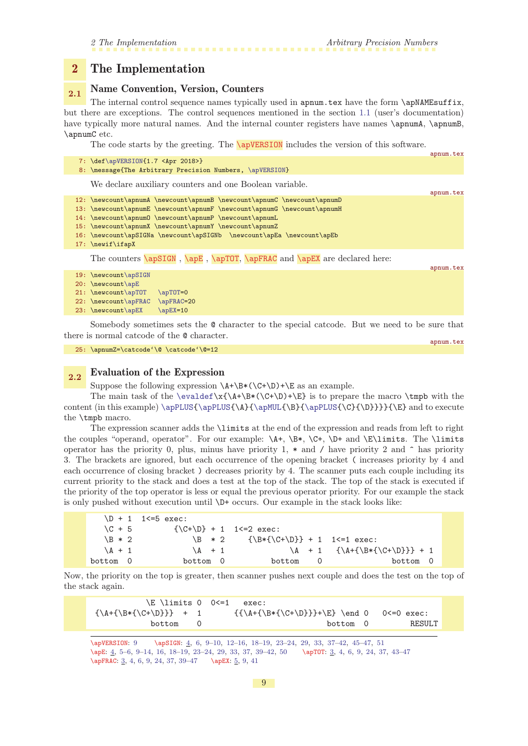#### <span id="page-8-1"></span><span id="page-8-0"></span>2 The Implementation

# <span id="page-8-2"></span>2.1 Name Convention, Version, Counters

The internal control sequence names typically used in apnum.tex have the form \apNAMEsuffix, but there are exceptions. The control sequences mentioned in the section [1.1](#page-2-0) (user's documentation) have typically more natural names. And the internal counter registers have names \apnumA, \apnumB, \apnumC etc.

<span id="page-8-7"></span><span id="page-8-3"></span>The code starts by the greeting. The  $\sqrt{\text{apVERSION}}$  includes the version of this software.

| 7: \def\apVERSION{1.7 <apr 2018="">}<br/>8: \message{The Arbitrary Precision Numbers, \apVERSION}</apr>                                                                                                                                                                                                                                                                                                                                                                      |           |
|------------------------------------------------------------------------------------------------------------------------------------------------------------------------------------------------------------------------------------------------------------------------------------------------------------------------------------------------------------------------------------------------------------------------------------------------------------------------------|-----------|
| We declare auxiliary counters and one Boolean variable.                                                                                                                                                                                                                                                                                                                                                                                                                      | apnum.tex |
| 12: \newcount\apnumA \newcount\apnumB \newcount\apnumC \newcount\apnumD<br>13: \newcount\apnumE \newcount\apnumF \newcount\apnumG \newcount\apnumH<br>14: \newcount\apnum0 \newcount\apnumP \newcount\apnumL<br>15: \newcount\apnumX \newcount\apnumY \newcount\apnumZ<br>16: \newcount\apSIGNa \newcount\apSIGNb \newcount\apEa \newcount\apEb<br>17: \newif\ifapX                                                                                                          |           |
| The counters $\ap{SIGN}$ , $\ap{TOT}$ , $\ap{FRC}$ and $\ap{EX}$ are declared here:                                                                                                                                                                                                                                                                                                                                                                                          | apnum.tex |
| 19: \newcount\apSIGN<br>$20: \newcommand{\mbox}{\mbox{\texttt{def}}\n} \newcommand{\mbox}{\mbox{\texttt{def}}\n} \newcommand{\mbox}{\mbox{\texttt{def}}\n} \newcommand{\mbox}{\mbox{\texttt{def}}\n} \newcommand{\mbox}{\mbox{\texttt{def}}\n} \newcommand{\mbox}{\mbox{\texttt{def}}\n} \newcommand{\mbox}{\mbox{\texttt{def}}\n}$<br>21: \newcount\apTOT<br>$\ap{\sqrt{apT0T=0}}$<br>22: \newcount\apFRAC<br>$\aprRAC=20$<br>$\ap{\angle}$ apEX=10<br>$23: \newcount\apEX$ |           |

<span id="page-8-6"></span><span id="page-8-5"></span><span id="page-8-4"></span>Somebody sometimes sets the @ character to the special catcode. But we need to be sure that there is normal catcode of the @ character.

```
25: \apnumZ=\catcode'\@ \catcode'\@=12
```
<span id="page-8-8"></span>apnum.tex

appum.tex

#### <span id="page-8-9"></span>2.2 Evaluation of the Expression

Suppose the following expression  $\A+\B*(\C+\D)+\E$  as an example.

The main task of the [\evaldef\](#page-9-0)x{\A+\B\*(\C+\D)+\E} is to prepare the macro \tmpb with the content (in this example)  $\apPUS{\apPLUS{\A}_{\apMUL}{B}_{\apPLUS}{\apPLUS}{\B}$  $\apPUS{\apPLUS{\A}_{\apMUL}{B}_{\apPLUS}{\apPLUS}{\B}$  $\apPUS{\apPLUS{\A}_{\apMUL}{B}_{\apPLUS}{\apPLUS}{\B}$  and to execute the \tmpb macro.

The expression scanner adds the \limits at the end of the expression and reads from left to right the couples "operand, operator". For our example:  $\A + \B + \C +$ ,  $\D +$  and  $\E \limits$ . The  $\limits$ operator has the priority 0, plus, minus have priority 1,  $*$  and  $\prime$  have priority 2 and  $\hat{ }$  has priority 3. The brackets are ignored, but each occurrence of the opening bracket ( increases priority by 4 and each occurrence of closing bracket ) decreases priority by 4. The scanner puts each couple including its current priority to the stack and does a test at the top of the stack. The top of the stack is executed if the priority of the top operator is less or equal the previous operator priority. For our example the stack is only pushed without execution until \D+ occurs. Our example in the stack looks like:

| $\{\C + \D\} + 1$ 1 <= 2 exec:<br>$\C + 5$<br>$\ B * 2 \ {\Bbb R} {\C + \D} + 1 \ I \leq 1 \ \text{exec:}$<br>$\{B \ast 2\}$ |  |
|------------------------------------------------------------------------------------------------------------------------------|--|
|                                                                                                                              |  |
|                                                                                                                              |  |
| $\{A + 1 \{\A + {\B * {\C + \D}}\} + 1$<br>$\lambda$ + 1<br>$\lambda + 1$                                                    |  |
| bottom 0<br>bottom 0<br>bottom<br>bottom 0<br>0                                                                              |  |

Now, the priority on the top is greater, then scanner pushes next couple and does the test on the top of the stack again.

| \E \limits 0 0<=1                     | exec:                                                        |        |
|---------------------------------------|--------------------------------------------------------------|--------|
| $\{\A + \{\B \ast \{\C + \D\}\}\ + 1$ | $\{\{\A + \{\B * \{\C + \D\}\} + \E\} \$ (c 0 $\leq 0$ exec: |        |
| bottom                                | bottom 0                                                     | RESULT |

\apVERSION: 9 \apSIGN: [4](#page-3-1), [6](#page-5-1), 9-10, [12](#page-11-1)-16, 18-[19,](#page-18-1) 23-[24](#page-23-1), [29,](#page-28-1) [33,](#page-32-1) [37](#page-36-1)-42, 45-[47](#page-46-1), [51](#page-50-1) \apE: [4,](#page-3-1) [5](#page-4-1)[–6,](#page-5-1) 9–[14](#page-13-1), [16,](#page-15-1) [18](#page-17-1)[–19,](#page-18-1) [23](#page-22-1)–[24](#page-23-1), [29](#page-28-1), [33,](#page-32-1) [37](#page-36-1), [39–](#page-38-1)[42](#page-41-1), [50](#page-49-1) \apTOT: [3](#page-2-1), [4,](#page-3-1) [6,](#page-5-1) 9, [24](#page-23-1), [37,](#page-36-1) [43](#page-42-1)[–47](#page-46-1) \apFRAC: [3,](#page-2-1) [4](#page-3-1), [6,](#page-5-1) 9, [24,](#page-23-1) [37](#page-36-1), [39](#page-38-1)-47 \apEX: [5](#page-4-1), 9, [41](#page-40-1)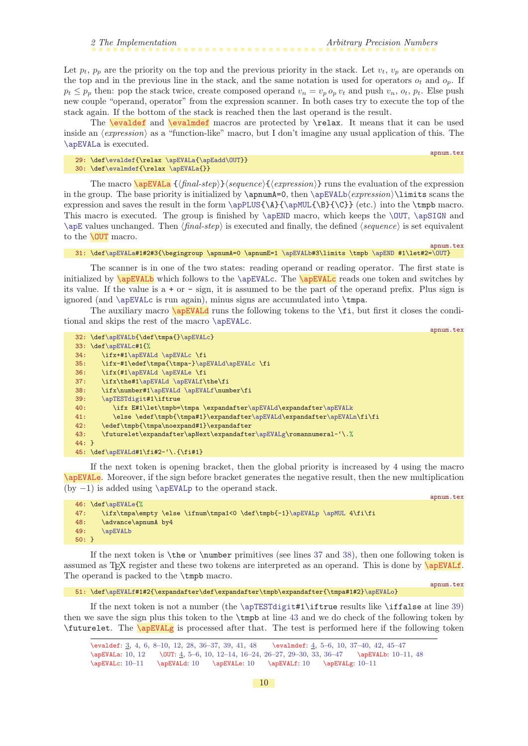<span id="page-9-6"></span>apnum.tex

apnum.tex

<span id="page-9-1"></span>Let  $p_t$ ,  $p_p$  are the priority on the top and the previous priority in the stack. Let  $v_t$ ,  $v_p$  are operands on the top and in the previous line in the stack, and the same notation is used for operators  $o_t$  and  $o_p$ . If  $p_t \leq p_p$  then: pop the stack twice, create composed operand  $v_n = v_p o_p v_t$  and push  $v_n$ ,  $o_t$ ,  $p_t$ . Else push new couple "operand, operator" from the expression scanner. In both cases try to execute the top of the stack again. If the bottom of the stack is reached then the last operand is the result.

<span id="page-9-0"></span>The **[\evaldef](#page-2-2)** and **[\evalmdef](#page-3-5)** macros are protected by **\relax**. It means that it can be used inside an  $\langle expression \rangle$  as a "function-like" macro, but I don't imagine any usual application of this. The [\apEVALa](#page-9-3) is executed.

```
\evaldef{\apEVALa\apEadd\OUT}}
\evalmdef{\apEVALa{}}
```
The macro  $\a{pEVAL}$  { $\{final-step\}$ } sequence}{ $\{expression\}$  runs the evaluation of the expression in the group. The base priority is initialized by  $\apnumA=0$ , then  $\apEVALb\text{expression}}\1imits$  $\apEVALb\text{expression}}\1imits$  scans the expression and saves the result in the form  $\ap{{\Phi}{\alpha}}({\B}({\C})$  (etc.) into the  $\tt{mpb}$  macro. This macro is executed. The group is finished by  $\applement_{\alpha}$ , which keeps the  $\O$ UT,  $\applement_{\alpha}$ SIGN and  $\angle$  apE values unchanged. Then  $\langle final-step \rangle$  is executed and finally, the defined  $\langle sequence \rangle$  is set equivalent to the **[\OUT](#page-3-0)** macro.

#### <span id="page-9-5"></span><span id="page-9-4"></span>31: \def[\apEVALa#](#page-9-3)1#2#3{\begingroup \apnumA=0 \apnumE=1 [\apEVALb#](#page-9-5)3\limits \tmpb [\apEND](#page-32-9) #1\let#2[=\OUT](#page-9-4)}

The scanner is in one of the two states: reading operand or reading operator. The first state is initialized by **\apEVALb** which follows to the **[\apEVALc](#page-9-6)**. The **\apEVALc** reads one token and switches by its value. If the value is a + or - sign, it is assumed to be the part of the operand prefix. Plus sign is ignored (and [\apEVALc](#page-9-6) is run again), minus signs are accumulated into \tmpa.

The auxiliary macro **\apEVALd** runs the following tokens to the **\fi**, but first it closes the conditional and skips the rest of the macro [\apEVALc](#page-9-6).

<span id="page-9-13"></span><span id="page-9-12"></span><span id="page-9-11"></span><span id="page-9-7"></span>

|         | 32: \def\apEVALb{\def\tmpa{}\apEVALc}                                   |
|---------|-------------------------------------------------------------------------|
|         | 33: \def\apEVALc#1{%                                                    |
| 34:     | \ifx+#1\apEVALd \apEVALc \fi                                            |
| 35:     | \ifx-#1\edef\tmpa{\tmpa-}\apEVALd\apEVALc \fi                           |
| 36:     | \ifx(#1\apEVALd \apEVALe \fi                                            |
| 37:     | \ifx\the#1\apEVALd \apEVALf\the\fi                                      |
| 38:     | \ifx\number#1\apEVALd \apEVALf\number\fi                                |
| 39:     | \apTESTdigit#1\iftrue                                                   |
| 40:     | \ifx E#1\let\tmpb=\tmpa \expandafter\apEVALd\expandafter\apEVALk        |
| 41:     | \else \edef\tmpb{\tmpa#1}\expandafter\apEVALd\expandafter\apEVALn\fi\fi |
| 42:     | \edef\tmpb{\tmpa\noexpand#1}\expandafter                                |
| 43:     | \futurelet\expandafter\apNext\expandafter\apEVALg\romannumeral-'\.%     |
| $44:$ } |                                                                         |
|         | $45: \def\ap{{\text{\ddag}}\qquad\qquad1\fi+2-', \f{i+1}$               |

<span id="page-9-14"></span><span id="page-9-8"></span>If the next token is opening bracket, then the global priority is increased by 4 using the macro \apEVALe. Moreover, if the sign before bracket generates the negative result, then the new multiplication (by −1) is added using [\apEVALp](#page-10-6) to the operand stack.

```
46: \def\apEVALe{%
47: \ifx\tmpa\empty \else \ifnum\tmpa1<0 \def\tmpb{-1}\apEVALp \apMUL 4\fi\fi
48: \advance\apnumA by4
49: \apEVALb
50: }
```
If the next token is \the or \number primitives (see lines [37](#page-9-11) and [38\)](#page-9-12), then one following token is assumed as T<sub>E</sub>X register and these two tokens are interpreted as an operand. This is done by *\apEVALf.* The operand is packed to the  $\t{tmpb macro.}$ 

51: \def[\apEVALf#](#page-9-9)1#2{\expandafter\def\expandafter\tmpb\expandafter{\tmpa#1#2}[\apEVALo}](#page-10-5)

<span id="page-9-9"></span>apnum.tex

apnum.tex

If the next token is not a number (the  $\ap{\sqrt{the} \ap{TESTdigit#1} \if{true}$  results like  $\if{false}$  at line [39](#page-9-13)) then we save the sign plus this token to the \tmpb at line [43](#page-9-14) and we do check of the following token by \futurelet. The \apEVALg is processed after that. The test is performed here if the following token

<span id="page-9-10"></span><sup>\</sup>evaldef: [3,](#page-2-1) [4](#page-3-1), [6,](#page-5-1) [8–](#page-7-1)10, [12](#page-11-1), [28,](#page-27-1) [36](#page-35-1)[–37,](#page-36-1) [39](#page-38-1), [41,](#page-40-1) [48](#page-47-1) \evalmdef: [4](#page-3-1), [5–](#page-4-1)[6](#page-5-1), 10, [37](#page-36-1)[–40,](#page-39-1) [42](#page-41-1), [45](#page-44-1)[–47](#page-46-1) \apEVALa: 10, [12](#page-11-1) \OUT: [4,](#page-3-1) [5](#page-4-1)–[6,](#page-5-1) 10, [12](#page-11-1)[–14,](#page-13-1) [16–](#page-15-1)[24](#page-23-1), [26](#page-25-1)–[27](#page-26-1), [29](#page-28-1)[–30,](#page-29-1) [33,](#page-32-1) [36](#page-35-1)[–47](#page-46-1) \apEVALb: 10–[11](#page-10-1), [48](#page-47-1)  $\verb|\apEVALC: 10| -|1| \apEVALC: 10| -|2| +|3+2| +|4+2| +|5+2| +|6+2| +|1+2| +|2+2| +|3+2| +|4+2| +|5+2| +|1+2| +|2+2| +|3+2| +|3+2| +|4+2| +|3+2| +|4+2| +|5+2| +|3+2| +|4+2+2| +|5+2| +|5+2| +|6+2+2| +|7+2+2| +|8+2+2| +|7+2+2| +|7+2+2| +|7+2+2| +|7+2+2+2| +|7+$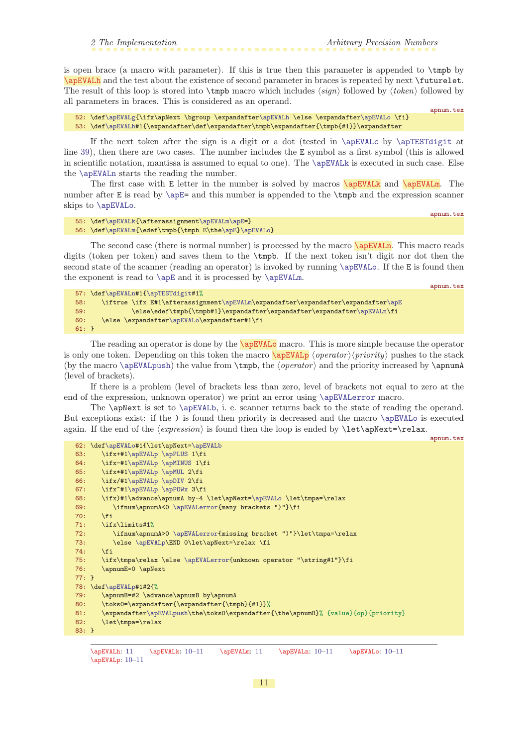<span id="page-10-1"></span><span id="page-10-0"></span>is open brace (a macro with parameter). If this is true then this parameter is appended to \tmpb by \apEVALh and the test about the existence of second parameter in braces is repeated by next \futurelet. The result of this loop is stored into  $\theta$  macro which includes  $\langle sign \rangle$  followed by  $\langle token \rangle$  followed by all parameters in braces. This is considered as an operand.

52: \def[\apEVALg{](#page-9-10)\ifx\apNext \bgroup \expandafte[r\apEVALh](#page-10-0) \else \expandafter[\apEVALo](#page-10-5) \fi} 53: \def[\apEVALh#](#page-10-0)1{\expandafter\def\expandafter\tmpb\expandafter{\tmpb{#1}}\expandafter

If the next token after the sign is a digit or a dot (tested in  $\ap{\angle}$  apEVALc by  $\ap{\angle}$  apTESTdigit at line [39\)](#page-9-13), then there are two cases. The number includes the E symbol as a first symbol (this is allowed in scientific notation, mantissa is assumed to equal to one). The [\apEVALk](#page-10-2) is executed in such case. Else the [\apEVALn](#page-10-4) starts the reading the number.

The first case with E letter in the number is solved by macros \apEVALk and \apEVALm. The number after E is read by  $\apaket{\ap{b} = \ap{an}$  this number is appended to the  $\thickspace \bmod$  the expression scanner skips to [\apEVALo](#page-10-5).

```
55: \def\apEVALk{\afterassignment\apEVALm\apE=}
\apEVALm{e\apE}\apEVALo}
```
The second case (there is normal number) is processed by the macro  $\sqrt{\text{apEVAL}}$ . This macro reads digits (token per token) and saves them to the \tmpb. If the next token isn't digit nor dot then the second state of the scanner (reading an operator) is invoked by running [\apEVALo](#page-10-5). If the E is found then the exponent is read to [\apE](#page-8-5) and it is processed by [\apEVALm](#page-10-3).

<span id="page-10-6"></span>apnum.tex

<span id="page-10-4"></span><span id="page-10-3"></span><span id="page-10-2"></span>apnum.tex

apnum.tex

```
57: \def\apEVALn#1{\apTESTdigit#1%
58: \iftrue \ifx E#1\afterassignment\apEVALm\expandafter\expandafter\expandafter\apE
59: \else\edef\tmpb{\tmpb#1}\expandafter\expandafter\expandafter\apEVALn\fi
60: \else \expandafter\apEVALo\expandafter#1\fi
61: }
```
The reading an operator is done by the  $\qquad$ apEVAL<sub>o</sub> macro. This is more simple because the operator is only one token. Depending on this token the macro  $\a{pEVALp}$  (operator) $\langle priority \rangle$  pushes to the stack (by the macro  $\alpha$ ) the value from  $\tmp$ , the  $\operatorname{operator}$  and the priority increased by  $\apacksquare$ (level of brackets).

If there is a problem (level of brackets less than zero, level of brackets not equal to zero at the end of the expression, unknown operator) we print an error using [\apEVALerror](#page-11-4) macro.

The \apNext is set to [\apEVALb](#page-9-5), i. e. scanner returns back to the state of reading the operand. But exceptions exist: if the ) is found then priority is decreased and the macro [\apEVALo](#page-10-5) is executed again. If the end of the  $\langle expression \rangle$  is found then the loop is ended by  $\let\apaket{apNext=\relax.}$ 

```
apnum.tex
62: \def\apEVALo#1{\let\apNext=\apEVALb
63: \ifx+#1\apEVALp \apPLUS 1\fi
64: \ifx-#1\apEVALp \apMINUS 1\fi
65: \ifx*#1\apEVALp \apMUL 2\fi
1\apEVALp\apDIV 2\fi<br>67: \ifx^#1\apEVALp \apPOWx 3\f
      1\apEVALp\apPOWx 3\fi
68: \ifx)#1\advance\apnumA by-4 \let\apNext=\apEVALo \let\tmpa=\relax
69: \ifnum\apnumA<0 \apEVALerror{many brackets ")"}\fi
70 \cdot \sqrt{f_i}71: \ifx\limits#1%
72: \ifnum\apnumA>0 \apEVALerror{missing bracket ")"}\let\tmpa=\relax
\apEVALp\END 0\let\apNext=\relax \fi
74: \qquad \text{If}75: \ifx\tmpa\relax \else \apEVALerror{unknown operator "\string#1"}\fi
76: \apnumE=0 \apNext
77: }
78: \def\apEVALp#1#2{%
79: \apnumB=#2 \advance\apnumB by\apnumA
80: \toks0=\expandafter{\expandafter{\tmpb}{#1}}%
81: \expandafter\apEVALpush\the\toks0\expandafter{\the\apnumB}% {value}{op}{priority}
82: \let\tmpa=\relax
83: }
```
<sup>\</sup>apEVALh: 11 \apEVALk: [10–](#page-9-1)11 \apEVALm: 11 \apEVALn: [10–](#page-9-1)11 \apEVALo: [10](#page-9-1)–11 \apEVALp: [10](#page-9-1)–11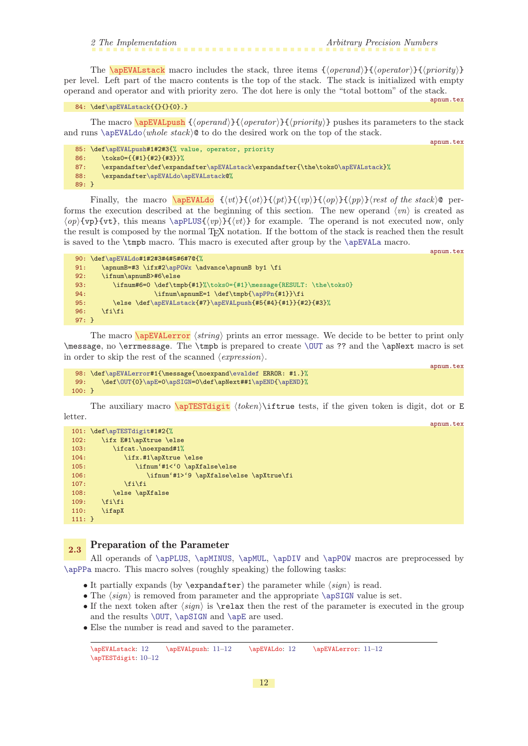<span id="page-11-0"></span>

<span id="page-11-1"></span>The  $\a{pEVAL}$  macro includes the stack, three items  ${\Omega}$  (operand) ${\Omega}$  (operator) ${\Omega}$ per level. Left part of the macro contents is the top of the stack. The stack is initialized with empty operand and operator and with priority zero. The dot here is only the "total bottom" of the stack.

<span id="page-11-2"></span>84: \def[\apEVALstack{](#page-11-0){}{}{0}.}

apnum.tex

apnum.tex

apnum.tex

apnum.tex

The macro  $\a{pEVAL}$  { $\{open}{}{\}$ } { $\{open}{}{\}$ } { $\{open}{}{\}$ }  $\}$  pushes its parameters to the stack and runs [\apEVALdo](#page-11-3) $\langle whole\ stack\rangle$ <sup>©</sup> to do the desired work on the top of the stack.

```
85: \def\apEVALpush#1#2#3{% value, operator, priority
86: \toks0={{#1}{#2}{#3}}%
87: \expandafter\def\expandafter\apEVALstack\expandafter{\the\toks0\apEVALstack}%
r\apEVALdo\apEVALstack@%
89: }
```
<span id="page-11-3"></span>Finally, the macro  $\a{pEVAL}$  {(vt)}{(ot)}{(pt)}{(vp)}{(op)}{(pp)}(rest of the stack)@ performs the execution described at the beginning of this section. The new operand  $\langle vn \rangle$  is created as  $\langle op{\text{vpt}}\}$  for example. The operand is not executed now, only the result is composed by the normal TEX notation. If the bottom of the stack is reached then the result is saved to the \tmpb macro. This macro is executed after group by the [\apEVALa](#page-9-3) macro.

```
apnum.tex
90: \def\apEVALdo#1#2#3#4#5#6#7@{%
\apPOWx \advance\apnumB by1 \fi
92: \ifnum\apnumB>#6\else
93: \ifnum#6=0 \def\tmpb{#1}%\toks0={#1}\message{RESULT: \the\toks0}
94: \ifnum\apnumE=1 \def\tmp\alpha{#1}}\fi95: \else \def\apEVALstack{#7}\apEVALpush{#5{#4}{#1}}{#2}{#3}%
96: \qquad \text{ififif}97: }
```
<span id="page-11-4"></span>The macro  $\langle \text{apEVALerror} \rangle$  for  $\langle \text{string} \rangle$  prints an error message. We decide to be better to print only \message, no \errmessage. The \tmpb is prepared to create [\OUT](#page-9-4) as ?? and the \apNext macro is set in order to skip the rest of the scanned  $\langle expression \rangle$ .

```
98: \def\apEVALerror#1{\message{\noexpand\evaldef ERROR: #1.}%
\OUT}\apE\apSIGN\apEND{\apEND}%
100: }
```
The auxiliary macro  $\sqrt{\text{apTESTdigit}} \t{token} \text{title}$  tests, if the given token is digit, dot or E letter.

```
101: \def\apTESTdigit#1#2{%
102: \ifx E#1\apXtrue \else
103: \ifcat.\noexpand#1%
104: \ifx.#1\apXtrue \else
105: \ifnum'#1<'0 \apXfalse\else
106: \ifnum'#1>'9 \apXfalse\else \apXtrue\fi
107: \tilde{108}<br>108: \tilde{108}\else \apXfalse
109: \tilde{109}110: \ifapX
111: }
```
# <span id="page-11-6"></span>2.3 Preparation of the Parameter

All operands of [\apPLUS](#page-14-0), [\apMINUS](#page-14-2), [\apMUL](#page-17-6), [\apDIV](#page-22-0) and [\apPOW](#page-27-7) macros are preprocessed by [\apPPa](#page-12-0) macro. This macro solves (roughly speaking) the following tasks:

- It partially expands (by **\expandafter)** the parameter while  $\langle sign \rangle$  is read.
- The  $\langle sign \rangle$  is removed from parameter and the appropriate  $\alpha$  [\apSIGN](#page-8-4) value is set.
- If the next token after  $\langle sign \rangle$  is  $\text{relax}$  then the rest of the parameter is executed in the group and the results [\OUT](#page-9-4), [\apSIGN](#page-8-4) and [\apE](#page-8-5) are used.
- Else the number is read and saved to the parameter.

```
\apEVALstack: 12 \apEVALpush: 11–12 \apEVALdo: 12 \apEVALerror: 11–12
\apTESTdigit: 10–12
```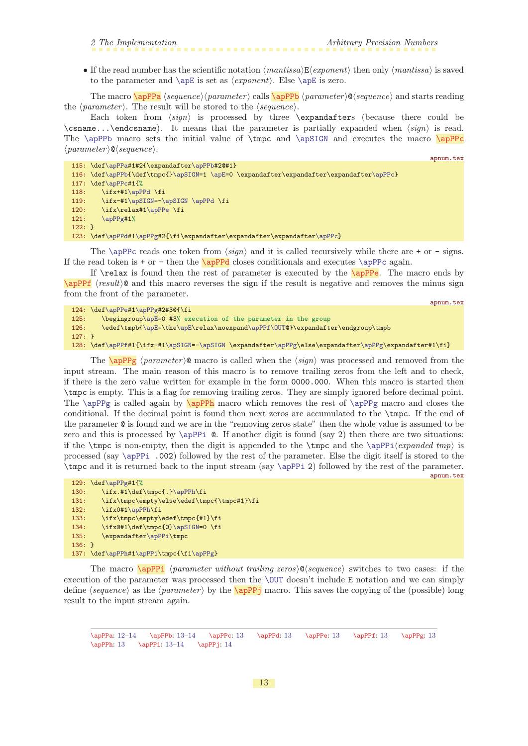<span id="page-12-1"></span>

<span id="page-12-0"></span>• If the read number has the scientific notation  $\langle mantissa\rangle\mathbb{E}\langle exponent\rangle$  then only  $\langle mantissa\rangle$  is saved to the parameter and  $\ap{\angle}$  is set as  $\text{exponent}$ . Else  $\ap{\angle}$  is zero.

The macro  $\a{pPPa} \$  (sequence) (parameter) calls  $\a{pPPb}$  (parameter)  $\&$  (sequence) and starts reading the  $\langle parameter \rangle$ . The result will be stored to the  $\langle sequence \rangle$ .

Each token from  $\langle sign \rangle$  is processed by three \expandafters (because there could be \csname...\endcsname). It means that the parameter is partially expanded when  $\langle sign \rangle$  is read. The  $\apPPb$  macro sets the initial value of  $\tmppc$  and  $\apPPc$  $\langle parameter \rangle \mathsf{Q} \langle sequence \rangle.$ 

```
115: \def\apPPa#1#2{\expandafter\apPPb#2@#1}
116: \def\apPPb{\def\tmpc{}\apSIGN=1 \apE=0 \expandafter\expandafter\expandafter\apPPc}
117: \def\apPPc#1{%
118: \ifx+#1\apPPd \fi
119: \ifx-#1\apSIGN=-\apSIGN \apPPd \fi
120: \ifx\relax#1\apPPe \fi
121: \apPPg#1%
122 \cdot \lambda123: \def\apPPd#1\apPPg#2{\fi\expandafter\expandafter\expandafter\apPPc}
```
<span id="page-12-4"></span>The [\apPPc](#page-12-3) reads one token from  $\langle sign \rangle$  and it is called recursively while there are + or - signs. If the read token is  $+$  or  $-$  then the  $\alpha$  closes conditionals and executes  $\alpha$  again.

<span id="page-12-6"></span>If  $\relaxright$  is found then the rest of parameter is executed by the  $\apaket{\text{appPe}}$ . The macro ends by  $\alpha$ PPf (result)<sup> $\alpha$ </sup> and this macro reverses the sign if the result is negative and removes the minus sign from the front of the parameter.

<span id="page-12-5"></span>apnum.tex

<span id="page-12-3"></span><span id="page-12-2"></span>apnum.tex

```
124: \def\apPPe#1\apPPg#2#3@{\fi
125: \begingroup\apE=0 #3% execution of the parameter in the group
126: \edef\tmpb{\apE=\the\apE\relax\noexpand\apPPf\OUT@}\expandafter\endgroup\tmpb
127: }
\apPPf\apSIGNr\apPPg\\apPPg\expandafter#1\fi}
```
<span id="page-12-8"></span><span id="page-12-7"></span>The  $\alpha$  parameter igents is called when the  $\langle sign \rangle$  was processed and removed from the input stream. The main reason of this macro is to remove trailing zeros from the left and to check, if there is the zero value written for example in the form 0000.000. When this macro is started then \tmpc is empty. This is a flag for removing trailing zeros. They are simply ignored before decimal point. The [\apPPg](#page-12-7) is called again by \apPPh macro which removes the rest of [\apPPg](#page-12-7) macro and closes the conditional. If the decimal point is found then next zeros are accumulated to the \tmpc. If the end of the parameter @ is found and we are in the "removing zeros state" then the whole value is assumed to be zero and this is processed by  $\alpha$ . If another digit is found (say 2) then there are two situations: if the  $\t{tmpc}$  is non-empty, then the digit is appended to the  $\tt{tmpc}$  and the  $\ap{pq(cxpanded tmp)}$  is processed (say [\apPPi](#page-12-9) .002) followed by the rest of the parameter. Else the digit itself is stored to the \tmpc and it is returned back to the input stream (say [\apPPi](#page-12-9) 2) followed by the rest of the parameter. apnum.tex

```
129: \def\apPPg#1{%
\apPPh\fi
131: \ifx\tmpc\empty\else\edef\tmpc{\tmpc#1}\fi
132: \ifx0#1\apPPh\fi
133: \ifx\tmpc\empty\edef\tmpc{#1}\fi
\apSIGN=0 \fi
135: \expandafter\apPPi\tmpc
136: }
137: \def\apPPh#1\apPPi\tmpc{\fi\apPPg}
```
<span id="page-12-9"></span>The macro  $\alpha$  here is the matter without trailing zeros)  $\alpha$  (sequence) switches to two cases: if the execution of the parameter was processed then the [\OUT](#page-9-4) doesn't include E notation and we can simply define  $\langle sequence \rangle$  as the  $\langle parameter \rangle$  by the  $\langle appear \rangle$  macro. This saves the copying of the (possible) long result to the input stream again.

<span id="page-12-10"></span> $\label{prop:13} $$\apPPa: 12–14 \apPPb: 13–14 \apPPc: 13 \apPPd: 13 \apPPe: 13 \apPPf: 13 \apPPf: 13 \apPPf: 13$  $\label{prop:13} $$\apPPa: 12–14 \apPPb: 13–14 \apPPc: 13 \apPPd: 13 \apPPe: 13 \apPPf: 13 \apPPf: 13 \apPPf: 13$  $\label{prop:13} $$\apPPa: 12–14 \apPPb: 13–14 \apPPc: 13 \apPPd: 13 \apPPe: 13 \apPPf: 13 \apPPf: 13 \apPPf: 13$  $\label{prop:13} $$\apPPa: 12–14 \apPPb: 13–14 \apPPc: 13 \apPPd: 13 \apPPe: 13 \apPPf: 13 \apPPf: 13 \apPPf: 13$  $\alpha$ pPPh: 13  $\alpha$ pPPi: 13[–14](#page-13-1)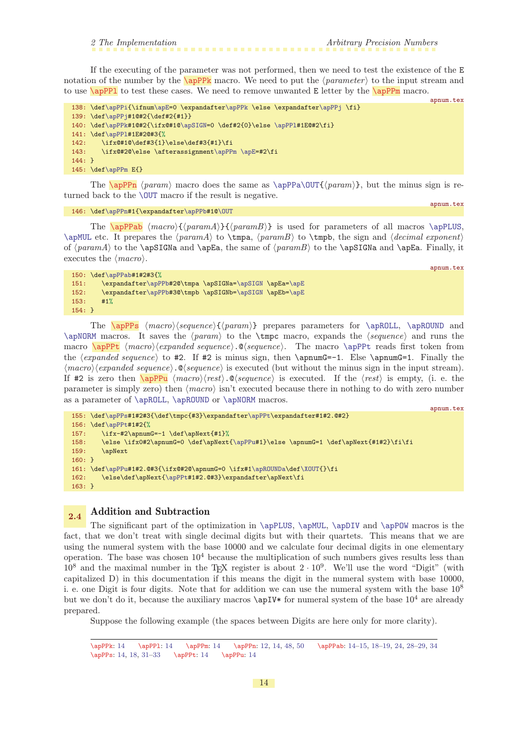<span id="page-13-1"></span>If the executing of the parameter was not performed, then we need to test the existence of the E notation of the number by the  $\qquad$  nacro. We need to put the  $\langle parameter \rangle$  to the input stream and to use  $\alpha$  to test these cases. We need to remove unwanted E letter by the  $\alpha$ PPm macro.

```
apnum.tex
138: \def\apPPi{\ifnum\apE=0 \expandafter\apPPk \else \expandafter\apPPj \fi}
139: \def\apPPj#1@#2{\def#2{#1}}
\apPPk\apSIGN\apPPl#1E@#2\fi}
141: \def\apPPl#1E#2@#3{%
142: \ifx@#1@\def#3{1}\else\def#3{#1}\fi
143: \ifx@#2@\else \afterassignment\apPPm \apE=#2\fi
144: }
\apPPm E{}
```
<span id="page-13-4"></span>The  $\alpha$  maramit macro does the same as  $\alpha$   $\Upsilon$ {*param*}, but the minus sign is returned back to the [\OUT](#page-9-4) macro if the result is negative.

```
\apPPn\apPPb\OUT
```
<span id="page-13-3"></span>apnum.tex

apnum.tex

<span id="page-13-5"></span>The  $\applement{\apph\langle max\{\gamma\}\{\gamma\}}$  is used for parameters of all macros  $\apph\cup\$ [\apMUL](#page-17-6) etc. It prepares the  $\{paramA\}$  to  $\times B$  to  $\times B$ , to  $\times B$ , the sign and  $\{decimal\ exponent\}$ of  $\{paramA\}$  to the **\apSIGNa** and **\apEa**, the same of  $\{paramB\}$  to the **\apSIGNa** and **\apEa.** Finally, it executes the  $\langle macro\rangle$ .

```
150: \def\apPPab#1#2#3{%
151: \expandafter\apPPb#2@\tmpa \apSIGNa=\apSIGN \apEa=\apE
152: \expandafter\apPPb#3@\tmpb \apSIGNb=\apSIGN \apEb=\apE
153: #1%
154: }
```
<span id="page-13-7"></span><span id="page-13-6"></span>The  $\applement{\text{appPs}}$   $\text{mean}(gamma)\$  prepares parameters for  $\applement{\text{appPs}}$  and [\apNORM](#page-30-4) macros. It saves the  $\{param\}$  to the \tmpc macro, expands the  $\{sequence\}$  and runs the macro  $\apph{apPpt (macro\eepanded sequence)}.$  (sequence). The macro  $\apph{apPpt}$  reads first token from the  $\langle expanded\ sequence\rangle$  to #2. If #2 is minus sign, then  $\applement$ -1. Else  $\applement$ -1. Finally the  $\langle macro \rangle$ (*expanded sequence*).  $\mathcal{O}$ (*sequence*) is executed (but without the minus sign in the input stream). If #2 is zero then  $\qquad$  hmacro $\rangle$ (rest).  $\otimes$ (sequence) is executed. If the (rest) is empty, (i. e. the parameter is simply zero) then  $\langle macro \rangle$  isn't executed because there in nothing to do with zero number as a parameter of [\apROLL](#page-30-2), [\apROUND](#page-30-3) or [\apNORM](#page-30-4) macros.

```
apnum.tex
155: \def\apPPs#1#2#3{\def\tmpc{#3}\expandafter\apPPt\expandafter#1#2.@#2}
156: \def\apPPt#1#2{%
157: \i{rx-H2\apnumG=-1 \def\apnextight{\#1}{\%}158: \else \ifx0#2\apnumG=0 \def\apNext{\apPPu#1}\else \apnumG=1 \def\apNext{#1#2}\fi\fi
159: \apNext
160: }
161: \def\ap{{\mathcal{A}\over 1}}\fi\162: \else\def\apNext{\apPPt#1#2.@#3}\expandafter\apNext\fi
163: }
```
# <span id="page-13-9"></span>2.4 Addition and Subtraction

The significant part of the optimization in [\apPLUS](#page-14-0), [\apMUL](#page-17-6), [\apDIV](#page-22-0) and [\apPOW](#page-27-7) macros is the fact, that we don't treat with single decimal digits but with their quartets. This means that we are using the numeral system with the base 10000 and we calculate four decimal digits in one elementary operation. The base was chosen  $10<sup>4</sup>$  because the multiplication of such numbers gives results less than  $10^8$  and the maximal number in the T<sub>E</sub>X register is about  $2 \cdot 10^9$ . We'll use the word "Digit" (with capitalized D) in this documentation if this means the digit in the numeral system with base 10000, i. e. one Digit is four digits. Note that for addition we can use the numeral system with the base  $10^8$ but we don't do it, because the auxiliary macros  $\ap{\apounds}$  for numeral system of the base  $10^4$  are already prepared.

Suppose the following example (the spaces between Digits are here only for more clarity).

<sup>\</sup>apPPk: 14 \apPPl: 14 \apPPm: 14 \apPPn: [12](#page-11-1), 14, [48](#page-47-1), [50](#page-49-1) \apPPab: 14[–15,](#page-14-1) [18](#page-17-1)–[19](#page-18-1), [24,](#page-23-1) [28](#page-27-1)[–29,](#page-28-1) [34](#page-33-1) \apPPs: 14, [18,](#page-17-1) [31](#page-30-1)[–33](#page-32-1) \apPPt: 14 \apPPu: 14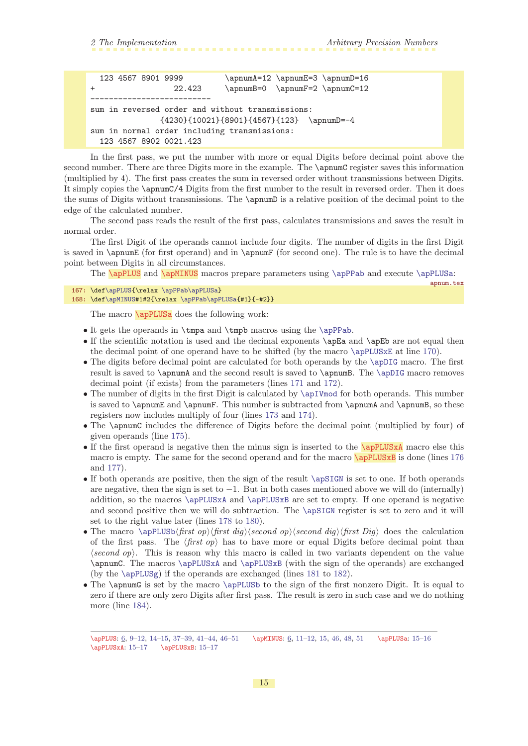```
123 4567 8901 9999 \apnumA=12 \apnumE=3 \apnumD=16
+ 22.423 \apnumB=0 \apnumF=2 \apnumC=12
         --------------------------
sum in reversed order and without transmissions:
              {4230}{10021}{8901}{4567}{123} \apnumD=-4
sum in normal order including transmissions:
 123 4567 8902 0021.423
```
In the first pass, we put the number with more or equal Digits before decimal point above the second number. There are three Digits more in the example. The \apnumC register saves this information (multiplied by 4). The first pass creates the sum in reversed order without transmissions between Digits. It simply copies the \apnumC/4 Digits from the first number to the result in reversed order. Then it does the sums of Digits without transmissions. The \apnumD is a relative position of the decimal point to the edge of the calculated number.

The second pass reads the result of the first pass, calculates transmissions and saves the result in normal order.

The first Digit of the operands cannot include four digits. The number of digits in the first Digit is saved in \apnumE (for first operand) and in \apnumF (for second one). The rule is to have the decimal point between Digits in all circumstances.

<span id="page-14-2"></span><span id="page-14-0"></span>The [\apPLUS](#page-5-0) and [\apMINUS](#page-5-2) macros prepare parameters using [\apPPab](#page-13-5) and execute [\apPLUSa](#page-14-3):

```
\apPLUS\apPPab\apPLUSa}
168: \def\apMINUS#1#2{\relax \apPPab\apPLUSa{#1}{-#2}}
```
<span id="page-14-3"></span>The macro **\apPLUSa** does the following work:

- It gets the operands in \tmpa and \tmpb macros using the [\apPPab](#page-13-5).
- If the scientific notation is used and the decimal exponents  $\apalg$ Ea and  $\apset$ apEb are not equal then the decimal point of one operand have to be shifted (by the macro [\apPLUSxE](#page-17-4) at line [170\)](#page-15-2).
- The digits before decimal point are calculated for both operands by the [\apDIG](#page-32-10) macro. The first result is saved to \apnumA and the second result is saved to \apnumB. The [\apDIG](#page-32-10) macro removes decimal point (if exists) from the parameters (lines [171](#page-15-3) and [172](#page-15-4)).
- The number of digits in the first Digit is calculated by  $\apalg$  The operands. This number is saved to \apnumE and \apnumF. This number is subtracted from \apnumA and \apnumB, so these registers now includes multiply of four (lines [173](#page-15-5) and [174\)](#page-15-6).
- The **\apnumC** includes the difference of Digits before the decimal point (multiplied by four) of given operands (line [175\)](#page-15-7).
- <span id="page-14-5"></span><span id="page-14-4"></span>• If the first operand is negative then the minus sign is inserted to the  $\alpha$ PLUSxA macro else this macro is empty. The same for the second operand and for the macro  $\qquadsqrt{\frac{appLUSxB}{apPLUSxB}}$  is done (lines [176](#page-15-8)) and [177](#page-15-9)).
- If both operands are positive, then the sign of the result [\apSIGN](#page-8-4) is set to one. If both operands are negative, then the sign is set to  $-1$ . But in both cases mentioned above we will do (internally) addition, so the macros [\apPLUSxA](#page-14-4) and [\apPLUSxB](#page-14-5) are set to empty. If one operand is negative and second positive then we will do subtraction. The [\apSIGN](#page-8-4) register is set to zero and it will set to the right value later (lines [178](#page-15-10) to [180](#page-15-11)).
- The macro  $\apph{\text{list }\n}$  is the calculation ophic term of  $\geq \frac{d}{g}\frac{d}{g}\frac{b}{f}$  does the calculation of the first pass. The  $\langle first op \rangle$  has to have more or equal Digits before decimal point than  $\langle second\ op \rangle$ . This is reason why this macro is called in two variants dependent on the value \apnumC. The macros [\apPLUSxA](#page-14-4) and [\apPLUSxB](#page-14-5) (with the sign of the operands) are exchanged (by the [\apPLUSg](#page-16-4)) if the operands are exchanged (lines [181](#page-15-12) to [182](#page-15-13)).
- The \apnumG is set by the macro [\apPLUSb](#page-15-0) to the sign of the first nonzero Digit. It is equal to zero if there are only zero Digits after first pass. The result is zero in such case and we do nothing more (line [184](#page-15-14)).

<sup>\</sup>apPLUS: [6](#page-5-1), [9–](#page-8-1)[12](#page-11-1), [14](#page-13-1)–15, [37–](#page-36-1)[39](#page-38-1), [41](#page-40-1)–[44,](#page-43-1) [46–](#page-45-1)[51](#page-50-1) \apMINUS: [6](#page-5-1), [11](#page-10-1)[–12,](#page-11-1) 15, [46,](#page-45-1) [48](#page-47-1), [51](#page-50-1) \apPLUSa: 15–[16](#page-15-1)  $\ap{{PLUSxA: 15-17} \ap{{PLUSxB: 15-17}}$  $\ap{{PLUSxA: 15-17} \ap{{PLUSxB: 15-17}}$  $\ap{{PLUSxA: 15-17} \ap{{PLUSxB: 15-17}}$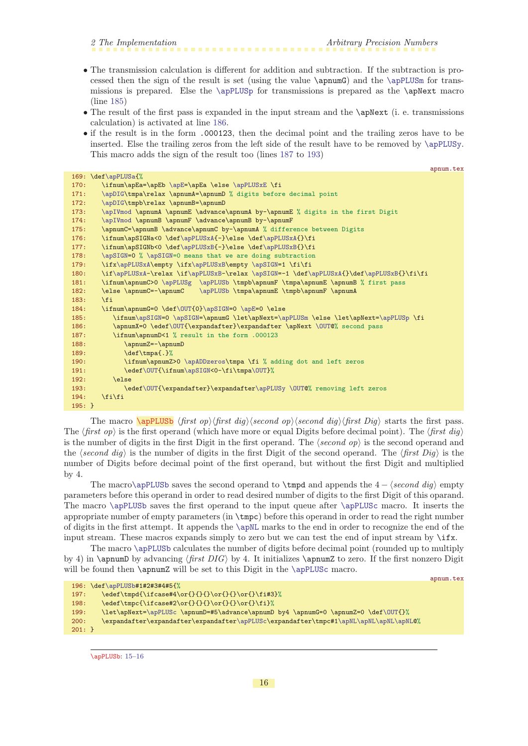- <span id="page-15-1"></span>• The transmission calculation is different for addition and subtraction. If the subtraction is processed then the sign of the result is set (using the value \apnumG) and the [\apPLUSm](#page-16-7) for transmissions is prepared. Else the [\apPLUSp](#page-16-8) for transmissions is prepared as the \apNext macro (line [185\)](#page-15-15)
- The result of the first pass is expanded in the input stream and the **\apNext** (i. e. transmissions calculation) is activated at line [186](#page-15-16).
- if the result is in the form .000123, then the decimal point and the trailing zeros have to be inserted. Else the trailing zeros from the left side of the result have to be removed by [\apPLUSy](#page-17-2). This macro adds the sign of the result too (lines [187](#page-15-17) to [193](#page-15-18))

<span id="page-15-13"></span><span id="page-15-12"></span><span id="page-15-11"></span><span id="page-15-10"></span><span id="page-15-9"></span><span id="page-15-8"></span><span id="page-15-7"></span><span id="page-15-6"></span><span id="page-15-5"></span><span id="page-15-4"></span><span id="page-15-3"></span><span id="page-15-2"></span>

|          | арицш. сех                                                                              |
|----------|-----------------------------------------------------------------------------------------|
|          | 169: \def\apPLUSa{%                                                                     |
| 170:     | \ifnum\apEa=\apEb \apE=\apEa \else \apPLUSxE \fi                                        |
| 171:     | \apDIG\tmpa\relax \apnumA=\apnumD % digits before decimal point                         |
| 172:     | \apDIG\tmpb\relax \apnumB=\apnumD                                                       |
| 173:     | \apIVmod \apnumA \apnumE \advance\apnumA by-\apnumE % digits in the first Digit         |
| 174:     | \apIVmod \apnumB \apnumF \advance\apnumB by-\apnumF                                     |
| 175:     | \apnumC=\apnumB \advance\apnumC by-\apnumA % difference between Digits                  |
| 176:     | \ifnum\apSIGNa<0 \def\apPLUSxA{-}\else \def\apPLUSxA{}\fi                               |
| 177:     | \ifnum\apSIGNb<0 \def\apPLUSxB{-}\else \def\apPLUSxB{}\fi                               |
| 178:     | \apSIGN=0 % \apSIGN=0 means that we are doing subtraction                               |
| 179:     | \ifx\apPLUSxA\empty \ifx\apPLUSxB\empty \apSIGN=1 \fi\fi                                |
| 180:     | \if\apPLUSxA-\relax \if\apPLUSxB-\relax \apSIGN=-1 \def\apPLUSxA{}\def\apPLUSxB{}\fi\fi |
| 181:     | \ifnum\apnumC>0 \apPLUSg \apPLUSb \tmpb\apnumF \tmpa\apnumE \apnumB % first pass        |
| 182:     | \else \apnumC=-\apnumC \apPLUSb \tmpa\apnumE \tmpb\apnumF \apnumA                       |
| 183:     | \fi                                                                                     |
| 184:     | \ifnum\apnumG=0 \def\OUT{0}\apSIGN=0 \apE=0 \else                                       |
| 185:     | \ifnum\apSIGN=0 \apSIGN=\apnumG \let\apNext=\apPLUSm \else \let\apNext=\apPLUSp \fi     |
| 186:     | \apnumX=0 \edef\OUT{\expandafter}\expandafter \apNext \OUT@% second pass                |
| 187:     | \ifnum\apnumD<1 % result in the form .000123                                            |
| 188:     | \apnumZ=-\apnumD                                                                        |
| 189:     | \def\tmpa{.}%                                                                           |
| 190:     | \ifnum\apnumZ>0 \apADDzeros\tmpa \fi % adding dot and left zeros                        |
| 191:     | \edef\0UT{\ifnum\apSIGN<0-\fi\tmpa\0UT}%                                                |
| 192:     | <b>\else</b>                                                                            |
| 193:     | \edef\OUT{\expandafter}\expandafter\apPLUSy \OUT@% removing left zeros                  |
| 194:     | \fi\fi                                                                                  |
| $195:$ } |                                                                                         |

<span id="page-15-18"></span><span id="page-15-17"></span><span id="page-15-16"></span><span id="page-15-15"></span><span id="page-15-14"></span><span id="page-15-0"></span>The macro  $\alpha \$  (first op) (first dig) (second op) (second dig) (first Dig) starts the first pass. The  $\langle first\ op\rangle$  is the first operand (which have more or equal Digits before decimal point). The  $\langle first\ dig\rangle$ is the number of digits in the first Digit in the first operand. The  $\langle second\text{ }on \rangle$  is the second operand and the (second dig) is the number of digits in the first Digit of the second operand. The  $\frac{first\ Dig}{i}$  is the number of Digits before decimal point of the first operand, but without the first Digit and multiplied by 4.

The macro[\apPLUSb](#page-15-0) saves the second operand to \tmpd and appends the  $4 - \text{second } dig$  empty parameters before this operand in order to read desired number of digits to the first Digit of this oparand. The macro [\apPLUSb](#page-15-0) saves the first operand to the input queue after [\apPLUSc](#page-16-0) macro. It inserts the appropriate number of empty parameters (in \tmpc) before this operand in order to read the right number of digits in the first attempt. It appends the [\apNL](#page-33-9) marks to the end in order to recognize the end of the input stream. These macros expands simply to zero but we can test the end of input stream by \ifx.

The macro [\apPLUSb](#page-15-0) calculates the number of digits before decimal point (rounded up to multiply by 4) in  $\apaumb$  by advancing  $\frac{first\ DIG}{\rm b}$  by 4. It initializes  $\apaumbZ$  to zero. If the first nonzero Digit will be found then **\apnumZ** will be set to this Digit in the **[\apPLUSc](#page-16-0)** macro.

```
apnum.tex
196: \def\apPLUSb#1#2#3#4#5{%
197: \edef\tmpd{\ifcase#4\or{}{}{}\or{}{}\or{}\fi#3}%
198: \edef\tmpc{\ifcase#2\or{}{}{}\or{}{}\or{}\fi}%
=\apPLUScf\OUT{}%
\apPLUSc\1\apNL\apNL\apNL\apNL@%
201:}
```

```
\apPLUSb: 15–16
```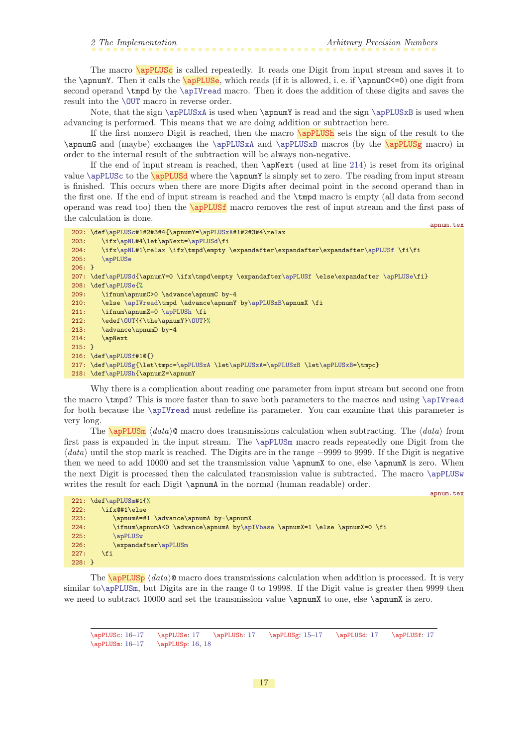<span id="page-16-2"></span><span id="page-16-1"></span><span id="page-16-0"></span>The macro **\apPLUSc** is called repeatedly. It reads one Digit from input stream and saves it to the \apnumY. Then it calls the \apPLUSe, which reads (if it is allowed, i. e. if \apnumC<=0) one digit from second operand \tmpd by the [\apIVread](#page-33-7) macro. Then it does the addition of these digits and saves the result into the [\OUT](#page-9-4) macro in reverse order.

Note, that the sign [\apPLUSxA](#page-14-4) is used when \apnumY is read and the sign [\apPLUSxB](#page-14-5) is used when advancing is performed. This means that we are doing addition or subtraction here.

<span id="page-16-4"></span><span id="page-16-3"></span>If the first nonzero Digit is reached, then the macro \apPLUSh sets the sign of the result to the \apnumG and (maybe) exchanges the [\apPLUSxA](#page-14-4) and [\apPLUSxB](#page-14-5) macros (by the \apPLUSg macro) in order to the internal result of the subtraction will be always non-negative.

<span id="page-16-5"></span>If the end of input stream is reached, then  $\alpha$  (used at line [214\)](#page-16-9) is reset from its original value  $\apph{vsc to the \ap{{\text{v}}\def\thq{\text{u}}\def\thq{\text{u}}\def\thq{\text{u}}\def\thq{\text{u}}\def\thq{\text{u}}\def\thq{\text{u}}\def\thq{\text{u}}\def\thq{\text{u}}\def\thq{\text{u}}\def\thq{\text{u}}\def\thq{\text{u}}\def\thq{\text{u}}\def\thq{\text{u}}\def\thq{\text{u}}\def\thq{\text{u}}\def\thq{\text{u}}\def\thq{\text{u}}\def\thq{\text{u}}\def\thq{\text{u}}\def\thq{\text{$ is finished. This occurs when there are more Digits after decimal point in the second operand than in the first one. If the end of input stream is reached and the \tmpd macro is empty (all data from second operand was read too) then the \apPLUSf macro removes the rest of input stream and the first pass of the calculation is done. apnum.tex

```
202: \def\apPLUSc#1#2#3#4{\apnumY=\apPLUSxA#1#2#3#4\relax
\apNL#\apPLUSd\fi
204: \ifx\apNL#1\relax \ifx\tmpd\empty \expandafter\expandafter\expandafter\apPLUSf \fi\fi
205: \apPLUSe
206: }
207: \def\apPLUSd{\apnumY=0 \ifx\tmpd\empty \expandafter\apPLUSf \else\expandafter \apPLUSe\fi}
208: \def\apPLUSe{%
209: \ifnum\apnumC>0 \advance\apnumC by-4
\apIVread\apPLUSxB\apnumX \fi
211: \ifnum\apnumZ=0 \apPLUSh \fi
\OUT{\OUT}%
213: \advance\apnumD by-4
214: \apNext
215 \cdot 3216: \def\apPLUSf#1@{}
\apPLUSg{=\apPLUSxA\apPLUSxA=\apPLUSxBt\apPLUSxB=\tmpc}
218: \def\apPLUSh{\apnumZ=\apnumY
```
<span id="page-16-9"></span>Why there is a complication about reading one parameter from input stream but second one from the macro \tmpd? This is more faster than to save both parameters to the macros and using [\apIVread](#page-33-7) for both because the [\apIVread](#page-33-7) must redefine its parameter. You can examine that this parameter is very long.

<span id="page-16-7"></span>The  $\alpha$  data) macro does transmissions calculation when subtracting. The  $\langle data \rangle$  from first pass is expanded in the input stream. The [\apPLUSm](#page-16-7) macro reads repeatedly one Digit from the  $\langle data \rangle$  until the stop mark is reached. The Digits are in the range −9999 to 9999. If the Digit is negative then we need to add 10000 and set the transmission value  $\apnumX$  to one, else  $\apnumX$  is zero. When the next Digit is processed then the calculated transmission value is subtracted. The macro [\apPLUSw](#page-17-0) writes the result for each Digit  $\apreak\$  apnumA in the normal (human readable) order.

|          |                                                                           | apnum.tex |
|----------|---------------------------------------------------------------------------|-----------|
|          | $221: \def\apPLUSm#1{\%}$                                                 |           |
| 222:     | \ifx@#1\else                                                              |           |
| 223:     | \apnumA=#1 \advance\apnumA by-\apnumX                                     |           |
| 224:     | \ifnum\apnumA<0 \advance\apnumA by\apIVbase \apnumX=1 \else \apnumX=0 \fi |           |
| 225:     | \apPLUSw                                                                  |           |
| 226:     | \expandafter\apPLUSm                                                      |           |
| 227:     | \fi                                                                       |           |
| $228:$ } |                                                                           |           |

<span id="page-16-8"></span>The  $\alpha$  /apPLUSp  $\langle data \rangle$  macro does transmissions calculation when addition is processed. It is very similar to[\apPLUSm](#page-16-7), but Digits are in the range 0 to 19998. If the Digit value is greater then 9999 then we need to subtract 10000 and set the transmission value \apnumX to one, else \apnumX is zero.

\apPLUSc: [16–](#page-15-1)17 \apPLUSe: 17 \apPLUSh: 17 \apPLUSg: [15–](#page-14-1)17 \apPLUSd: 17 \apPLUSf: 17 \apPLUSm: [16](#page-15-1)-17 \apPLUSp: [16,](#page-15-1) [18](#page-17-1)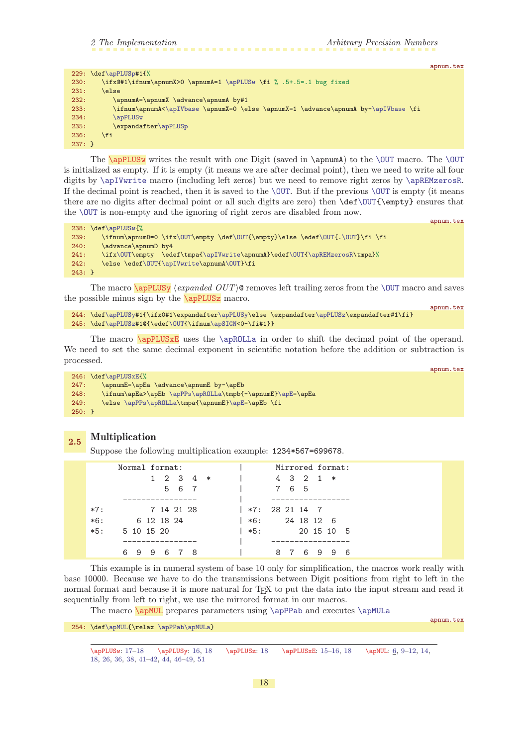<span id="page-17-1"></span>

|          |                                                                                    | apnum.tex |
|----------|------------------------------------------------------------------------------------|-----------|
|          | 229: $\def\ap{{\cal E}{\cal E}}$                                                   |           |
| 230:     | \ifx@#1\ifnum\apnumX>0 \apnumA=1 \apPLUSw \fi % .5+.5=.1 bug fixed                 |           |
| 231:     | \else                                                                              |           |
| 232:     | \apnumA=\apnumX \advance\apnumA by#1                                               |           |
| 233:     | \ifnum\apnumA<\apIVbase \apnumX=0 \else \apnumX=1 \advance\apnumA by-\apIVbase \fi |           |
| 234:     | \apPLUSw                                                                           |           |
| 235:     | \expandafter\apPLUSp                                                               |           |
| 236:     | \fi                                                                                |           |
| $237:$ } |                                                                                    |           |
|          |                                                                                    |           |

<span id="page-17-0"></span>The  $\ap{{\mathsf{a}}\nu}{\mathsf{a}}$  writes the result with one Digit (saved in  $\ap{{\mathsf{a}}\nu}{\mathsf{a}}$ ) to the  $\rm{OUT}$  macro. The  $\rm{OUT}$ is initialized as empty. If it is empty (it means we are after decimal point), then we need to write all four digits by [\apIVwrite](#page-34-0) macro (including left zeros) but we need to remove right zeros by [\apREMzerosR](#page-34-10). If the decimal point is reached, then it is saved to the  $\overline{OUT}$ . But if the previous  $\overline{OUT}$  is empty (it means there are no digits after decimal point or all such digits are zero) then \def[\OUT{](#page-9-4)\empty} ensures that the [\OUT](#page-9-4) is non-empty and the ignoring of right zeros are disabled from now.

```
\apPLUSw{%<br>239: \ifnum\appu
     x\OUT\OUT{f\OUT\OUT}\fi \fi
240: \advance\apnumD by4
241: \ifx\OUT\empty \edef\tmpa{\apIVwrite\apnumA}\edef\OUT{\apREMzerosR\tmpa}%
f\OUT{\apIVwrite\A\OUT}\fi
243: }
```
<span id="page-17-2"></span>The macro  $\qquad$   $\qquad$   $\qquad$   $\qquad$   $\qquad$   $\qquad$   $\qquad$   $\qquad$   $\qquad$   $\qquad$   $\qquad$   $\qquad$   $\qquad$   $\qquad$   $\qquad$   $\qquad$   $\qquad$   $\qquad$   $\qquad$   $\qquad$   $\qquad$   $\qquad$   $\qquad$   $\qquad$   $\qquad$   $\qquad$   $\qquad$   $\qquad$   $\qquad$   $\qquad$   $\qquad$   $\qquad$   $\qquad$   $\qquad$   $\qquad$  the possible minus sign by the **\apPLUSz** macro.

```
244: \def\ap{{\bf 1} \frac{1}{\sigma} \exp{{\bf 1} \exp{{\bf 1} \exp{{\bf 1} \exp{{\bf 1} \exp{{\bf 1} \exp{{\bf 1} \exp{{\bf 1} \exp{{\bf 1} \exp{{\bf 1} \exp{{\bf 1} \exp{{\bf 1} \exp{{\bf 1} \exp{{\bf 1} \exp{{\bf 1} \exp{{\bf 1} \exp{{\bf 1} \exp{{\bf 1} \exp{{\bf 1} \exp{{\bf 1} \exp{{\bf 1} \exp{{\bf 1} \exp{{\bf 1} \exp{{\bf 1} \exp{{\bf 1} \exp{{\bf 245: \def\apPLUSz#1@{\edef\OUT{\ifnum\apSIGN<0-\fi#1}}
```
The macro **\apPLUSxE** uses the **[\apROLLa](#page-30-5)** in order to shift the decimal point of the operand. We need to set the same decimal exponent in scientific notation before the addition or subtraction is processed.

apnum.tex

apnum.tex

apnum.tex

apnum.tex

```
246: \def\apPLUSxE{%
247: \apnumE=\apEa \advance\apnumE by-\apEb<br>248: \ifnum\apEa>\apEb \apPPs\apROLLa\tmpb{
       \apPPs\apROLLa\apE=\apEa
\apPPs\apROLLa\apE=\apEb \fi
250: }
```
# <span id="page-17-5"></span>2.5 Multiplication

Suppose the following multiplication example: 1234\*567=699678.

|                | Normal format:<br>$1\ 2\ 3\ 4\ *$<br>5 6 7 |         | Mirrored format:<br>$1 4 3 2 1 *$<br>7 6 5      |
|----------------|--------------------------------------------|---------|-------------------------------------------------|
|                |                                            |         |                                                 |
| $*7:$<br>$*6:$ | 7 14 21 28<br>6 12 18 24                   |         | $\frac{1}{2}$ *7: 28 21 14 7<br>$  *6: 2418126$ |
| $*5:$          | 5 10 15 20                                 | $  *5:$ | 20 15 10 5                                      |
|                |                                            |         |                                                 |
|                | 678<br>699                                 |         | 8 7<br>699<br>- 6                               |

This example is in numeral system of base 10 only for simplification, the macros work really with base 10000. Because we have to do the transmissions between Digit positions from right to left in the normal format and because it is more natural for TEX to put the data into the input stream and read it sequentially from left to right, we use the mirrored format in our macros.

<span id="page-17-6"></span>The macro **[\apMUL](#page-5-3)** prepares parameters using **[\apPPab](#page-13-5)** and executes **[\apMULa](#page-18-0)** 

254: \def[\apMUL](#page-17-6){\relax [\apPPab](#page-13-5)[\apMULa](#page-18-0)}

\apPLUSw: [17–](#page-16-1)18 \apPLUSy: [16](#page-15-1), 18 \apPLUSz: 18 \apPLUSxE: [15](#page-14-1)[–16,](#page-15-1) 18 \apMUL: [6,](#page-5-1) [9–](#page-8-1)[12](#page-11-1), [14](#page-13-1), 18, [26](#page-25-1), [36,](#page-35-1) [38](#page-37-1), [41](#page-40-1)[–42,](#page-41-1) [44](#page-43-1), [46](#page-45-1)[–49,](#page-48-1) [51](#page-50-1)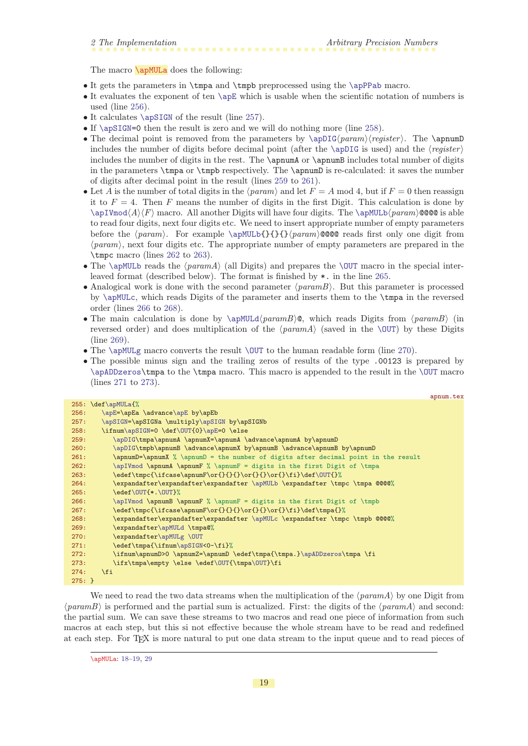<span id="page-18-1"></span><span id="page-18-0"></span>The macro **\apMULa** does the following:

- It gets the parameters in \tmpa and \tmpb preprocessed using the [\apPPab](#page-13-5) macro.
- It evaluates the exponent of ten [\apE](#page-8-5) which is usable when the scientific notation of numbers is used (line [256](#page-18-2)).
- It calculates [\apSIGN](#page-8-4) of the result (line [257\)](#page-18-3).
- If [\apSIGN](#page-8-4)=0 then the result is zero and we will do nothing more (line [258\)](#page-18-4).
- The decimal point is removed from the parameters by  $\ap{apIG(param)/register}$ . The  $\ap{apnumD}$ includes the number of digits before decimal point (after the \appIG is used) and the  $\langle$ register $\rangle$ includes the number of digits in the rest. The \apnumA or \apnumB includes total number of digits in the parameters \tmpa or \tmpb respectively. The \apnumD is re-calculated: it saves the number of digits after decimal point in the result (lines [259](#page-18-5) to [261](#page-18-6)).
- Let A is the number of total digits in the  $\langle param \rangle$  and let  $F = A \text{ mod } 4$ , but if  $F = 0$  then reassign it to  $F = 4$ . Then F means the number of digits in the first Digit. This calculation is done by  $\alpha(A)\$ F) macro. All another Digits will have four digits. The  $\apph{\alpha\mu\geqslant 0}$  and is able to read four digits, next four digits etc. We need to insert appropriate number of empty parameters before the  $\param$ . For example  $\apalg{\}{}{\apalg{\}param\@@@ reads first only one digit from$  $\langle param \rangle$ , next four digits etc. The appropriate number of empty parameters are prepared in the \tmpc macro (lines [262](#page-18-7) to [263](#page-18-8)).
- The [\apMULb](#page-19-0) reads the  $\langle param_A \rangle$  (all Digits) and prepares the [\OUT](#page-9-4) macro in the special interleaved format (described below). The format is finished by \*. in the line [265](#page-18-9).
- Analogical work is done with the second parameter  $\langle paramB \rangle$ . But this parameter is processed by [\apMULc](#page-19-2), which reads Digits of the parameter and inserts them to the \tmpa in the reversed order (lines [266](#page-18-10) to [268\)](#page-18-11).
- The main calculation is done by  $\apph{uLd}{paramB\@$ , which reads Digits from  $\pan{paramB\ }$  (in reversed order) and does multiplication of the  $\gamma$  (saved in the  $\sqrt{OUT}$ ) by these Digits (line [269\)](#page-18-12).
- The  $\alpha$  MULg macro converts the result  $\OUT$  to the human readable form (line [270\)](#page-18-13).
- The possible minus sign and the trailing zeros of results of the type .00123 is prepared by [\apADDzeros](#page-34-9)\tmpa to the \tmpa macro. This macro is appended to the result in the [\OUT](#page-9-4) macro (lines [271](#page-18-14) to [273\)](#page-18-15).

<span id="page-18-9"></span><span id="page-18-8"></span><span id="page-18-7"></span><span id="page-18-6"></span><span id="page-18-5"></span><span id="page-18-4"></span><span id="page-18-3"></span><span id="page-18-2"></span>

|          |                                                                                    | apnum.tex |
|----------|------------------------------------------------------------------------------------|-----------|
|          | 255: \def\apMULa{%                                                                 |           |
| 256:     | \apE=\apEa \advance\apE by\apEb                                                    |           |
| 257:     | \apSIGN=\apSIGNa \multiply\apSIGN by\apSIGNb                                       |           |
| 258:     | \ifnum\apSIGN=0 \def\OUT{0}\apE=0 \else                                            |           |
| 259:     | \apDIG\tmpa\apnumA \apnumX=\apnumA \advance\apnumA by\apnumD                       |           |
| 260:     | \apDIG\tmpb\apnumB \advance\apnumX by\apnumB \advance\apnumB by\apnumD             |           |
| 261:     | \apnumD=\apnumX % \apnumD = the number of digits after decimal point in the result |           |
| 262:     | \apIVmod \apnumA \apnumF % \apnumF = digits in the first Digit of \tmpa            |           |
| 263:     | \edef\tmpc{\ifcase\apnumF\or{}{}{}\or{}{}\or{}\fi}\def\0UT{}%                      |           |
| 264:     | \expandafter\expandafter\expandafter \apMULb \expandafter \tmpc \tmpa @@@@%        |           |
| 265:     | \edef\0UT{*.\0UT}%                                                                 |           |
| 266:     | \apIVmod \apnumB \apnumF % \apnumF = digits in the first Digit of \tmpb            |           |
| 267:     | \edef\tmpc{\ifcase\apnumF\or{}{}{}\or{}{}\or{}\fi}\def\tmpa{}%                     |           |
| 268:     | \expandafter\expandafter\expandafter \apMULc \expandafter \tmpc \tmpb @@@@%        |           |
| 269:     | \expandafter\apMULd \tmpa@%                                                        |           |
| 270:     | \expandafter\apMULg \OUT                                                           |           |
| 271:     | \edef\tmpa{\ifnum\apSIGN<0-\fi}%                                                   |           |
| 272:     | \ifnum\apnumD>0 \apnumZ=\apnumD \edef\tmpa{\tmpa.}\apADDzeros\tmpa \fi             |           |
| 273:     | \ifx\tmpa\empty \else \edef\OUT{\tmpa\OUT}\fi                                      |           |
| 274:     | $\overline{f}$                                                                     |           |
| $275: }$ |                                                                                    |           |

<span id="page-18-15"></span><span id="page-18-14"></span><span id="page-18-13"></span><span id="page-18-12"></span><span id="page-18-11"></span><span id="page-18-10"></span>We need to read the two data streams when the multiplication of the  $\langle param_A \rangle$  by one Digit from  $\langle paramB \rangle$  is performed and the partial sum is actualized. First: the digits of the  $\langle paramA \rangle$  and second: the partial sum. We can save these streams to two macros and read one piece of information from such macros at each step, but this si not effective because the whole stream have to be read and redefined at each step. For TEX is more natural to put one data stream to the input queue and to read pieces of

<sup>\</sup>apMULa: [18](#page-17-1)–19, [29](#page-28-1)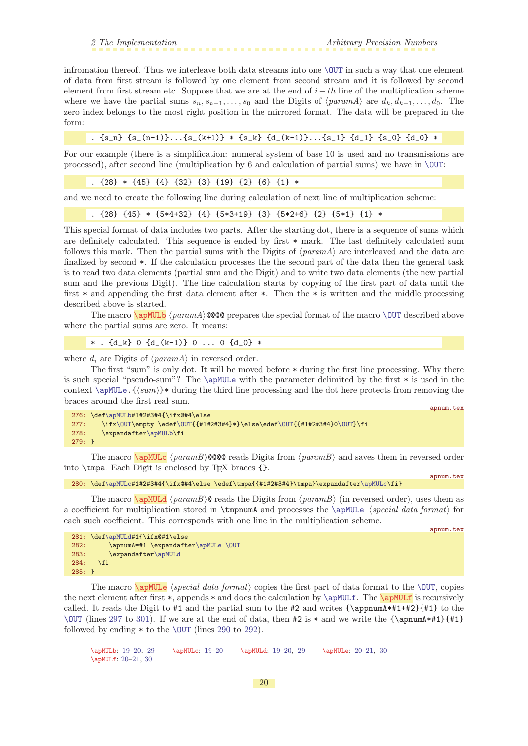<span id="page-19-1"></span>infromation thereof. Thus we interleave both data streams into one [\OUT](#page-9-4) in such a way that one element of data from first stream is followed by one element from second stream and it is followed by second element from first stream etc. Suppose that we are at the end of  $i - th$  line of the multiplication scheme where we have the partial sums  $s_n, s_{n-1}, \ldots, s_0$  and the Digits of  $\langle param_A \rangle$  are  $d_k, d_{k-1}, \ldots, d_0$ . The zero index belongs to the most right position in the mirrored format. The data will be prepared in the form:

.  $\{s_n\} \{s_{n-1}\} \ldots \{s_{k+1}\} \ast \{s_k\} \{d_{k-1}\} \ldots \{s_{k-1}\} \{d_{k-1}\} \{s_{k-1}\} \{d_{k-1}\}$ 

For our example (there is a simplification: numeral system of base 10 is used and no transmissions are processed), after second line (multiplication by 6 and calculation of partial sums) we have in  $\Upsilon$ UT:

```
. {28} * {45} {4} {32} {3} {19} {2} {6} {1} *
```
and we need to create the following line during calculation of next line of multiplication scheme:

```
. {28} {45} * {5*4+32} {4} {5*3+19} {3} {5*2+6} {2} {5*1} {1} *
```
This special format of data includes two parts. After the starting dot, there is a sequence of sums which are definitely calculated. This sequence is ended by first \* mark. The last definitely calculated sum follows this mark. Then the partial sums with the Digits of  $\langle param_A \rangle$  are interleaved and the data are finalized by second \*. If the calculation processes the the second part of the data then the general task is to read two data elements (partial sum and the Digit) and to write two data elements (the new partial sum and the previous Digit). The line calculation starts by copying of the first part of data until the first \* and appending the first data element after \*. Then the \* is written and the middle processing described above is started.

The macro  $\alpha$   $\gamma$  (paramA)@@@ prepares the special format of the macro  $\Upsilon$  described above where the partial sums are zero. It means:

<span id="page-19-0"></span>\* . {d\_k} 0 {d\_(k-1)} 0 ... 0 {d\_0} \*

where  $d_i$  are Digits of  $\langle paramA \rangle$  in reversed order.

The first "sum" is only dot. It will be moved before \* during the first line processing. Why there is such special "pseudo-sum"? The [\apMULe](#page-19-4) with the parameter delimited by the first \* is used in the context  $\{\sum_{m}\}*\$  during the third line processing and the dot here protects from removing the braces around the first real sum.

```
276: \def\apMULb#1#2#3#4{\ifx@#4\else
\OUTf\OUT\OUT{0\OUT}\fi
278: \expandafter\apMULb\fi
279: }
```
<span id="page-19-2"></span>The macro  $\a{pMULc}$  (paramB)@@@@ reads Digits from (paramB) and saves them in reversed order into  $\times$  Each Digit is enclosed by TFX braces {}.

```
\apMULc#1#2#3#4{\ifx@#4\else \edef\tmpa{{#1#2#3#4}\tmpa}\expandafter\apMULc\fi}
```
<span id="page-19-3"></span>The macro  $\qquad$   $\gamma$  (paramB)  $\alpha$  reads the Digits from  $\gamma$  aramB) (in reversed order), uses them as a coefficient for multiplication stored in  $\t{ammu}$  and processes the  $\applement$   $\verb|special data format\rangle$  for each such coefficient. This corresponds with one line in the multiplication scheme.

<span id="page-19-5"></span>apnum.tex

apnum.tex

apnum.tex

|          | 281: \def\apMULd#1{\ifx@#1\else     |  |
|----------|-------------------------------------|--|
| 282:     | \apnumA=#1 \expandafter\apMULe \OUT |  |
| 283:     | \expandafter\apMULd                 |  |
| 284:     | \fi                                 |  |
| $285:$ } |                                     |  |

<span id="page-19-4"></span>The macro \apMULe hspecial data formati copies the first part of data format to the [\OUT](#page-9-4), copies the next element after first  $\ast$ , appends  $\ast$  and does the calculation by [\apMULf](#page-19-5). The \apMULf is recursively called. It reads the Digit to  $\#1$  and the partial sum to the  $\#2$  and writes  $\{\approx A\#1+\#2\}$  to the [\OUT](#page-9-4) (lines [297](#page-20-7) to [301\)](#page-20-8). If we are at the end of data, then  $\#2$  is  $*$  and we write the {\appumA\*#1}{#1}} followed by ending  $*$  to the \CUT (lines [290](#page-20-9) to [292\)](#page-20-10).

```
19–2919213030
```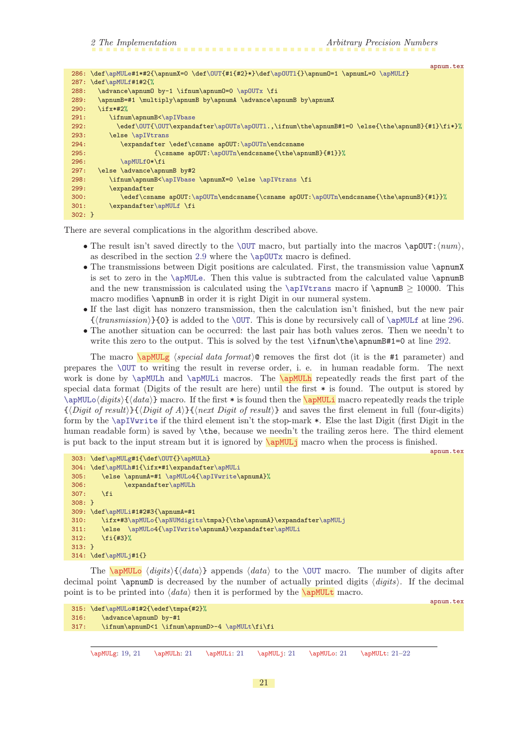<span id="page-20-6"></span>apnum.tex

<span id="page-20-10"></span><span id="page-20-9"></span><span id="page-20-1"></span>

|           | $286: \def\apMULe#1*#2{\apnumX=0 \def\OUT{#2}*\}\def\apDUT1{\apnumD=1 \apnumL=0 \apMULf}$    |
|-----------|----------------------------------------------------------------------------------------------|
|           | 287: $\def\{\MULf#1#2^{\}\$                                                                  |
| 288:      | \advance\apnum0 by-1 \ifnum\apnum0=0 \ap0UTx \fi                                             |
| 289:      | \apnumB=#1 \multiply\apnumB by\apnumA \advance\apnumB by\apnumX                              |
| 290:      | $\iota$ ifx*#2%                                                                              |
| 291:      | \ifnum\apnumB<\apIVbase                                                                      |
| 292:      | \edef\OUT{\OUT\expandafter\apOUTs\apOUT1.,\ifnum\the\apnumB#1=0 \else{\the\apnumB}{#1}\fi*}% |
| 293:      | \else \apIVtrans                                                                             |
| 294:      | \expandafter \edef\csname apOUT:\apOUTn\endcsname                                            |
| 295:      | $\{\cosh \alpha$ ap0UT: \ap0UTn\endcsname{\the\apnumB}{#1}}%                                 |
| 296:      | \apMULf0*\fi                                                                                 |
| 297:      | \else \advance\apnumB by#2                                                                   |
| 298:      | \ifnum\apnumB<\apIVbase \apnumX=0 \else \apIVtrans \fi                                       |
| 299:      | \expandafter                                                                                 |
| 300:      | \edef\csname ap0UT:\ap0UTn\endcsname{\csname ap0UT:\ap0UTn\endcsname{\the\apnumB}{#1}}%      |
| 301:      | \expandafter\apMULf \fi                                                                      |
| $302: \}$ |                                                                                              |

<span id="page-20-11"></span><span id="page-20-8"></span><span id="page-20-7"></span>There are several complications in the algorithm described above.

- The result isn't saved directly to the [\OUT](#page-9-4) macro, but partially into the macros \apOUT: $\langle num \rangle$ , as described in the section [2.9](#page-32-8) where the [\apOUTx](#page-35-2) macro is defined.
- The transmissions between Digit positions are calculated. First, the transmission value \apnumX is set to zero in the [\apMULe](#page-19-4). Then this value is subtracted from the calculated value \apnumB and the new transmission is calculated using the [\apIVtrans](#page-34-2) macro if \apnumB  $> 10000$ . This macro modifies  $\gamma$  in order it is right Digit in our numeral system.
- If the last digit has nonzero transmission, then the calculation isn't finished, but the new pair  $\{\langle transmission\rangle\}$  is added to the [\OUT](#page-9-4). This is done by recursively call of [\apMULf](#page-19-5) at line [296.](#page-20-11)
- <span id="page-20-3"></span><span id="page-20-2"></span><span id="page-20-0"></span>• The another situation can be occurred: the last pair has both values zeros. Then we needn't to write this zero to the output. This is solved by the test \ifnum\the\apnumB#1=0 at line [292.](#page-20-10)

The macro  $\gamma$   $\gamma$  hspecial data format) express the first dot (it is the #1 parameter) and prepares the [\OUT](#page-9-4) to writing the result in reverse order, i. e. in human readable form. The next work is done by  $\alpha$  apMULh and  $\alpha$ . The  $\alpha$  repeatedly reads the first part of the special data format (Digits of the result are here) until the first \* is found. The output is stored by  $\alpha\frac{digits}{data}$  macro. If the first \* is found then the  $\alpha$  macro repeatedly reads the triple  $\{\langle Digit\ of\ result\rangle\}\{\langle Digit\ of\ A\rangle\}\{\langle next\ Digit\ of\ result\rangle\}$  and saves the first element in full (four-digits) form by the [\apIVwrite](#page-34-0) if the third element isn't the stop-mark \*. Else the last Digit (first Digit in the human readable form) is saved by  $\theta$ , because we needn't the trailing zeros here. The third element is put back to the input stream but it is ignored by  $\alpha$  MUL<sub>j</sub> macro when the process is finished.

```
apnum.tex
303: \def\apMULg#1{\def\OUT{}\apMULh}
304: \def\apMULh#1{\ifx*#1\expandafter\apMULi
\apMULo\apIVwrite\apnumA}%<br>306: \expandafter\apMULh
             \apMULh
307: \fi
308: }
309: \def\apMULi#1#2#3{\apnumA=#1
310: \ifx*#3\apMULo{\apNUMdigits\tmpa}{\the\apnumA}\expandafter\apMULj
311: \else \apMULo4{\apIVwrite\apnumA}\expandafter\apMULi
312: \fi{#3}%
313: }
314: \def\apMULj#1{}
```
<span id="page-20-5"></span>The  $\qquad$   $\{digits\}$   $\{data\}$  appends  $\{data\}$  to the [\OUT](#page-9-4) macro. The number of digits after decimal point  $\epsilon$  is decreased by the number of actually printed digits  $\langle \text{digits} \rangle$ . If the decimal point is to be printed into  $\langle data \rangle$  then it is performed by the **\apMULt** macro.

```
315: \def\apMULo#1#2{\edef\tmpa{#2}%
316: \advance\apnumD by-#1
317: \ifnum\apnumD<1 \ifnum\apnumD>-4 \apMULt\fi\fi
```
\apMULg: [19](#page-18-1), 21 \apMULh: 21 \apMULi: 21 \apMULj: 21 \apMULo: 21 \apMULt: 21[–22](#page-21-1)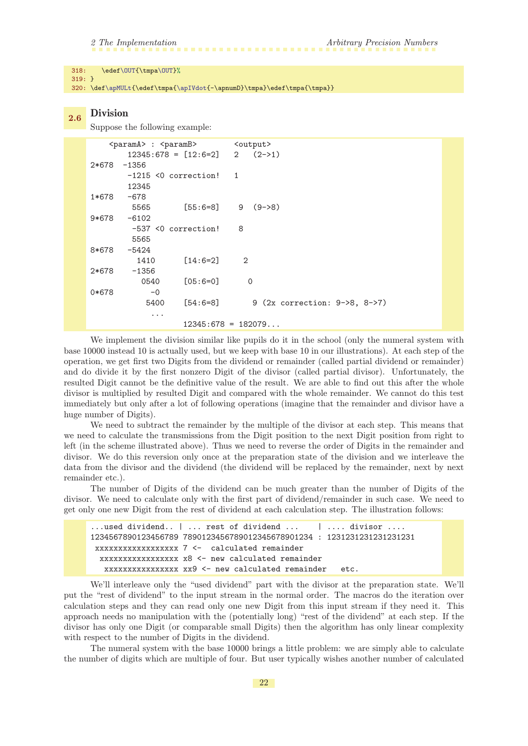#### <span id="page-21-1"></span>318: \edef[\OUT{](#page-9-4)\tmp[a\OUT](#page-9-4)}%

319: }

320: \def[\apMULt](#page-20-6){\edef\tmpa[{\apIVdot](#page-34-5){-\apnumD}\tmpa}\edef\tmpa{\tmpa}}

#### <span id="page-21-0"></span>2.6 Division

Suppose the following example:

| <parama> : <paramb></paramb></parama>         | <output></output>                    |
|-----------------------------------------------|--------------------------------------|
| $12345:678 = \lfloor 12:6=2 \rfloor$ 2 (2->1) |                                      |
| $2*678 - 1356$                                |                                      |
| $-1215$ <0 correction! 1                      |                                      |
| 12345                                         |                                      |
| $1*678 - 678$                                 |                                      |
| 5565                                          | $[55:6=8]$ 9 (9->8)                  |
| $9*678 - 6102$                                |                                      |
| -537 <0 correction!                           | 8                                    |
| 5565                                          |                                      |
| 8*678<br>-5424                                |                                      |
| $[14:6=2]$<br>1410                            | $\overline{2}$                       |
| 2*678<br>$-1356$                              |                                      |
| $\lceil 05:6=0 \rceil$<br>0540                | $\Omega$                             |
| 0*678<br>$-0$                                 |                                      |
| $\lceil 54:6=8 \rceil$<br>5400                | 9 $(2x$ correction: $9-8$ , $8-27$ ) |
| $\cdots$                                      |                                      |
|                                               | $12345:678 = 182079$                 |

We implement the division similar like pupils do it in the school (only the numeral system with base 10000 instead 10 is actually used, but we keep with base 10 in our illustrations). At each step of the operation, we get first two Digits from the dividend or remainder (called partial dividend or remainder) and do divide it by the first nonzero Digit of the divisor (called partial divisor). Unfortunately, the resulted Digit cannot be the definitive value of the result. We are able to find out this after the whole divisor is multiplied by resulted Digit and compared with the whole remainder. We cannot do this test immediately but only after a lot of following operations (imagine that the remainder and divisor have a huge number of Digits).

We need to subtract the remainder by the multiple of the divisor at each step. This means that we need to calculate the transmissions from the Digit position to the next Digit position from right to left (in the scheme illustrated above). Thus we need to reverse the order of Digits in the remainder and divisor. We do this reversion only once at the preparation state of the division and we interleave the data from the divisor and the dividend (the dividend will be replaced by the remainder, next by next remainder etc.).

The number of Digits of the dividend can be much greater than the number of Digits of the divisor. We need to calculate only with the first part of dividend/remainder in such case. We need to get only one new Digit from the rest of dividend at each calculation step. The illustration follows:

```
...used dividend.. | ... rest of dividend ... | .... divisor ....
1234567890123456789 7890123456789012345678901234 : 1231231231231231231
xxxxxxxxxxxxxxxxxx 7 <- calculated remainder
 xxxxxxxxxxxxxxxxx x8 <- new calculated remainder
  xxxxxxxxxxxxxxxx xx9 <- new calculated remainder etc.
```
We'll interleave only the "used dividend" part with the divisor at the preparation state. We'll put the "rest of dividend" to the input stream in the normal order. The macros do the iteration over calculation steps and they can read only one new Digit from this input stream if they need it. This approach needs no manipulation with the (potentially long) "rest of the dividend" at each step. If the divisor has only one Digit (or comparable small Digits) then the algorithm has only linear complexity with respect to the number of Digits in the dividend.

The numeral system with the base 10000 brings a little problem: we are simply able to calculate the number of digits which are multiple of four. But user typically wishes another number of calculated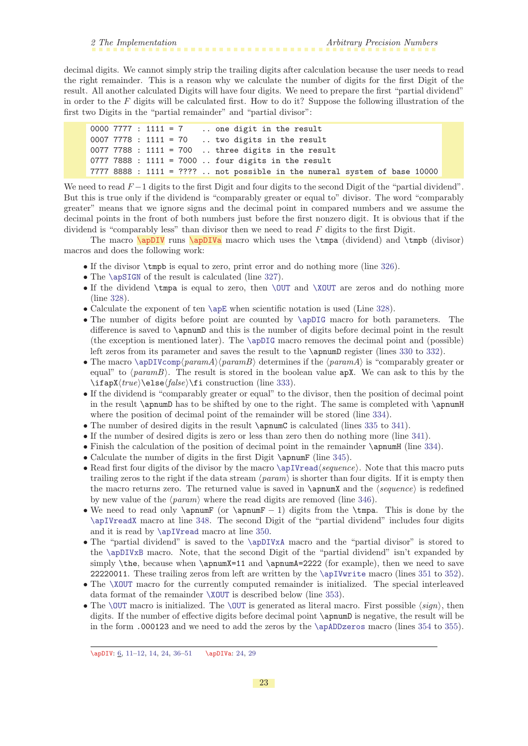<span id="page-22-1"></span>decimal digits. We cannot simply strip the trailing digits after calculation because the user needs to read the right remainder. This is a reason why we calculate the number of digits for the first Digit of the result. All another calculated Digits will have four digits. We need to prepare the first "partial dividend" in order to the  $F$  digits will be calculated first. How to do it? Suppose the following illustration of the first two Digits in the "partial remainder" and "partial divisor":

```
0000 7777 : 1111 = 7 .. one digit in the result
0007 7778 : 1111 = 70 .. two digits in the result
0077 7788 : 1111 = 700 .. three digits in the result
0777 7888 : 1111 = 7000 .. four digits in the result
7777 8888 : 1111 = ???? .. not possible in the numeral system of base 10000
```
We need to read  $F-1$  digits to the first Digit and four digits to the second Digit of the "partial dividend". But this is true only if the dividend is "comparably greater or equal to" divisor. The word "comparably greater" means that we ignore signs and the decimal point in compared numbers and we assume the decimal points in the front of both numbers just before the first nonzero digit. It is obvious that if the dividend is "comparably less" than divisor then we need to read  $F$  digits to the first Digit.

The macro  $\ap{DIV}$  runs  $\ap{DIV}$  macro which uses the  $\tt{dividend}$  and  $\tt{imp}$  (divisor) macros and does the following work:

- <span id="page-22-2"></span><span id="page-22-0"></span>• If the divisor \tmpb is equal to zero, print error and do nothing more (line [326\)](#page-23-2).
- The [\apSIGN](#page-8-4) of the result is calculated (line [327](#page-23-3)).
- If the dividend  $\times$  is equal to zero, then  $\OUT$  and  $\XOUT$  are zeros and do nothing more (line [328\)](#page-23-4).
- Calculate the exponent of ten [\apE](#page-8-5) when scientific notation is used (Line [328](#page-23-4)).
- The number of digits before point are counted by  $\alpha$ pDIG macro for both parameters. The difference is saved to \apnumD and this is the number of digits before decimal point in the result (the exception is mentioned later). The [\apDIG](#page-32-10) macro removes the decimal point and (possible) left zeros from its parameter and saves the result to the \apnumD register (lines [330](#page-23-5) to [332\)](#page-23-6).
- The macro [\apDIVcomp](#page-23-0)(paramA)(paramB) determines if the  $\langle paramA \rangle$  is "comparably greater or equal" to  $\langle paramB \rangle$ . The result is stored in the boolean value apX. We can ask to this by the  $\langle true \rangle\else\frac{\n 4}{\n 4\n 4\n 6\n 6\n 7\n 8\n 8\n 9\n 10\n 11\n 12\n 13\n 14\n 15\n 15\n 16\n 17\n 18\n 19\n 10\n 11\n 10\n 11\n 12\n 13\n 14\n 15\n 16\n 17\n 18\n 19\n 10\n 11\n 12\n 13\n 14\n 15\n 16\n 17\n 18\n 19\n 10\n 11\n 12\n 13\n 14\n 15\n 16\n 17\n 18\n 19\n 10\n 11\n$
- If the dividend is "comparably greater or equal" to the divisor, then the position of decimal point in the result \apnumD has to be shifted by one to the right. The same is completed with \apnumH where the position of decimal point of the remainder will be stored (line [334](#page-23-8)).
- The number of desired digits in the result \apnumC is calculated (lines [335](#page-23-9) to [341\)](#page-23-10).
- If the number of desired digits is zero or less than zero then do nothing more (line [341](#page-23-10)).
- Finish the calculation of the position of decimal point in the remainder  $\qquad$  (line [334\)](#page-23-8).
- Calculate the number of digits in the first Digit \apnumF (line [345](#page-23-11)).
- Read first four digits of the divisor by the macro  $\ap{\$ Tread\seq\. Note that this macro puts trailing zeros to the right if the data stream  $\langle param \rangle$  is shorter than four digits. If it is empty then the macro returns zero. The returned value is saved in  $\apreak$  \apnumX and the  $\geq$  is redefined by new value of the  $\langle param \rangle$  where the read digits are removed (line [346\)](#page-23-12).
- We need to read only  $\equiv$  (or  $\equiv$   $-1$ ) digits from the  $\times$  This is done by the [\apIVreadX](#page-33-10) macro at line [348](#page-23-13). The second Digit of the "partial dividend" includes four digits and it is read by [\apIVread](#page-33-7) macro at line [350](#page-23-14).
- The "partial dividend" is saved to the [\apDIVxA](#page-25-5) macro and the "partial divisor" is stored to the [\apDIVxB](#page-25-6) macro. Note, that the second Digit of the "partial dividend" isn't expanded by simply  $the, because when \apnumX=11 and \apnumA=2222 (for example), then we need to save$ 22220011. These trailing zeros from left are written by the [\apIVwrite](#page-34-0) macro (lines [351](#page-23-15) to [352\)](#page-23-16).
- The [\XOUT](#page-27-3) macro for the currently computed remainder is initialized. The special interleaved data format of the remainder [\XOUT](#page-27-3) is described below (line [353](#page-23-17)).
- The [\OUT](#page-9-4) macro is initialized. The \OUT is generated as literal macro. First possible  $\langle sign \rangle$ , then digits. If the number of effective digits before decimal point **\apnumD** is negative, the result will be in the form .000123 and we need to add the zeros by the [\apADDzeros](#page-34-9) macro (lines [354](#page-23-18) to [355\)](#page-23-19).

<sup>\</sup>apDIV: [6,](#page-5-1) [11](#page-10-1)-[12](#page-11-1), [14,](#page-13-1) [24](#page-23-1), [36](#page-35-1)-51 \apDIVa: [24,](#page-23-1) [29](#page-28-1)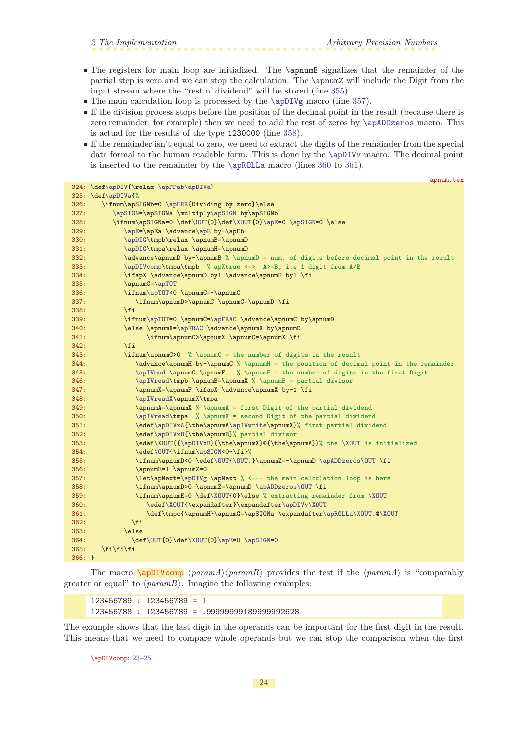- <span id="page-23-1"></span>• The registers for main loop are initialized. The \apnumE signalizes that the remainder of the partial step is zero and we can stop the calculation. The \apnumZ will include the Digit from the input stream where the "rest of dividend" will be stored (line [355\)](#page-23-19).
- The main calculation loop is processed by the [\apDIVg](#page-24-3) macro (line [357\)](#page-23-20).
- If the division process stops before the position of the decimal point in the result (because there is zero remainder, for example) then we need to add the rest of zeros by [\apADDzeros](#page-34-9) macro. This is actual for the results of the type 1230000 (line [358](#page-23-21)).
- If the remainder isn't equal to zero, we need to extract the digits of the remainder from the special data formal to the human readable form. This is done by the [\apDIVv](#page-27-4) macro. The decimal point is inserted to the remainder by the [\apROLLa](#page-30-5) macro (lines [360](#page-23-22) to [361](#page-23-23)).

```
apnum.tex
\apDIV\apPPab\apDIVa}
325: \def\apDIVa{%
326: \ifnum\apSIGNb=0 \apERR{Dividing by zero}\else
\apSIGN=y\apSIGN by\apSIGNb
f\OUT\XOUT{\apE=\apSIGN=0 \else
329: \apE=e\apE by-\apEb330: \apDIG\tmpb\relax \apnumB=\apnumD
331: \apDIG\tmpa\relax \apnumH=\apnumD
332: \advance\apnumD by-\apnumB % \apnumD = num. of digits before decimal point in the result
333: \apDIVcomp\tmpa\tmpb % apXtrue <=> A>=B, i.e 1 digit from A/B
334: \ifapX \advance\apnumD by1 \advance\apnumH by1 \fi
335: \apnumC=\apTOT
336: \ifnum\apTOT<0 \apnumC=-\apnumC
337: \ifnum\apnumD>\apnumC \apnumC=\apnumD \fi
338: \fi
339: \ifnum\apTOT=0 \apnumC=\apFRAC \advance\apnumC by\apnumD
340: \else \apnumX=\apFRAC \advance\apnumX by\apnumD
341: \ifnum\apnumC>\apnumX \apnumC=\apnumX \fi
342: \fi
343: \ifnum\apnumC>0 % \apnumC = the number of digits in the result
344: \advanc\apnumH by-\apnumC % \apnumH = the position of decimal point in the remainder345: \apIVmod \apnumC \apnumF % \apnumF = the number of digits in the first Digit
346: \apIVread\tmpb \apnumB=\apnumX % \apnumB = partial divisor
347: \apnumX=\apnumF \ifapX \advance\apnumX by-1 \fi
\apIVreadX\apnumX\tmpa
349: \apnumA=\apnumX % \apnumA = first Digit of the partial dividend
350: \ap{ \alpha \ \alpha \ \ \gamma = \text{second Digit of the partial dividend } }351: \edef\apDIVxA{\the\apnumA\apIVwrite\apnumX}% first partial dividend
352: \edef\apDIVxB{\the\apnumB}% partial divisor
353: \edef\XOUT{{\apDIVxB}{\the\apnumX}@{\the\apnumA}}% the \XOUT is initialized
\OUT{m\apSIGN<0-\fi}%
355: \ifnum\apnumD<0 \edef\OUT{\OUT.}\apnumZ=-\apnumD \apADDzeros\OUT \fi
356: \apnumE=1 \apnumZ=0
\apDIVg \apNext % <--- the main calculation loop is here
358: \ifnum\apnumD>0 \apnumZ=\apnumD \apADDzeros\OUT \fi
f\XOUT{\XOUT
360: \edef\XOUT{\expandafter}\expandafter\apDIVv\XOUT
r\apROLLa\XOUT.@\XOUT
362: \fi
363: \else
f\OUT\XOUT\apE=\apSIGN=0
365: \qquad \if{if}{fi}366: }
```
<span id="page-23-23"></span><span id="page-23-22"></span><span id="page-23-21"></span><span id="page-23-20"></span><span id="page-23-19"></span><span id="page-23-18"></span><span id="page-23-17"></span><span id="page-23-16"></span><span id="page-23-15"></span><span id="page-23-14"></span><span id="page-23-13"></span><span id="page-23-12"></span>The macro  $\qquad$   $\Phi \$   $\gamma$  haramA)  $\$  provides the test if the  $\$ greater or equal" to  $\langle paramB \rangle$ . Imagine the following examples:

<span id="page-23-0"></span>123456789 : 123456789 = 1 123456788 : 123456789 = .99999999189999992628

The example shows that the last digit in the operands can be important for the first digit in the result. This means that we need to compare whole operands but we can stop the comparison when the first

\apDIVcomp: [23–](#page-22-1)[25](#page-24-1)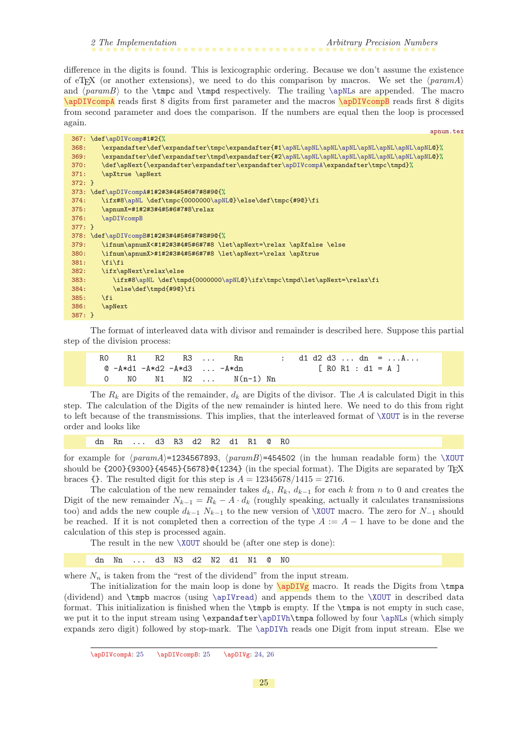<span id="page-24-1"></span><span id="page-24-0"></span>difference in the digits is found. This is lexicographic ordering. Because we don't assume the existence of eT<sub>E</sub>X (or another extensions), we need to do this comparison by macros. We set the  $\langle param_A \rangle$ and  $\{paramB\}$  to the  $\t{thpc}$  and  $\t{thpd}$  respectively. The trailing  $\apph{apNLs}$  are appended. The macro \apDIVcompA reads first 8 digits from first parameter and the macros \apDIVcompB reads first 8 digits from second parameter and does the comparison. If the numbers are equal then the loop is processed again.

<span id="page-24-2"></span>

| apnum.tex                                                                                   |  |
|---------------------------------------------------------------------------------------------|--|
| 367: \def\apDIVcomp#1#2{%                                                                   |  |
| 368:                                                                                        |  |
| 369:                                                                                        |  |
| \def\apNext{\expandafter\expandafter\expandafter\apDIVcompA\expandafter\tmpc\tmpd}%<br>370: |  |
| 371:<br>\apXtrue \apNext                                                                    |  |
| $372: }$                                                                                    |  |
| 373: \def\apDIVcompA#1#2#3#4#5#6#7#8#9@{%                                                   |  |
| \ifx#8\apNL \def\tmpc{0000000\apNL@}\else\def\tmpc{#9@}\fi<br>374:                          |  |
| \apnumX=#1#2#3#4#5#6#7#8\relax<br>375:                                                      |  |
| 376:<br>\apDIVcompB                                                                         |  |
| $377: }$                                                                                    |  |
| 378: \def\apDIVcompB#1#2#3#4#5#6#7#8#9@{%                                                   |  |
| \ifnum\apnumX<#1#2#3#4#5#6#7#8 \let\apNext=\relax \apXfalse \else<br>379:                   |  |
| \ifnum\apnumX>#1#2#3#4#5#6#7#8 \let\apNext=\relax \apXtrue<br>380:                          |  |
| \fi\fi<br>381:                                                                              |  |
| 382:<br>\ifx\apNext\relax\else                                                              |  |
| \ifx#8\apNL \def\tmpd{0000000\apNL@}\ifx\tmpc\tmpd\let\apNext=\relax\fi<br>383:             |  |
| \else\def\tmpd{#90}\fi<br>384:                                                              |  |
| 385:<br>$\overline{f}$                                                                      |  |
| 386:<br><b>\apNext</b>                                                                      |  |
| $387: }$                                                                                    |  |

The format of interleaved data with divisor and remainder is described here. Suppose this partial step of the division process:

|  | R1 R2 R3 Rn                |                          |  |  |  |  | $d1 d2 d3 \ldots dn = \ldots a \ldots$ |
|--|----------------------------|--------------------------|--|--|--|--|----------------------------------------|
|  | @ -A*d1 -A*d2 -A*d3  -A*dn |                          |  |  |  |  | $\lceil$ RO R1 : d1 = A ]              |
|  |                            | $0$ NO N1 N2 $N(n-1)$ Nn |  |  |  |  |                                        |

The  $R_k$  are Digits of the remainder,  $d_k$  are Digits of the divisor. The A is calculated Digit in this step. The calculation of the Digits of the new remainder is hinted here. We need to do this from right to left because of the transmissions. This implies, that the interleaved format of [\XOUT](#page-27-3) is in the reverse order and looks like

dn Rn ... d3 R3 d2 R2 d1 R1 @ R0

for example for  $\langle paramA \rangle$ =1234567893,  $\langle paramB \rangle$ =454502 (in the human readable form) the [\XOUT](#page-27-3) should be  $\{200\}\{9300\}\{4545\}\{5678\}\mathcal{C}\{1234\}$  (in the special format). The Digits are separated by T<sub>E</sub>X braces {}. The resulted digit for this step is  $A = 12345678/1415 = 2716$ .

The calculation of the new remainder takes  $d_k$ ,  $R_k$ ,  $d_{k-1}$  for each k from n to 0 and creates the Digit of the new remainder  $N_{k-1} = R_k - A \cdot d_k$  (roughly speaking, actually it calculates transmissions too) and adds the new couple  $d_{k-1} N_{k-1}$  to the new version of [\XOUT](#page-27-3) macro. The zero for  $N_{-1}$  should be reached. If it is not completed then a correction of the type  $A := A - 1$  have to be done and the calculation of this step is processed again.

The result in the new [\XOUT](#page-27-3) should be (after one step is done):

<span id="page-24-3"></span>dn Nn ... d3 N3 d2 N2 d1 N1 @ N0

where  $N_n$  is taken from the "rest of the dividend" from the input stream.

The initialization for the main loop is done by  $\ap{\sqrt{\text{apDIVg}}}$  macro. It reads the Digits from  $\amp{\text{tmpa}}$ (dividend) and \tmpb macros (using [\apIVread](#page-33-7)) and appends them to the [\XOUT](#page-27-3) in described data format. This initialization is finished when the \tmpb is empty. If the \tmpa is not empty in such case, we put it to the input stream using \expandafter[\apDIVh](#page-25-0)\tmpa followed by four [\apNL](#page-33-9)s (which simply expands zero digit) followed by stop-mark. The [\apDIVh](#page-25-0) reads one Digit from input stream. Else we

\apDIVcompA: 25 \apDIVcompB: 25 \apDIVg: [24](#page-23-1), [26](#page-25-1)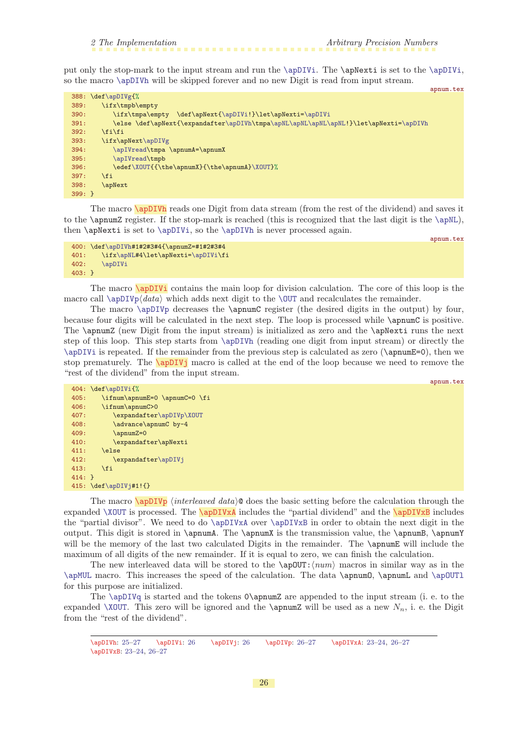<span id="page-25-1"></span>put only the stop-mark to the input stream and run the [\apDIVi](#page-25-2). The \apNexti is set to the [\apDIVi](#page-25-2), so the macro [\apDIVh](#page-25-0) will be skipped forever and no new Digit is read from input stream.

| $388: \def\ap{\alpha}f$<br>\ifx\tmpb\empty<br>389:<br>\ifx\tmpa\empty \def\apNext{\apDIVi!}\let\apNexti=\apDIVi<br>390:<br>\else \def\apNext{\expandafter\apDIVh\tmpa\apNL\apNL\apNL\apNL!}\let\apNexti=\apDIVh<br>391:<br>\fi\fi<br>392:<br>\ifx\apNext\apDIVg<br>393:<br>\apIVread\tmpa \apnumA=\apnumX<br>394:<br>\apIVread\tmpb<br>395:<br>\edef\XOUT{{\the\apnumX}{\the\apnumA}\XOUT}%<br>396:<br>397:<br>\fi<br>398:<br>\apNext<br>$399:$ } |  | apnum.tex |
|---------------------------------------------------------------------------------------------------------------------------------------------------------------------------------------------------------------------------------------------------------------------------------------------------------------------------------------------------------------------------------------------------------------------------------------------------|--|-----------|
|                                                                                                                                                                                                                                                                                                                                                                                                                                                   |  |           |
|                                                                                                                                                                                                                                                                                                                                                                                                                                                   |  |           |
|                                                                                                                                                                                                                                                                                                                                                                                                                                                   |  |           |
|                                                                                                                                                                                                                                                                                                                                                                                                                                                   |  |           |
|                                                                                                                                                                                                                                                                                                                                                                                                                                                   |  |           |
|                                                                                                                                                                                                                                                                                                                                                                                                                                                   |  |           |
|                                                                                                                                                                                                                                                                                                                                                                                                                                                   |  |           |
|                                                                                                                                                                                                                                                                                                                                                                                                                                                   |  |           |
|                                                                                                                                                                                                                                                                                                                                                                                                                                                   |  |           |
|                                                                                                                                                                                                                                                                                                                                                                                                                                                   |  |           |
|                                                                                                                                                                                                                                                                                                                                                                                                                                                   |  |           |
|                                                                                                                                                                                                                                                                                                                                                                                                                                                   |  |           |

<span id="page-25-0"></span>The macro **\apDIVh** reads one Digit from data stream (from the rest of the dividend) and saves it to the \apnumZ register. If the stop-mark is reached (this is recognized that the last digit is the [\apNL](#page-33-9)), then \apNexti is set to [\apDIVi](#page-25-2), so the [\apDIVh](#page-25-0) is never processed again.

```
400: \def\apDIVh#1#2#3#4{\apnumZ=#1#2#3#4
401: \ifx\apNL#4\let\apNexti=\apDIVi\fi
402: \apDIVi
403: }
```
<span id="page-25-2"></span>The macro **\apDIVi** contains the main loop for division calculation. The core of this loop is the macro call  $\ap{\alpha\$ 

The macro [\apDIVp](#page-25-4) decreases the \apnumC register (the desired digits in the output) by four, because four digits will be calculated in the next step. The loop is processed while \apnumC is positive. The \apnumZ (new Digit from the input stream) is initialized as zero and the \apNexti runs the next step of this loop. This step starts from [\apDIVh](#page-25-0) (reading one digit from input stream) or directly the [\apDIVi](#page-25-2) is repeated. If the remainder from the previous step is calculated as zero (\apnumE=0), then we stop prematurely. The **\apDIVj** macro is called at the end of the loop because we need to remove the "rest of the dividend" from the input stream.

```
apnum.tex
404: \def\apDIVi{%
405: \ifnum\apnumE=0 \apnumC=0 \fi
406: \ifnum\apnumC>0
407: \expandafter\apDIVp\XOUT
408: \advance\apnumC by-4
409: \apnumZ=0
410: \expandafter\apNexti
411: \else
412: \expandafter\apDIVj
413: \fi
414: }
415: \def\apDIVj#1!{}
```
<span id="page-25-6"></span><span id="page-25-5"></span><span id="page-25-4"></span>The macro  $\alpha$  interleaved data) does the basic setting before the calculation through the expanded  $XOUT$  is processed. The  $\alpha$  includes the "partial dividend" and the  $\alpha$  includes the "partial divisor". We need to do [\apDIVxA](#page-25-5) over [\apDIVxB](#page-25-6) in order to obtain the next digit in the output. This digit is stored in \apnumA. The \apnumX is the transmission value, the \apnumB, \apnumY will be the memory of the last two calculated Digits in the remainder. The **\apnumE** will include the maximum of all digits of the new remainder. If it is equal to zero, we can finish the calculation.

The new interleaved data will be stored to the  $\alpha$ DUT: $\langle num \rangle$  macros in similar way as in the [\apMUL](#page-17-6) macro. This increases the speed of the calculation. The data \apnumO, \apnumL and [\apOUTl](#page-35-4) for this purpose are initialized.

The  $\ap{\alpha}$  is started and the tokens  $\alpha$  appended to the input stream (i. e. to the expanded [\XOUT](#page-27-3). This zero will be ignored and the \apnumZ will be used as a new  $N_n$ , i. e. the Digit from the "rest of the dividend".

 $\label{lem:main} $$\apDIVn: 25–27 $$\apDIVi: 26 $$\apDIVp: 26 $$\apDIVp: 26–27 $$\apDIVn: 23–24, 26–27 $$$  $\label{lem:main} $$\apDIVn: 25–27 $$\apDIVi: 26 $$\apDIVp: 26 $$\apDIVp: 26–27 $$\apDIVn: 23–24, 26–27 $$$  $\label{lem:main} $$\apDIVn: 25–27 $$\apDIVi: 26 $$\apDIVp: 26 $$\apDIVp: 26–27 $$\apDIVn: 23–24, 26–27 $$$  $\label{lem:main} $$\apDIVn: 25–27 $$\apDIVi: 26 $$\apDIVp: 26 $$\apDIVp: 26–27 $$\apDIVn: 23–24, 26–27 $$$  $\label{lem:main} $$\apDIVn: 25–27 $$\apDIVi: 26 $$\apDIVp: 26 $$\apDIVp: 26–27 $$\apDIVn: 23–24, 26–27 $$$  $\label{lem:main} $$\apDIVn: 25–27 $$\apDIVi: 26 $$\apDIVp: 26 $$\apDIVp: 26–27 $$\apDIVn: 23–24, 26–27 $$$  $\label{lem:main} $$\apDIVn: 25–27 $$\apDIVi: 26 $$\apDIVp: 26 $$\apDIVp: 26–27 $$\apDIVn: 23–24, 26–27 $$$  $\label{lem:main} $$\apDIVn: 25–27 $$\apDIVi: 26 $$\apDIVp: 26 $$\apDIVp: 26–27 $$\apDIVn: 23–24, 26–27 $$$  $\label{lem:main} $$\apDIVn: 25–27 $$\apDIVi: 26 $$\apDIVp: 26 $$\apDIVp: 26–27 $$\apDIVn: 23–24, 26–27 $$$ \apDIVxB: [23](#page-22-1)–[24](#page-23-1), 26–[27](#page-26-1)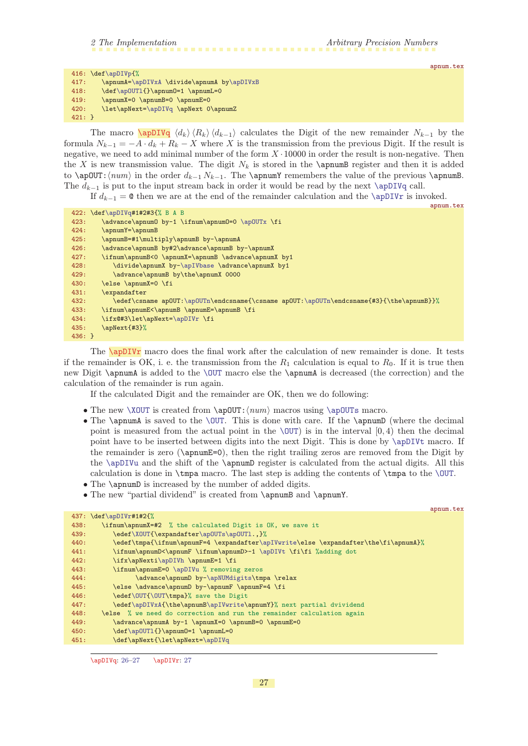```
416: \def\apDIVp{%
417: \apnumA=\apDIVxA \divide\apnumA by\apDIVxB
418: \ \det\ap{OUT1{\p\ap{nu=0}}419: \apnumX=0 \apnumB=0 \apnumE=0
420: \let\apNext=\apDIVq \apNext 0\apnumZ
421:}
```
<span id="page-26-0"></span>The macro  $\langle \text{apDIVq } \langle d_k \rangle \langle R_k \rangle \langle d_{k-1} \rangle$  calculates the Digit of the new remainder  $N_{k-1}$  by the formula  $N_{k-1} = -A \cdot d_k + R_k - X$  where X is the transmission from the previous Digit. If the result is negative, we need to add minimal number of the form  $X \cdot 10000$  in order the result is non-negative. Then the X is new transmission value. The digit  $N_k$  is stored in the \apnumB register and then it is added to \apOUT: $\langle num \rangle$  in the order  $d_{k-1} N_{k-1}$ . The \apnumY remembers the value of the previous \apnumB. The  $d_{k-1}$  is put to the input stream back in order it would be read by the next [\apDIVq](#page-26-0) call.

If  $d_{k-1} = ∅$  then we are at the end of the remainder calculation and the [\apDIVr](#page-26-2) is invoked.

|          | apnum.tex                                                                               |
|----------|-----------------------------------------------------------------------------------------|
|          | 422: \def\apDIVq#1#2#3{% B A B                                                          |
| 423:     | \advance\apnum0 by-1 \ifnum\apnum0=0 \ap0UTx \fi                                        |
| 424:     | \apnumY=\apnumB                                                                         |
| 425:     | \apnumB=#1\multiply\apnumB by-\apnumA                                                   |
| 426:     | \advance\apnumB by#2\advance\apnumB by-\apnumX                                          |
| 427:     | \ifnum\apnumB<0 \apnumX=\apnumB \advance\apnumX by1                                     |
| 428:     | \divide\apnumX by-\apIVbase \advance\apnumX by1                                         |
| 429:     | \advance\apnumB by\the\apnumX 0000                                                      |
| 430:     | \else \apnumX=0 \fi                                                                     |
| 431:     | \expandafter                                                                            |
| 432:     | \edef\csname ap0UT:\ap0UTn\endcsname{\csname ap0UT:\ap0UTn\endcsname{#3}{\the\apnumB}}% |
| 433:     | \ifnum\apnumE<\apnumB \apnumE=\apnumB \fi                                               |
| 434:     | \ifx@#3\let\apNext=\apDIVr \fi                                                          |
| 435:     | \apNext{#3}%                                                                            |
| $436:$ } |                                                                                         |

<span id="page-26-2"></span>The **\apDIVr** macro does the final work after the calculation of new remainder is done. It tests if the remainder is OK, i. e. the transmission from the  $R_1$  calculation is equal to  $R_0$ . If it is true then new Digit \apnumA is added to the [\OUT](#page-9-4) macro else the \apnumA is decreased (the correction) and the calculation of the remainder is run again.

If the calculated Digit and the remainder are OK, then we do following:

- The new  $\X0UT$  is created from  $\ap{\ap{\a}m\}$  macros using  $\ap{\ap{\a}m\}$  macro.
- The \apnumA is saved to the [\OUT](#page-9-4). This is done with care. If the \apnumD (where the decimal point is measured from the actual point in the  $\overline{OUT}$  is in the interval  $[0, 4)$  then the decimal point have to be inserted between digits into the next Digit. This is done by [\apDIVt](#page-27-0) macro. If the remainder is zero ( $\alpha$ pnumE=0), then the right trailing zeros are removed from the Digit by the [\apDIVu](#page-27-2) and the shift of the \apnumD register is calculated from the actual digits. All this calculation is done in \tmpa macro. The last step is adding the contents of \tmpa to the [\OUT](#page-9-4).
- The **\apnumD** is increased by the number of added digits.
- The new "partial dividend" is created from \apnumB and \apnumY.

|      |                                                                                     | apnum.tex |
|------|-------------------------------------------------------------------------------------|-----------|
|      | $437: \def\apDIVr#1#2{\%}$                                                          |           |
| 438: | \ifnum\apnumX=#2 % the calculated Digit is OK, we save it                           |           |
| 439: | \edef\X0UT{\expandafter\ap0UTs\ap0UT1.,}%                                           |           |
| 440: | \edef\tmpa{\ifnum\apnumF=4 \expandafter\apIVwrite\else \expandafter\the\fi\apnumA}% |           |
| 441: | \ifnum\apnumD<\apnumF \ifnum\apnumD>-1 \apDIVt \fi\fi %adding dot                   |           |
| 442: | \ifx\apNexti\apDIVh \apnumE=1 \fi                                                   |           |
| 443: | \ifnum\apnumE=0 \apDIVu % removing zeros                                            |           |
| 444: | \advance\apnumD by-\apNUMdigits\tmpa \relax                                         |           |
| 445: | \else \advance\apnumD by-\apnumF \apnumF=4 \fi                                      |           |
| 446: | \edef\OUT{\OUT\tmpa}% save the Digit                                                |           |
| 447: | \edef\apDIVxA{\the\apnumB\apIVwrite\apnumY}% next partial dvividend                 |           |
| 448: | \else % we need do correction and run the remainder calculation again               |           |
| 449: | \advance\apnumA by-1 \apnumX=0 \apnumB=0 \apnumE=0                                  |           |
| 450: | \def\ap0UT1{}\apnum0=1 \apnumL=0                                                    |           |
| 451: | \def\apNext{\let\apNext=\apDIVq                                                     |           |
|      |                                                                                     |           |

\apDIVq: [26](#page-25-1)-27 \apDIVr: 27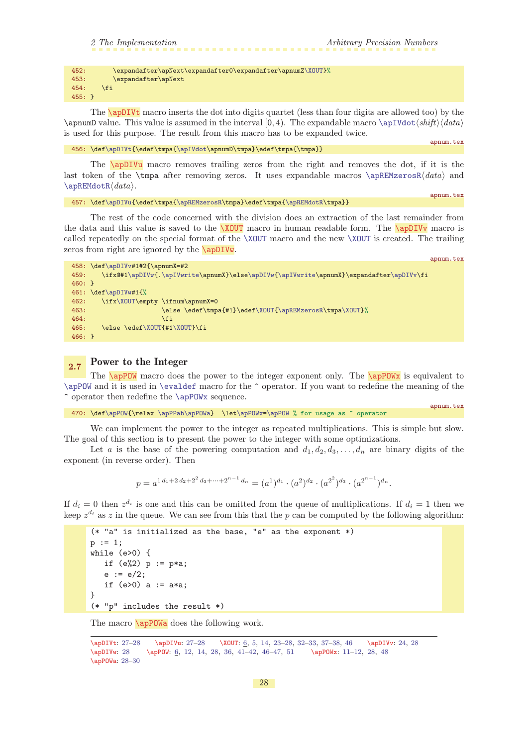|  |  |  | 2 The Implementation |
|--|--|--|----------------------|
|--|--|--|----------------------|

<span id="page-27-1"></span>

| 452:     | \expandafter\apNext\expandafter0\expandafter\apnumZ\X0UT}% |
|----------|------------------------------------------------------------|
| 453:     | \expandafter\apNext                                        |
| 454:     | \fi                                                        |
| $455:$ } |                                                            |

<span id="page-27-0"></span>The **\apDIVt** macro inserts the dot into digits quartet (less than four digits are allowed too) by the \apnumD value. This value is assumed in the interval [0, 4). The expandable macro [\apIVdot](#page-34-5) $\langle shift \rangle \langle data \rangle$ is used for this purpose. The result from this macro has to be expanded twice.

```
456: \def\ap{\text{\omega}{\alpha}\sigma{\hbox{$\mathbb N$}\end
```
apnum.tex

<span id="page-27-4"></span>apnum.tex

apnum.tex

<span id="page-27-8"></span>apnum.tex

<span id="page-27-2"></span>The **\apDIVu** macro removes trailing zeros from the right and removes the dot, if it is the last token of the  $\t{map}$  after removing zeros. It uses expandable macros  $\ap{REMzeros}(data)$  and  $\alpha\cdot R\data$ .

```
\apDIVu{\edef\ttmpa{\alpha}{\epsilon}\tmpa}{edef\ttmpa}{\alpha}t
```
The rest of the code concerned with the division does an extraction of the last remainder from the data and this value is saved to the  $XOUT$  macro in human readable form. The  $\apadesuit$ pDIVv macro is called repeatedly on the special format of the [\XOUT](#page-27-3) macro and the new [\XOUT](#page-27-3) is created. The trailing zeros from right are ignored by the **\apDIVw**.

<span id="page-27-5"></span><span id="page-27-3"></span>458: \def[\apDIVv](#page-27-4)#1#2{\apnumX=#2 459: \ifx@#[1\apDIVw{](#page-27-5)[.\apIVwrite\](#page-34-0)apnumX}\else[\apDIVw](#page-27-5){[\apIVwrite\](#page-34-0)apnumX}\expandafter[\apDIVv](#page-27-4)\fi  $460:$ 461: \def[\apDIVw](#page-27-5)#1{% 462: \ifx[\XOUT\](#page-27-3)empty \ifnum\apnumX=0 463: \else \edef\tmpa{#1}\ede[f\XOUT](#page-27-3){[\apREMzerosR](#page-34-10)\tmpa[\XOUT}](#page-27-3)%  $464:$   $\qquad \qquad \setminus fi$ 465: \else \ede[f\XOUT](#page-27-3){#[1\XOUT](#page-27-3)}\fi 466: }

# <span id="page-27-7"></span><span id="page-27-6"></span>2.7 Power to the Integer

The  $\alpha$  macro does the power to the integer exponent only. The  $\alpha$  is equivalent to [\apPOW](#page-27-7) and it is used in [\evaldef](#page-9-0) macro for the ^ operator. If you want to redefine the meaning of the ^ operator then redefine the [\apPOWx](#page-27-8) sequence.

470: \def[\apPOW](#page-27-7){\relax [\apPPab](#page-13-5)[\apPOWa](#page-27-9)} \le[t\apPOWx=](#page-27-8)[\apPOW](#page-27-7) % for usage as ^ operator

We can implement the power to the integer as repeated multiplications. This is simple but slow. The goal of this section is to present the power to the integer with some optimizations.

Let a is the base of the powering computation and  $d_1, d_2, d_3, \ldots, d_n$  are binary digits of the exponent (in reverse order). Then

$$
p = a^{1 d_1 + 2 d_2 + 2^2 d_3 + \dots + 2^{n-1} d_n} = (a^1)^{d_1} \cdot (a^2)^{d_2} \cdot (a^{2^2})^{d_3} \cdot (a^{2^{n-1}})^{d_n}.
$$

If  $d_i = 0$  then  $z^{d_i}$  is one and this can be omitted from the queue of multiplications. If  $d_i = 1$  then we keep  $z^{d_i}$  as z in the queue. We can see from this that the p can be computed by the following algorithm:

```
(* "a" is initialized as the base, "e" as the exponent *)
p := 1;while (e>0) {
   if (e%2) p := p*a;
   e := e/2;if (e>0) a := a*a;
}
(* "p" includes the result *)
```
<span id="page-27-9"></span>The macro **\apPOWa** does the following work.

```
27–276,5,14,23–32–33,37–384624, 28
\apDIVw: 28 \apPOW: 6, 12, 14, 28, 36, 41–42, 46–47, 51 \apPOWx: 11–12, 28, 48
\apPOWa: 28–30
```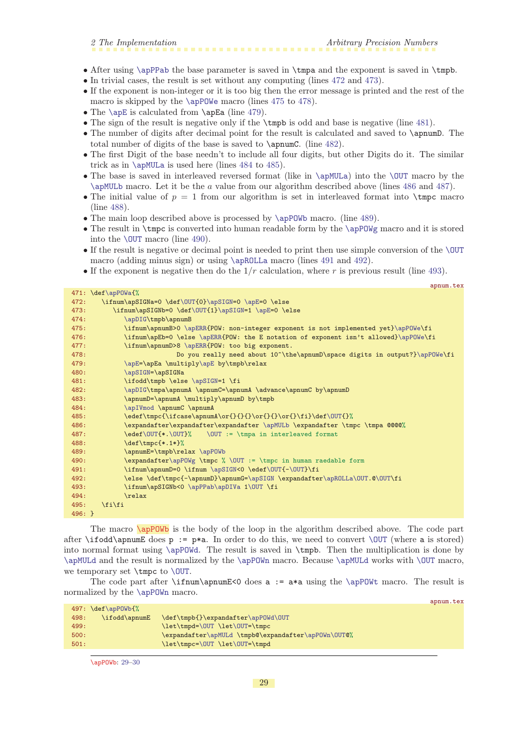- <span id="page-28-1"></span>• After using [\apPPab](#page-13-5) the base parameter is saved in \tmpa and the exponent is saved in \tmpb.
- In trivial cases, the result is set without any computing (lines [472](#page-28-2) and [473\)](#page-28-3).
- If the exponent is non-integer or it is too big then the error message is printed and the rest of the macro is skipped by the \apP0We macro (lines [475](#page-28-4) to [478](#page-28-5)).
- The [\apE](#page-8-5) is calculated from \apEa (line [479](#page-28-6)).
- The sign of the result is negative only if the \tmpb is odd and base is negative (line [481](#page-28-7)).
- The number of digits after decimal point for the result is calculated and saved to  $\epsilon$   $\lambda$ total number of digits of the base is saved to \apnumC. (line [482\)](#page-28-8).
- The first Digit of the base needn't to include all four digits, but other Digits do it. The similar trick as in  $\alpha$  is used here (lines [484](#page-28-9) to [485](#page-28-10)).
- The base is saved in interleaved reversed format (like in [\apMULa](#page-18-0)) into the [\OUT](#page-9-4) macro by the [\apMULb](#page-19-0) macro. Let it be the a value from our algorithm described above (lines [486](#page-28-11) and [487\)](#page-28-12).
- The initial value of  $p = 1$  from our algorithm is set in interleaved format into  $\t{tmpc macro}$ (line [488\)](#page-28-13).
- The main loop described above is processed by \apP0Wb macro. (line [489](#page-28-14)).
- The result in  $\t{tmpc}$  is converted into human readable form by the  $\ap{p0Wg macro}$  and it is stored into the [\OUT](#page-9-4) macro (line [490](#page-28-15)).
- If the result is negative or decimal point is needed to print then use simple conversion of the [\OUT](#page-9-4) macro (adding minus sign) or using [\apROLLa](#page-30-5) macro (lines [491](#page-28-16) and [492](#page-28-17)).
- If the exponent is negative then do the  $1/r$  calculation, where r is previous result (line [493](#page-28-18)).

<span id="page-28-9"></span><span id="page-28-8"></span><span id="page-28-7"></span><span id="page-28-6"></span><span id="page-28-5"></span><span id="page-28-4"></span><span id="page-28-3"></span><span id="page-28-2"></span>

|          | apnum.tex                                                                           |
|----------|-------------------------------------------------------------------------------------|
|          | 471: \def\apPOWa{%                                                                  |
| 472:     | \ifnum\apSIGNa=0 \def\OUT{0}\apSIGN=0 \apE=0 \else                                  |
| 473:     | \ifnum\apSIGNb=0 \def\0UT{1}\apSIGN=1 \apE=0 \else                                  |
| 474:     | \apDIG\tmpb\apnumB                                                                  |
| 475:     | \ifnum\apnumB>0 \apERR{POW: non-integer exponent is not implemented yet}\apPOWe\fi  |
| 476:     | \ifnum\apEb=0 \else \apERR{POW: the E notation of exponent isn't allowed}\apPOWe\fi |
| 477:     | \ifnum\apnumD>8 \apERR{POW: too big exponent.                                       |
| 478:     | Do you really need about 10^\the\apnumD\space digits in output?}\apPOWe\fi          |
| 479:     | \apE=\apEa \multiply\apE by\tmpb\relax                                              |
| 480:     | \apSIGN=\apSIGNa                                                                    |
| 481:     | \ifodd\tmpb \else \apSIGN=1 \fi                                                     |
| 482:     | \apDIG\tmpa\apnumA \apnumC=\apnumA \advance\apnumC by\apnumD                        |
| 483:     | \apnumD=\apnumA \multiply\apnumD by\tmpb                                            |
| 484:     | \apIVmod \apnumC \apnumA                                                            |
| 485:     | \edef\tmpc{\ifcase\apnumA\or{}{}{}\or{}{}\or{}\fi}\def\0UT{}%                       |
| 486:     | \expandafter\expandafter\expandafter \apMULb \expandafter \tmpc \tmpa @@@@%         |
| 487:     | \edef\OUT{*.\OUT}% \OUT := \tmpa in interleaved format                              |
| 488:     | $\def\tmpc{*.1*}}%$                                                                 |
| 489:     | \apnumE=\tmpb\relax \apPOWb                                                         |
| 490:     | \expandafter\apPOWg \tmpc % \OUT := \tmpc in human raedable form                    |
| 491:     | \ifnum\apnumD=0 \ifnum \apSIGN<0 \edef\0UT{-\0UT}\fi                                |
| 492:     | \else \def\tmpc{-\apnumD}\apnumG=\apSIGN \expandafter\apROLLa\OUT.@\OUT\fi          |
| 493:     | \ifnum\apSIGNb<0 \apPPab\apDIVa 1\OUT \fi                                           |
| 494:     | $\text{relax}$                                                                      |
| 495:     | \fi\fi                                                                              |
| $496:$ } |                                                                                     |
|          |                                                                                     |

<span id="page-28-18"></span><span id="page-28-17"></span><span id="page-28-16"></span><span id="page-28-15"></span><span id="page-28-14"></span><span id="page-28-13"></span><span id="page-28-12"></span><span id="page-28-11"></span><span id="page-28-10"></span><span id="page-28-0"></span>The macro **\apPOWb** is the body of the loop in the algorithm described above. The code part after \ifodd\apnumE does  $p := p*a$ . In order to do this, we need to convert [\OUT](#page-9-4) (where a is stored) into normal format using  $\ap{pQWd.}$  The result is saved in  $\thinspace \hbox{tmpb.}$  Then the multiplication is done by [\apMULd](#page-19-3) and the result is normalized by the [\apPOWn](#page-29-5) macro. Because [\apMULd](#page-19-3) works with [\OUT](#page-9-4) macro, we temporary set \tmpc to [\OUT](#page-9-4).

The code part after  $\imath\gamma\omegaE<0$  does a := a\*a using the  $\apph\omega\omega$  macro. The result is normalized by the [\apPOWn](#page-29-5) macro.

|      | $497: \def\ap{\alpha}$ |                                                     |  |
|------|------------------------|-----------------------------------------------------|--|
| 498: | \ifodd\apnumE          | \def\tmpb{}\expandafter\apP0Wd\0UT                  |  |
| 499: |                        | \let\tmpd=\0UT \let\0UT=\tmpc                       |  |
| 500: |                        | \expandafter\apMULd \tmpb@\expandafter\apPOWn\OUT@% |  |
| 501: |                        | \let\tmpc=\0UT \let\0UT=\tmpd                       |  |
|      |                        |                                                     |  |

\apPOWb: 29[–30](#page-29-1)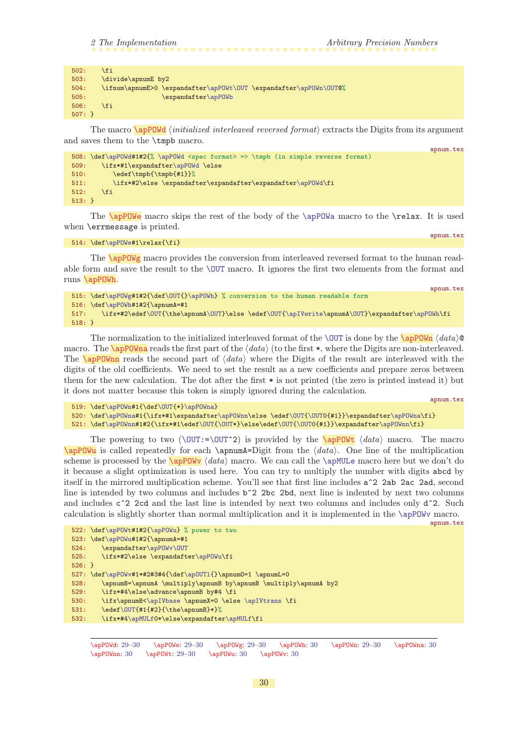apnum.tex

<span id="page-29-5"></span>apnum.tex

<span id="page-29-8"></span>apnum.tex

apnum.tex

<span id="page-29-1"></span>

| 502:         | \fi                                                               |
|--------------|-------------------------------------------------------------------|
| 503:         | \divide\apnumE by2                                                |
| 504:         | \ifnum\apnumE>0 \expandafter\apP0Wt\0UT \expandafter\apP0Wn\0UT@% |
| 505:         | \expandafter\apP0Wb                                               |
| 506:         | \fi                                                               |
| $507: \; \;$ |                                                                   |

<span id="page-29-0"></span>The macro  $\alpha$  initialized interleaved reversed format) extracts the Digits from its argument and saves them to the \tmpb macro.

```
508: \def\apPOWd#1#2{% \apPOWd <spec format> => \tmpb (in simple reverse format)
509: \ifx*#1\expandafter\apPOWd \else
510: \edef\tmpb{\tmpb{#1}}\%511: \if{x*#2\else \expandafter\expandafter\expandafter\expandafter\app0Wd\fi512.513: }
```
<span id="page-29-2"></span>The **\apPOWe** macro skips the rest of the body of the **[\apPOWa](#page-27-9)** macro to the **\relax**. It is used when \errmessage is printed.

```
514: \def\apPOWe#1\relax{\fi}
```
<span id="page-29-3"></span>The **\apPOWg** macro provides the conversion from interleaved reversed format to the human readable form and save the result to the [\OUT](#page-9-4) macro. It ignores the first two elements from the format and runs \apPOWh.

```
515: \def\apPOWg#1#2{\def\OUT{}\apPOWh} % conversion to the human readable form
516: \def\apPOWh#1#2{\apnumA=#1
517: \ifx*#2\edef\OUT{\the\apnumA\OUT}\else \edef\OUT{\apIVwrite\apnumA\OUT}\expandafter\apPOWh\fi
518: }
```
<span id="page-29-7"></span><span id="page-29-6"></span>The normalization to the initialized interleaved format of the [\OUT](#page-9-4) is done by the  $\alpha / \frac{data}{\Theta}$ macro. The **\apPOWna** reads the first part of the  $\langle data \rangle$  (to the first \*, where the Digits are non-interleaved. The  $\alpha$  POWnn reads the second part of  $\langle data \rangle$  where the Digits of the result are interleaved with the digits of the old coefficients. We need to set the result as a new coefficients and prepare zeros between them for the new calculation. The dot after the first \* is not printed (the zero is printed instead it) but it does not matter because this token is simply ignored during the calculation.

```
519: \def\apPOWn#1{\def\OUT{*}\apPOWna}
```

```
520: \def\apPOWna#1{\ifx*#1\expandafter\apPOWnn\else \edef\OUT{\OUT0{#1}}\expandafter\apPOWna\fi}
```

```
521: \def\apPOWnn#1#2{\ifx*#1\edef\OUT{\OUT*}\else\edef\OUT{\OUT0{#1}}\expandafter\apPOWnn\fi}
```
<span id="page-29-9"></span>The powering to two ( $\Upsilon$ :=[\OUT:=\OUT](#page-9-4)^2) is provided by the \apPOWt  $\langle data \rangle$  macro. The macro  $\alpha$  is called repeatedly for each  $\gamma$ -Digit from the  $\langle data \rangle$ . One line of the multiplication scheme is processed by the  $\qquad$ apPOWv  $\langle data \rangle$  macro. We can call the  $\$ apMULe macro here but we don't do it because a slight optimization is used here. You can try to multiply the number with digits abcd by itself in the mirrored multiplication scheme. You'll see that first line includes a^2 2ab 2ac 2ad, second line is intended by two columns and includes  $b^2$  2bc 2bd, next line is indented by next two columns and includes  $c^2$  2cd and the last line is intended by next two columns and includes only  $d^2$ . Such calculation is slightly shorter than normal multiplication and it is implemented in the [\apPOWv](#page-29-10) macro.

```
522: \def\apPOWt#1#2{\apPOWu} % power to two
523: \def\apPOWu#1#2{\apnumA=#1
524: \expandafter\apPOWv\OUT
525: \ifx*#2\else \expandafter\apPOWu\fi
526: }
527: \def\apPOWv#1*#2#3#4{\def\apOUTl{}\apnumO=1 \apnumL=0
528: \apnumB=\apnumA \multiply\apnumB by\apnumB \multiply\apnumA by2
529: \ifx*#4\else\advance\apnumB by#4 \fi
530: \ifx\apnumB<\apIVbase \apnumX=0 \else \apIVtrans \fi
531: \edef\OUT\#1\{#2}{\the\apnumB\}*\}\532: \ifx*#4\apMULf0*\else\expandafter\apMULf\fi
```
\apPOWd: [29](#page-28-1)–30 \apPOWe: [29](#page-28-1)–30 \apPOWg: [29](#page-28-1)–30 \apPOWh: 30 \apPOWn: [29–](#page-28-1)30 \apPOWna: 30 \apPOWnn: 30 \apPOWt: [29–](#page-28-1)30 \apPOWu: 30 \apPOWv: 30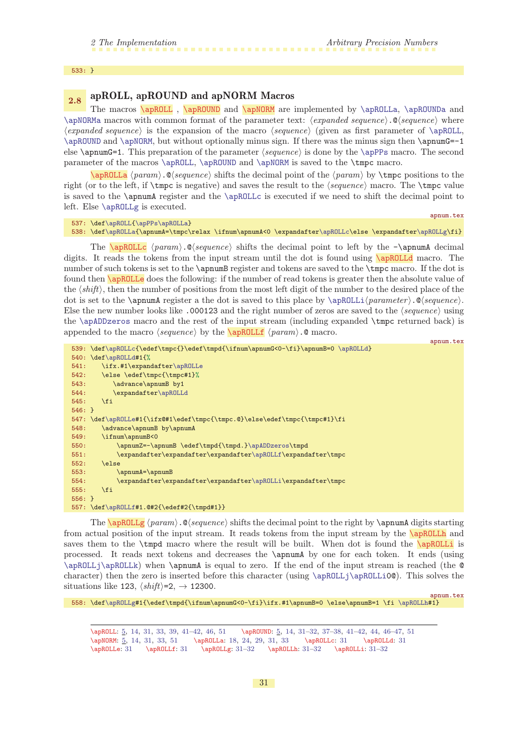<span id="page-30-7"></span>apnum.tex

<span id="page-30-12"></span><span id="page-30-11"></span>apnum.tex

#### <span id="page-30-1"></span>533: }

# <span id="page-30-4"></span><span id="page-30-3"></span><span id="page-30-2"></span><span id="page-30-0"></span>2.8 apROLL, apROUND and apNORM Macros

The macros **[\apROLL](#page-4-0)**, **[\apROUND](#page-4-3)** and **[\apNORM](#page-4-2)** are implemented by **[\apROLLa](#page-30-5)**, **[\apROUNDa](#page-31-5)** and [\apNORMa](#page-32-2) macros with common format of the parameter text:  $\langle expanded\ sequence\rangle.\mathcal{Q}\langle sequence\rangle$  where  $\langle expanded\ sequence\rangle$  is the expansion of the macro  $\langle sequence\rangle$  (given as first parameter of [\apROLL](#page-30-2), [\apROUND](#page-30-3) and [\apNORM](#page-30-4), but without optionally minus sign. If there was the minus sign then \apnumG=-1 else  $\qquad$  apnumG=1. This preparation of the parameter  $\langle sequence \rangle$  is done by the  $\qquad$  apPPs macro. The second parameter of the macros [\apROLL](#page-30-2), [\apROUND](#page-30-3) and [\apNORM](#page-30-4) is saved to the \tmpc macro.

<span id="page-30-5"></span> $\alpha$  hparami.  $\alpha$  sequence) shifts the decimal point of the  $\{param\}$  by  $\t{tmpc}$  positions to the right (or to the left, if  $\times$  is negative) and saves the result to the  $\langle sequence \rangle$  macro. The  $\times$  matro value is saved to the \apnumA register and the [\apROLLc](#page-30-6) is executed if we need to shift the decimal point to left. Else [\apROLLg](#page-30-10) is executed.

```
537: \def\apROLL{\apPPs\apROLLa}
538: \def\apROLLa{\apnumA=\tmpc\relax \ifnum\apnumA<0 \expandafter\apROLLc\else \expandafter\apROLLg\fi}
```
<span id="page-30-8"></span>The  $\cap$  The  $\cap$  apROLLc  $\{param\}.$  @ $\{sequence\}$  shifts the decimal point to left by the - $\cap$  apnumA decimal digits. It reads the tokens from the input stream until the dot is found using **\apROLLd** macro. The number of such tokens is set to the **\appumB** register and tokens are saved to the **\tmpc** macro. If the dot is found then **\apROLLe** does the following: if the number of read tokens is greater then the absolute value of the  $\langle shift \rangle$ , then the number of positions from the most left digit of the number to the desired place of the dot is set to the **\apnumA** register a the dot is saved to this place by  $\apalg \alpha \in \Omega$ .  $\emptyset$  sequence). Else the new number looks like .000123 and the right number of zeros are saved to the  $\langle sequence \rangle$  using the [\apADDzeros](#page-34-9) macro and the rest of the input stream (including expanded \tmpc returned back) is appended to the macro  $\langle sequence \rangle$  by the  $\langle operator \rangle$ .  $\emptyset$  macro.

```
539: \def\apROLLc{\edef\tmpc{}\edef\tmpd{\ifnum\apnumG<0-\fi}\apnumB=0 \apROLLd}
540: \def\apROLLd#1{%
541: \ifx.#1\expandafter\apROLLe
542: \else \edef\tmpc{\tmpc#1}%
543: \advance\apnumB by1
544: \expandafter\apROLLd
545: \fi
546: }
\apROLLe#1{\ifx@#1\edef\tmpc{\tmpc.@}\else\edef\tmpc{\tmpc#1}\fi
548: \advance\apnumB by\apnumA
549: \ifnum\apnumB<0
550: \apnumZ=-\apnumB \edef\tmpd{\tmpd.}\apADDzeros\tmpd
551: \expandafter\expandafter\expandafter\apROLLf\expandafter\tmpc
552 \cdot \lambdaelse
553: \apnumA=\apnumB<br>554: \expandafter\ex
           \apROLLi\expandafter\tmpc
555: \fi
556: }
557: \def\apROLLf#1.@#2{\edef#2{\tmpd#1}}
```
<span id="page-30-10"></span>The  $\alpha$  (param).  $\Diamond$  (sequence) shifts the decimal point to the right by  $\alpha$  digits starting from actual position of the input stream. It reads tokens from the input stream by the **\apROLLh** and saves them to the  $\t{tmp}$  macro where the result will be built. When dot is found the  $\a{ppROLL}$  is processed. It reads next tokens and decreases the \apnumA by one for each token. It ends (using [\apROLLj](#page-31-0)[\apROLLk](#page-31-2)) when \apnumA is equal to zero. If the end of the input stream is reached (the @ character) then the zero is inserted before this character (using [\apROLLj](#page-31-0)[\apROLLi](#page-30-12)0@). This solves the situations like 123,  $\langle shift \rangle = 2, \rightarrow 12300$ .

```
558: \def\apROLLg#1{\edef\tmpd{\ifnum\apnumG<0-\fi}\ifx.#1\apnumB=0 \else\apnumB=1 \fi \apROLLh#1}
```
\apROLL: [5,](#page-4-1) [14,](#page-13-1) 31, [33,](#page-32-1) [39](#page-38-1), 41-[42](#page-41-1), [46,](#page-45-1) [51](#page-50-1) \apROUND: [5](#page-4-1), [14](#page-13-1), 31-32, [37](#page-36-1)-38, [41](#page-40-1)-42, [44](#page-43-1), 46-[47](#page-46-1), 51 \apNORM: [5,](#page-4-1) [14](#page-13-1), 31, [33,](#page-32-1) [51](#page-50-1) \apROLLa: [18,](#page-17-1) [24,](#page-23-1) [29](#page-28-1), 31, [33](#page-32-1) \apROLLc: 31 \apROLLd: 31 \apROLLe: 31 \apROLLf: 31 \apROLLg: 31–[32](#page-31-1) \apROLLh: 31–[32](#page-31-1) \apROLLi: 31–[32](#page-31-1)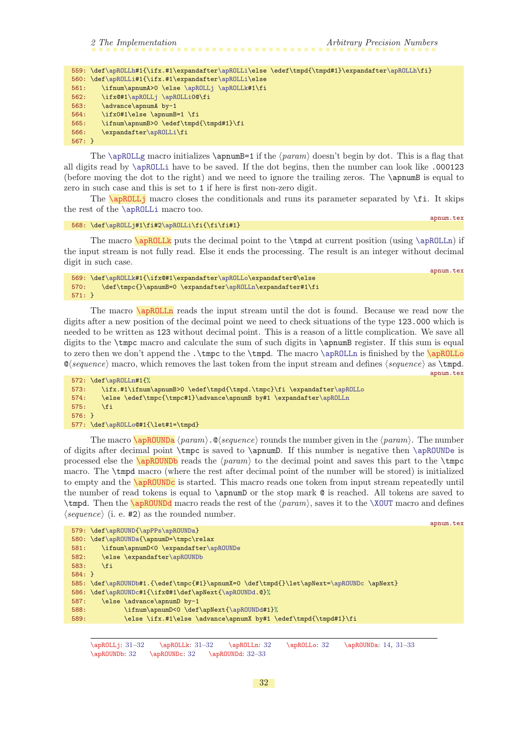<span id="page-31-1"></span>

|          | 559: \def\apROLLh#1{\ifx.#1\expandafter\apROLLi\else \edef\tmpd{\tmpd#1}\expandafter\apROLLh\fi} |
|----------|--------------------------------------------------------------------------------------------------|
|          | 560: \def\apROLLi#1{\ifx.#1\expandafter\apROLLi\else                                             |
| 561:     | \ifnum\apnumA>0 \else \apROLLj \apROLLk#1\fi                                                     |
| 562:     | \ifx@#1\apROLLj \apROLLiO@\fi                                                                    |
| 563:     | \advance\apnumA by-1                                                                             |
| 564:     | \ifx0#1\else \apnumB=1 \fi                                                                       |
| 565:     | \ifnum\apnumB>0 \edef\tmpd{\tmpd#1}\fi                                                           |
| 566:     | \expandafter\apROLLi\fi                                                                          |
| $567: }$ |                                                                                                  |
|          |                                                                                                  |

The [\apROLLg](#page-30-10) macro initializes \apnumB=1 if the  $\{param\}$  doesn't begin by dot. This is a flag that all digits read by [\apROLLi](#page-30-12) have to be saved. If the dot begins, then the number can look like .000123 (before moving the dot to the right) and we need to ignore the trailing zeros. The \apnumB is equal to zero in such case and this is set to 1 if here is first non-zero digit.

<span id="page-31-0"></span>The  $\alpha$ <sub>DROLLj</sub> macro closes the conditionals and runs its parameter separated by  $\fi$ . It skips the rest of the [\apROLLi](#page-30-12) macro too.

```
\apROLLj#2\apROLLi\fi{\fi\fi#1}
```
<span id="page-31-4"></span>apnum.tex

<span id="page-31-2"></span>The macro  $\alpha$  lapropullity puts the decimal point to the  $\tt{tmpd}$  at current position (using  $\alpha$ ) if the input stream is not fully read. Else it ends the processing. The result is an integer without decimal digit in such case. apnum.tex

```
569: \def\apROLLk#1{\ifx@#1\expandafter\apROLLo\expandafter@\else
r\apROLLn\expandafter#1\fi
571: }
```
The macro **\apROLLn** reads the input stream until the dot is found. Because we read now the digits after a new position of the decimal point we need to check situations of the type 123.000 which is needed to be written as 123 without decimal point. This is a reason of a little complication. We save all digits to the  $\t{th}$  macro and calculate the sum of such digits in  $\ap{}$  register. If this sum is equal to zero then we don't append the .\tmpc to the \tmpd. The macro [\apROLLn](#page-31-3) is finished by the \apROLLo  $\mathcal{Q}(sequence)$  macro, which removes the last token from the input stream and defines  $\langle sequence \rangle$  as  $\t{tmpd}$ . apnum.tex

```
572: \def\apROLLn#1{%
573: \ifx.#1\ifnum\apnumB>0 \edef\tmpd{\tmpd.\tmpc}\fi \expandafter\apROLLo
r\apROLLn
575: \fi
576: }
```

```
577: \def\apROLLo@#1{\let#1=\tmpd}
```
<span id="page-31-7"></span>The macro  $\alpha$  hero  $\alpha$  hero  $\alpha$ .  $\alpha$  hero  $\alpha$  rounds the number given in the  $\gamma$  aram. of digits after decimal point \tmpc is saved to \apnumD. If this number is negative then [\apROUNDe](#page-32-0) is processed else the  $\alpha$  reads the  $\gamma$  to the decimal point and saves this part to the  $\t{tmpc}$ macro. The \tmpd macro (where the rest after decimal point of the number will be stored) is initialized to empty and the \apROUNDc is started. This macro reads one token from input stream repeatedly until the number of read tokens is equal to  $\gamma$  the stop mark  $\mathcal Q$  is reached. All tokens are saved to \tmpd. Then the \apROUNDd macro reads the rest of the hparami, saves it to the [\XOUT](#page-27-3) macro and defines  $\langle sequence \rangle$  (i. e. #2) as the rounded number.

```
apnum.tex
579: \def\apROUND{\apPPs\apROUNDa}
580: \def\apROUNDa{\apnumD=\tmpc\relax
581: \ifnum\apnumD<0 \expandafter\apROUNDe
582: \else \expandafter\apROUNDb
583: \fi
584: }
585: \def\apROUNDb#1.{\edef\tmpc{#1}\apnumX=0 \def\tmpd{}\let\apNext=\apROUNDc \apNext}
586: \def\apROUNDc#1{\ifx@#1\def\apNext{\apROUNDd.@}%
587: \else \advance\apnumD by-1
588: \ifnum\apnumD<0 \def\apNext{\apROUNDd#1}%
589: \else \ifx.#1\else \advance\apnumX by#1 \edef\tmpd{\tmpd#1}\fi
```
 $\verb|\apROLLj: 31–32 \apROLLk: 31–32 \apROLLn: 32 \apROLLo: 32 \ap RouNDa: 14, 31–33$  $\verb|\apROLLj: 31–32 \apROLLk: 31–32 \apROLLn: 32 \apROLLo: 32 \ap RouNDa: 14, 31–33$  $\verb|\apROLLj: 31–32 \apROLLk: 31–32 \apROLLn: 32 \apROLLo: 32 \ap RouNDa: 14, 31–33$  $\verb|\apROLLj: 31–32 \apROLLk: 31–32 \apROLLn: 32 \apROLLo: 32 \ap RouNDa: 14, 31–33$  $\verb|\apROLLj: 31–32 \apROLLk: 31–32 \apROLLn: 32 \apROLLo: 32 \ap RouNDa: 14, 31–33$  $\verb|\apROLLj: 31–32 \apROLLk: 31–32 \apROLLn: 32 \apROLLo: 32 \ap RouNDa: 14, 31–33$  $\verb|\apROLLj: 31–32 \apROLLk: 31–32 \apROLLn: 32 \apROLLo: 32 \ap RouNDa: 14, 31–33$  $\verb|\apROLLj: 31–32 \apROLLk: 31–32 \apROLLn: 32 \apROLLo: 32 \ap RouNDa: 14, 31–33$ \apROUNDb: 32 \apROUNDc: 32 \apROUNDd: 32[–33](#page-32-1)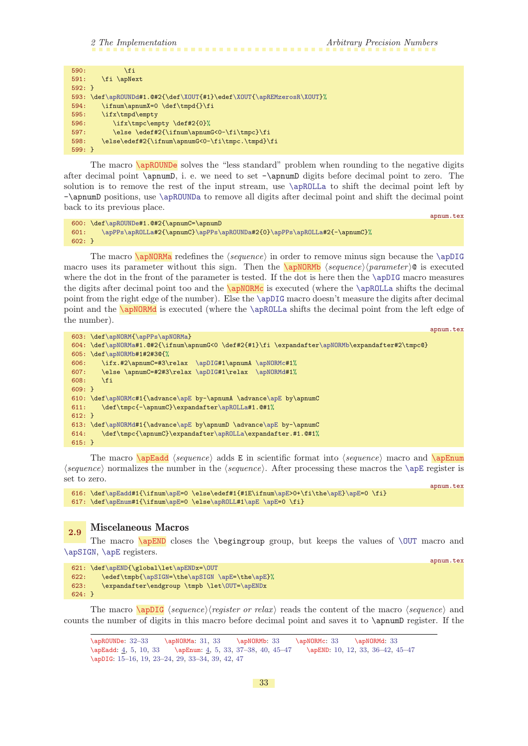<span id="page-32-7"></span>apnum.tex

<span id="page-32-1"></span>

| 590:         | \fi                                                                  |
|--------------|----------------------------------------------------------------------|
| 591:         | \fi \apNext                                                          |
| $592: \; \}$ |                                                                      |
|              | 593: \def\apROUNDd#1.@#2{\def\XOUT{#1}\edef\XOUT{\apREMzerosR\XOUT}% |
| 594:         | \ifnum\apnumX=0 \def\tmpd{}\fi                                       |
| 595:         | \ifx\tmpd\empty                                                      |
| 596:         | \ifx\tmpc\empty \def#2{0}%                                           |
| 597:         | \else \edef#2{\ifnum\apnumG<0-\fi\tmpc}\fi                           |
| 598:         | \else\edef#2{\ifnum\apnumG<0-\fi\tmpc.\tmpd}\fi                      |
| $599: \; \}$ |                                                                      |
|              |                                                                      |

<span id="page-32-0"></span>The macro **\apROUNDe** solves the "less standard" problem when rounding to the negative digits after decimal point \apnumD, i. e. we need to set -\apnumD digits before decimal point to zero. The solution is to remove the rest of the input stream, use  $\alpha$  to shift the decimal point left by -\apnumD positions, use [\apROUNDa](#page-31-5) to remove all digits after decimal point and shift the decimal point back to its previous place.

```
600: \def\apROUNDe#1.@#2{\apnumC=\apnumD
601: \apPPs\apROLLa#2{\apnumC}\apPPs\apROUNDa#2{0}\apPPs\apROLLa#2{-\apnumC}%
602:}
```
<span id="page-32-2"></span>The macro  $\alpha$  redefines the *(sequence)* in order to remove minus sign because the  $\alpha$ macro uses its parameter without this sign. Then the  $\apmb{\alpha}$  (sequence) (parameter)  $\alpha$  is executed where the dot in the front of the parameter is tested. If the dot is here then the [\apDIG](#page-32-10) macro measures the digits after decimal point too and the **\apNORMc** is executed (where the **[\apROLLa](#page-30-5)** shifts the decimal point from the right edge of the number). Else the [\apDIG](#page-32-10) macro doesn't measure the digits after decimal point and the **\apNORMd** is executed (where the **[\apROLLa](#page-30-5)** shifts the decimal point from the left edge of the number).

```
apnum.tex
603: \def\apNORM{\apPPs\apNORMa}
604: \def\apNORMa#1.@#2{\ifnum\apnumG<0 \def#2{#1}\fi \expandafter\apNORMb\expandafter#2\tmpc@}
605: \def\apNORMb#1#2#3@{%
606: \ifx.#2\apnumC=#3\relax \apDIG#1\apnumA \apNORMc#1%
607: \else \apnumC=#2#3\relax \apDIG#1\relax \apNORMd#1%
608: \fi
609: }
610: \def\apNORMc#1{\advance\apE by-\apnumA \advance\apE by\apnumC
611: \def\tmpc{-\apnumC}\expandafter\apROLLa#1.@#1%
612: }
613: \def\apNORMd#1{\advance\apE by\apnumD \advance\apE by-\apnumC
\apROLLa\expandafter.#1.@#1%
615: }
```
<span id="page-32-6"></span>The macro [\apEadd](#page-3-6) hsequencei adds E in scientific format into hsequencei macro and [\apEnum](#page-3-7)  $\langle sequence \rangle$  normalizes the number in the  $\langle sequence \rangle$ . After processing these macros the  $\angle$ apE register is set to zero. apnum.tex

616: \def[\apEadd](#page-32-6)#1{\ifnum[\apE=](#page-8-5)0 \else\edef#1{#1E\ifnu[m\apE](#page-8-5)>0+\fi\the[\apE}\apE=](#page-8-5)0 \fi} 617: \def[\apEnum](#page-32-7)#1{\ifnum[\apE=](#page-8-5)0 \els[e\apROLL](#page-30-2)#[1\apE](#page-8-5) [\apE=](#page-8-5)0 \fi}

# <span id="page-32-9"></span><span id="page-32-8"></span>2.9 Miscelaneous Macros

The macro  $\alpha$  closes the  $\begin{cases} \beta \end{cases}$  but keeps the values of  $\overline{\arctan}$  macro and [\apSIGN](#page-8-4), [\apE](#page-8-5) registers.

```
621: \def\apEND{\global\let\apENDx=\OUT
{\apSIGN=\apSIGN\apE=\apE}%
623: \expandafter\endgroup \tmpb \let\OUT=\apENDx
624: }
```
The macro  $\qquad$   $\Omega$  (sequence) (register or relax) reads the content of the macro (sequence) and counts the number of digits in this macro before decimal point and saves it to \apnumD register. If the

<span id="page-32-10"></span>\apROUNDe: [32–](#page-31-1)33 \apNORMa: [31,](#page-30-1) 33 \apNORMb: 33 \apNORMc: 33 \apNORMd: 33 \apEadd: [4](#page-3-1), [5,](#page-4-1) [10,](#page-9-1) 33 \apEnum: [4](#page-3-1), [5](#page-4-1), 33, [37](#page-36-1)[–38,](#page-37-1) [40](#page-39-1), [45](#page-44-1)–[47](#page-46-1) \apEND: [10](#page-9-1), [12,](#page-11-1) 33, [36](#page-35-1)[–42,](#page-41-1) [45](#page-44-1)[–47](#page-46-1) \apDIG: [15](#page-14-1)[–16,](#page-15-1) [19](#page-18-1), [23](#page-22-1)[–24,](#page-23-1) [29](#page-28-1), 33[–34,](#page-33-1) [39](#page-38-1), [42,](#page-41-1) [47](#page-46-1)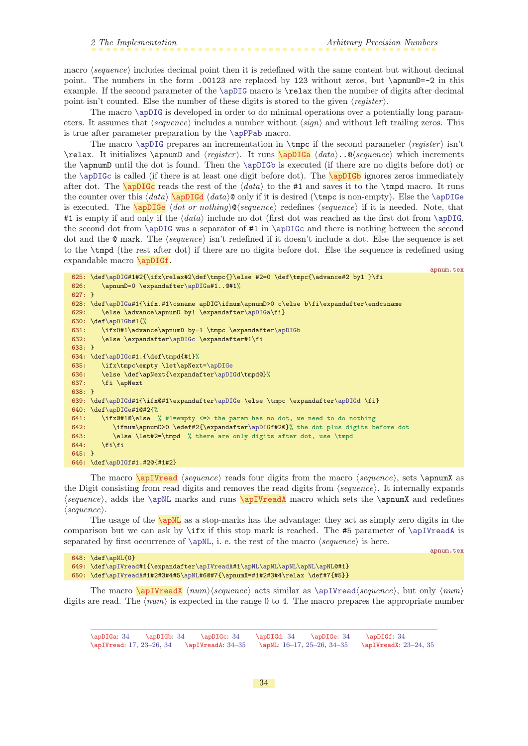$648 \times 128$   $\overline{0}$ 

<span id="page-33-1"></span>macro  $\langle sequence \rangle$  includes decimal point then it is redefined with the same content but without decimal point. The numbers in the form .00123 are replaced by 123 without zeros, but \apnumD=-2 in this example. If the second parameter of the [\apDIG](#page-32-10) macro is \relax then the number of digits after decimal point isn't counted. Else the number of these digits is stored to the given  $\langle register \rangle$ .

The macro [\apDIG](#page-32-10) is developed in order to do minimal operations over a potentially long parameters. It assumes that  $\langle sequence \rangle$  includes a number without  $\langle sign \rangle$  and without left trailing zeros. This is true after parameter preparation by the [\apPPab](#page-13-5) macro.

<span id="page-33-5"></span><span id="page-33-4"></span><span id="page-33-3"></span>The macro [\apDIG](#page-32-10) prepares an incrementation in \tmpc if the second parameter  $\langle$ register i isn't  $\text{real}$ . It initializes  $\gamma$  and  $\text{real}$ . It runs  $\alpha \data$ ...@ $\text{real}$  which increments the \apnumD until the dot is found. Then the [\apDIGb](#page-33-2) is executed (if there are no digits before dot) or the  $\ap{pIGc$  is called (if there is at least one digit before dot). The  $\ap{pIGb}$  ignores zeros immediately after dot. The **\apDIGc** reads the rest of the  $\langle data \rangle$  to the #1 and saves it to the **\tmpd** macro. It runs the counter over this  $\langle data \rangle \alpha \, d \, da \, d \, b$  only if it is desired (\tmpc is non-empty). Else the [\apDIGe](#page-33-5) is executed. The  $\alpha$  is  $\alpha$  hadon or nothing  $\alpha$  sequence) redefines (sequence) if it is needed. Note, that #1 is empty if and only if the  $\langle data \rangle$  include no dot (first dot was reached as the first dot from [\apDIG](#page-32-10), the second dot from [\apDIG](#page-32-10) was a separator of #1 in [\apDIGc](#page-33-3) and there is nothing between the second dot and the  $\mathcal Q$  mark. The  $\langle sequence \rangle$  isn't redefined if it doesn't include a dot. Else the sequence is set to the \tmpd (the rest after dot) if there are no digits before dot. Else the sequence is redefined using expandable macro \apDIGf.

```
\apDIG#1#2{\ifx\relax#2\def\tmpc{}\else #2=0 \def\tmpc{\advance#2 by1 }\fi
626: \apnumD=0 \expandafter\apDIGa#1..@#1%
627: }
628: \def\apDIGa#1{\ifx.#1\csname apDIG\ifnum\apnumD>0 c\else b\fi\expandafter\endcsname
r\apDIGa\fi}
630: \def\apDIGb#1{%
631: \ifx0#1\advance\apnumD by-1 \tmpc \expandafter\apDIGb
632: \else \expandafter\apDIGc \expandafter#1\fi
633: }
634: \def\apDIGc#1.{\def\tmpd{#1}%
635: \ifx\tmpc\empty \let\apNext=\apDIGe
636: \else \def\apNext{\expandafter\apDIGd\tmpd@}%
637: \fi \apNext
638: }
639: \def\apDIGd#1{\ifx@#1\expandafter\apDIGe \else \tmpc \expandafter\apDIGd \fi}
640: \def\apDIGe#1@#2{%
641: \ifx@#1@\else % #1=empty <=> the param has no dot, we need to do nothing
642: \ifnum\apnumD>0 \edef#2{\expandafter\apDIGf#2@}% the dot plus digits before dot
643: \else \let#2=\tmpd % there are only digits after dot, use \tmpd
644: \tilde{1}645: }
646: \def\apDIGf#1.#2@{#1#2}
```
<span id="page-33-8"></span><span id="page-33-7"></span>The macro  $\alpha \$  (sequence) reads four digits from the macro (sequence), sets  $\gamma x$  as the Digit consisting from read digits and removes the read digits from  $\langle sequence \rangle$ . It internally expands  $\langle sequence \rangle$ , adds the [\apNL](#page-33-9) marks and runs \apIVreadA macro which sets the \apnumX and redefines  $\langle sequence \rangle.$ 

<span id="page-33-9"></span>The usage of the  $\alpha$  apNL as a stop-marks has the advantage: they act as simply zero digits in the comparison but we can ask by \ifx if this stop mark is reached. The #5 parameter of [\apIVreadA](#page-33-8) is separated by first occurrence of  $\apreak\phi\text{all}$ , i. e. the rest of the macro  $\geq$  is here.

apnum.tex

<span id="page-33-2"></span><span id="page-33-0"></span>apnum.tex

| очо: \der\apNLtU}                                                          |
|----------------------------------------------------------------------------|
| 649: \def\apIVread#1{\expandafter\apIVreadA#1\apNL\apNL\apNL\apNL\apNLQ#1} |
| 650: \def\apIVreadA#1#2#3#4#5\apNL#6@#7{\apnumX=#1#2#3#4\relax \def#7{#5}} |
|                                                                            |

The macro  $\apaket{\text{num}}\$ equence) acts similar as  $\apaket{\text{sequence}}$ , but only  $\pmod{\text{sequence}}$ digits are read. The  $\langle num \rangle$  is expected in the range 0 to 4. The macro prepares the appropriate number

<span id="page-33-10"></span>\apDIGa: 34 \apDIGb: 34 \apDIGc: 34 \apDIGd: 34 \apDIGe: 34 \apDIGf: 34 \apIVread: [17,](#page-16-1) [23](#page-22-1)–[26,](#page-25-1) 34 \apIVreadA: 34–[35](#page-34-1) \apNL: [16](#page-15-1)[–17,](#page-16-1) [25](#page-24-1)–[26](#page-25-1), 34–[35](#page-34-1) \apIVreadX: [23](#page-22-1)–[24](#page-23-1), [35](#page-34-1)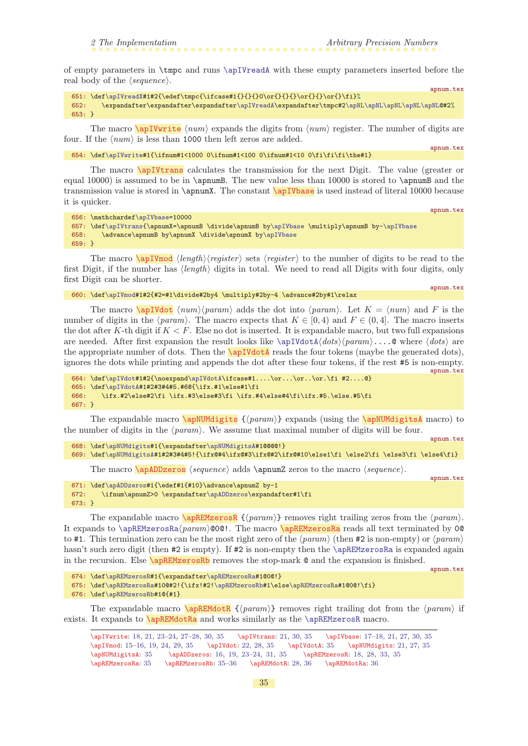apnum.tex

<span id="page-34-3"></span>apnum.tex

apnum.tex

<span id="page-34-8"></span>apnum.tex

<span id="page-34-11"></span>apnum.tex

apnum.tex

<span id="page-34-1"></span>of empty parameters in \tmpc and runs [\apIVreadA](#page-33-8) with these empty parameters inserted before the real body of the  $\langle sequence \rangle$ .

```
\apIVreadX#1#2{\edef\tmpc{\ifcase#1{}{}{}0\or{}{}{}\or{}{}\or{}\i}%
\apIVreadA\expandafter\tmpc#2\apNL\apNL\apNL\apNL\apNLQ#2%
653: }
```
The macro  $\cap$   $\emptyset$  is  $\emptyset$  and  $\emptyset$  expands the digits from  $\langle num \rangle$  register. The number of digits are four. If the  $\langle num \rangle$  is less than 1000 then left zeros are added.

654: \def[\apIVwrite](#page-34-0)#1{\ifnum#1<1000 0\ifnum#1<100 0\ifnum#1<10 0\fi\fi\the#1}

<span id="page-34-2"></span>The macro \apIVtrans calculates the transmission for the next Digit. The value (greater or equal 10000) is assumed to be in **\apnumB**. The new value less than 10000 is stored to **\apnumB** and the transmission value is stored in \apnumX. The constant \apIVbase is used instead of literal 10000 because it is quicker.

```
656: \mathchardef\apIVbase=10000
657: \def\apIVtrans{\apnumX=\apnumB \divide\apnumB by\apIVbase \multiply\apnumB by-\apIVbase
658: \advance\apnumB by\apnumX \divide\apnumX by\apIVbase
659: }
```
<span id="page-34-4"></span>The macro  $\alpha$  (length) (register) sets (register) to the number of digits to be read to the first Digit, if the number has  $\langle length \rangle$  digits in total. We need to read all Digits with four digits, only first Digit can be shorter. apnum.tex

```
\apIVmod#1#2{#2=#1\divide#2by4 \multiply#2by-4 \advance#2by#1\relax
```
<span id="page-34-5"></span>The macro  $\qquad$   $\langle num \rangle$  (param) adds the dot into (param). Let  $K = \langle num \rangle$  and F is the number of digits in the  $\langle param \rangle$ . The macro expects that  $K \in [0, 4)$  and  $F \in (0, 4]$ . The macro inserts the dot after K-th digit if  $K < F$ . Else no dot is inserted. It is expandable macro, but two full expansions are needed. After first expansion the result looks like  $\apaket{\text{abts}}{\text{abts}}$ ....@ where  $\langle \text{abts} \rangle$  are the appropriate number of dots. Then the  $\a{pIVdotA}$  reads the four tokens (maybe the generated dots), ignores the dots while printing and appends the dot after these four tokens, if the rest #5 is non-empty.

```
664: \def\apIVdot#1#2{\noexpand\apIVdotA\ifcase#1....\or...\or..\or.\fi #2....@}
665: \def\apIVdotA#1#2#3#4#5.#6@{\ifx.#1\else#1\fi
666: \ifx.#2\else#2\fi \ifx.#3\else#3\fi \ifx.#4\else#4\fi\ifx.#5.\else.#5\fi
667: }
```
The expandable macro \apNUMdigits  $\{\langle param \rangle\}$  expands (using the \apNUMdigitsA macro) to the number of digits in the  $\langle param \rangle$ . We assume that maximal number of digits will be four.

```
668: \def\apNUMdigits#1{\expandafter\apNUMdigitsA#1@@@@!}
669: \def\apNUMdigitsA#1#2#3#4#5!{\ifx@#4\ifx@#3\ifx@#2\ifx@#10\else1\fi \else2\fi \else3\fi \else4\fi}
```
<span id="page-34-10"></span><span id="page-34-9"></span><span id="page-34-7"></span>The macro  $\alpha \$  sequence) adds  $\gamma$  zeros to the macro (sequence).

```
671: \def\apADDzeros#1{\edef#1{#10}\advance\apnumZ by-1
672: \ifnum\apnumZ>0 \expandafter\apADDzeros\expandafter#1\fi
673: }
```
The expandable macro  $\alpha R \{ \gamma\}$  removes right trailing zeros from the  $\gamma$ . It expands to  $\a{pREMzerosRa}{param}$  (000!. The macro  $\a{pREMzerosRa}$  reads all text terminated by 00 to #1. This termination zero can be the most right zero of the  $\langle param \rangle$  (then #2 is non-empty) or  $\langle param \rangle$ hasn't such zero digit (then #2 is empty). If #2 is non-empty then the [\apREMzerosRa](#page-34-11) is expanded again in the recursion. Else **\apREMzerosRb** removes the stop-mark  $\&$  and the expansion is finished.

```
674: \def\apREMzerosR#1{\expandafter\apREMzerosRa#1@0@!}
```
- 675: \def[\apREMzerosRa#](#page-34-11)10@#2!{\ifx!#2![\apREMzerosRb#](#page-34-12)1\els[e\apREMzerosRa](#page-34-11)#1@0@!\fi}
- 676: \def[\apREMzerosRb#](#page-34-12)1@{#1}

The expandable macro  $\emptyset$   $\mathsf{REMdotR}$   $\{ \langle \mathit{param} \rangle \}$  removes right trailing dot from the  $\langle \mathit{param} \rangle$  if exists. It expands to **\apREMdotRa** and works similarly as the **[\apREMzerosR](#page-34-10)** macro.

<span id="page-34-14"></span><span id="page-34-13"></span>\apIVwrite: [18](#page-17-1), [21,](#page-20-1) [23–](#page-22-1)[24](#page-23-1), [27](#page-26-1)[–28,](#page-27-1) [30,](#page-29-1) 35 \apIVtrans: [21](#page-20-1), [30,](#page-29-1) 35 \apIVbase: [17](#page-16-1)[–18,](#page-17-1) [21,](#page-20-1) [27,](#page-26-1) [30](#page-29-1), 35 \apIVmod: [15–](#page-14-1)[16](#page-15-1), [19](#page-18-1), [24](#page-23-1), [29](#page-28-1), 35 \apIVdot: [22](#page-21-1), [28](#page-27-1), 35 \apIVdotA: 35 \apNUMdigits: [21](#page-20-1), [27,](#page-26-1) 35 \apNUMdigitsA: 35 \apADDzeros: [16](#page-15-1), [19](#page-18-1), [23](#page-22-1)[–24,](#page-23-1) [31,](#page-30-1) 35 \apREMzerosR: [18](#page-17-1), [28](#page-27-1), [33](#page-32-1), 35 \apREMzerosRa: 35 \apREMzerosRb: 35[–36](#page-35-1) \apREMdotR: [28,](#page-27-1) [36](#page-35-1) \apREMdotRa: [36](#page-35-1)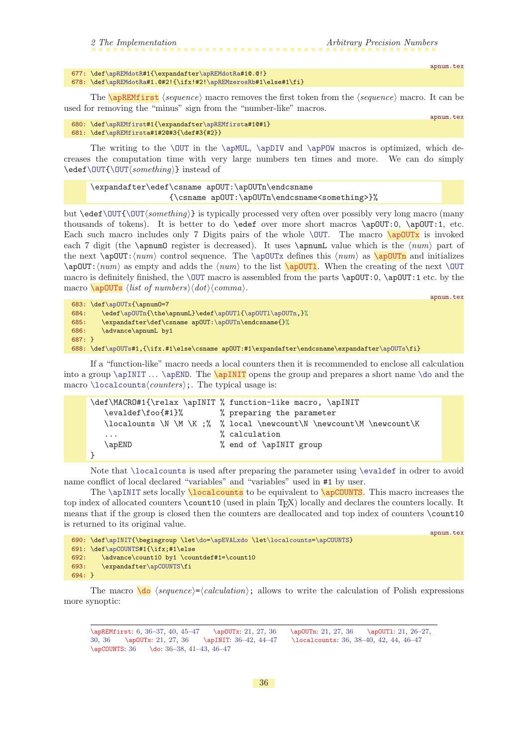|  | 2 The Implementation | Arbitrary Precision Numbers |
|--|----------------------|-----------------------------|
|  |                      |                             |

```
677: \def\apREMdotR#1{\expandafter\apREMdotRa#1@.@!}
```
<span id="page-35-0"></span>678: \def[\apREMdotRa](#page-34-14)#1.@#2!{\ifx!#2[!\apREMzerosRb](#page-34-12)#1\else#1\fi}

The  $\alpha$  The  $\gamma$  is approximate to macro removes the first token from the  $\gamma$  equence) macro. It can be used for removing the "minus" sign from the "number-like" macros.

apnum.tex

<span id="page-35-8"></span><span id="page-35-4"></span><span id="page-35-3"></span><span id="page-35-2"></span>apnum.tex

apnum.tex

```
680: \def\apREMfirst#1{\expandafter\apREMfirsta#1@#1}
681: \def\apREMfirsta#1#2@#3{\def#3{#2}}
```
The writing to the  $\OUT$  in the  $\ap{-\ap}N$  and  $\ap{-\ap}-\ap{-\ap}-\ap{-\ap}-\ap{-\ap}-\ap{-\ap}-\ap{-\ap}-\ap{-\ap}-\ap{-\ap}-\ap{-\ap}-\ap{-\ap}-\ap{-\ap}-\ap{-\ap}-\ap{-\ap}-\ap{-\ap}-\ap{-\ap}-\ap{-\ap}-\ap{-\ap}-\ap{-\ap}-\ap{-\ap}-\ap{-\ap}-\ap{-\ap}-\ap{-\ap}-\ap{-\ap}-\ap{-\ap}-\ap{-\ap}-\ap{-\ap}-\ap{-\ap}-\ap{-\ap}-\ap{-\ap}-\$ creases the computation time with very large numbers ten times and more. We can do simply  $\edef\OUT{\OUT\sonething}\}$  $\edef\OUT{\OUT\sonething}\}$  $\edef\OUT{\OUT\sonething}\}$  instead of

```
\expandafter\edef\csname apOUT:\apOUTn\endcsname
                 {\csname apOUT:\apOUTn\endcsname<something>}%
```
but  $\edet\OUT\{\text{output}\$  is typically processed very often over possibly very long macro (many thousands of tokens). It is better to do \edef over more short macros \apOUT:0, \apOUT:1, etc. Each such macro includes only 7 Digits pairs of the whole  $\Upsilon$ . The macro  $\qquad$ each 7 digit (the \apnumO register is decreased). It uses \apnumL value which is the  $\langle num \rangle$  part of the next  $\$ apOUT: $\langle num \rangle$  control sequence. The  $\$ apOUTx defines this  $\langle num \rangle$  as  $\$ apOUTn and initializes  $\ap{DUT:\n $\text{num} \text{ and } \text{num} \text{ to the list } \ap{DUTl}. \text{ When the creating of the next } \overline{DUT}.$$ macro is definitely finished, the  $\text{our macro is assembled from the parts } \ap{apOUT:0, \ap{apOUT:1 etc. by the}$ macro  $\a{$   $\Delta$ <sub>s</sub> (*list of numbers*) $\langle dot \rangle$  (*comma*).

```
683: \def\apOUTx{\apnumO=7
\apOUTn\apOUTl{\apOUTl\apOUTn,}%
685: \expandafter\def\csname apOUT:\apOUTn\endcsname{}%
686: \advance\apnumL by1
687: }
688: \def\apOUTs#1,{\ifx.#1\else\csname apOUT:#1\expandafter\endcsname\expandafter\apOUTs\fi}
```
If a "function-like" macro needs a local counters then it is recommended to enclose all calculation into a group  $\ap{\varphi\$ macro  $\lozenge$  localcounts $\langle counters \rangle$ ;. The typical usage is:

```
\def\MACRO#1{\relax \apINIT % function-like macro, \apINIT
  \evaldef\foo{#1}% % preparing the parameter
  \lozenge \lambda \wedge \M \wedge \n :% % local \newcount\N \newcount\M \newcount\K
  ... \% calculation
  \apEND % end of \apINIT group
}
```
Note that [\localcounts](#page-35-7) is used after preparing the parameter using [\evaldef](#page-9-0) in odrer to avoid name conflict of local declared "variables" and "variables" used in #1 by user.

<span id="page-35-7"></span>The [\apINIT](#page-35-6) sets locally **\localcounts** to be equivalent to **\apCOUNTS**. This macro increases the top index of allocated counters \count10 (used in plain TEX) locally and declares the counters locally. It means that if the group is closed then the counters are deallocated and top index of counters \count10 is returned to its original value.

```
apnum.tex
690: \def\apINIT{\begingroup \let\do=\apEVALxdo \let\localcounts=\apCOUNTS}
691: \def\apCOUNTS#1{\ifx;#1\else
692: \advance\count10 by1 \countdef#1=\count10
693: \expandafter\apCOUNTS\fi
694: }
```
The macro  $\{do \; \langle \; \textit{sequence} \rangle = \langle \; \textit{calculation} \rangle; \; \text{allows to write the calculation of Polish expressions}$ more synoptic:

<span id="page-35-9"></span>\apREMfirst: [6](#page-5-1), 36[–37,](#page-36-1) [40](#page-39-1), [45](#page-44-1)–[47](#page-46-1) \apOUTx: [21](#page-20-1), [27,](#page-26-1) 36 \apOUTn: [21,](#page-20-1) [27,](#page-26-1) 36 \apOUTl: [21](#page-20-1), [26](#page-25-1)[–27,](#page-26-1) [30](#page-29-1), 36 \apOUTs: [21,](#page-20-1) [27,](#page-26-1) 36 \apINIT: 36[–42,](#page-41-1) [44](#page-43-1)[–47](#page-46-1) \localcounts: 36, [38](#page-37-1)[–40,](#page-39-1) [42,](#page-41-1) [44](#page-43-1), [46](#page-45-1)[–47](#page-46-1) \apCOUNTS: 36 \do: 36-38, [41](#page-40-1)-[43,](#page-42-1) 46-[47](#page-46-1)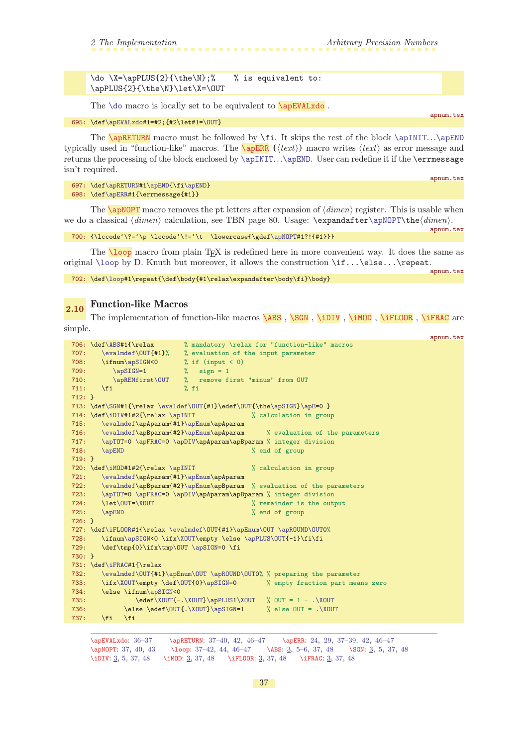<span id="page-36-1"></span> $\do \X=\apPLUS{2}{\the\N};\$  % is equivalent to: \apPLUS{2}{\the\N}\let\X=\OUT

<span id="page-36-3"></span><span id="page-36-2"></span>The  $\do$  macro is locally set to be equivalent to  $\a$ <sup>EVALxdo</sup>.

695: \def[\apEVALxdo](#page-36-0)#1=#2;{#2\let#1=[\OUT}](#page-9-4)

The **\apRETURN** macro must be followed by **\fi.** It skips the rest of the block  $\apalg \Delta \text{map}(T \ldots)$ typically used in "function-like" macros. The  $\sqrt{\text{apERR}} \left\{ \langle \text{text} \rangle \right\}$  macro writes  $\langle \text{text} \rangle$  as error message and returns the processing of the block enclosed by [\apINIT](#page-35-6)...[\apEND](#page-32-9). User can redefine it if the \errmessage isn't required.

<span id="page-36-4"></span>697: \def[\apRETURN#](#page-36-2)[1\apEND{](#page-32-9)\fi[\apEND](#page-32-9)} 698: \def[\apERR](#page-36-3)#1{\errmessage{#1}}

The **\apNOPT** macro removes the pt letters after expansion of  $\langle \text{dimen} \rangle$  register. This is usable when we do a classical  $\langle dimen \rangle$  calculation, see TBN page 80. Usage:  $\epsilon \Delta t$  expandafter $\alpha$ ).

```
700: \{\lceil \cdot \cdot \rceil\}
```
<span id="page-36-5"></span>The **loop** macro from plain T<sub>E</sub>X is redefined here in more convenient way. It does the same as original  $\lozenge$  by D. Knuth but moreover, it allows the construction  $\if... \else$  \text{ if( ... \else... \repeat.

702: \def[\loop#](#page-36-5)1\repeat{\def\body{#1\relax\expandafter\body\fi}\body}

# <span id="page-36-6"></span>2.10 Function-like Macros

The implementation of function-like macros [\ABS](#page-2-5), [\SGN](#page-2-6), [\iDIV](#page-2-7), [\iMOD](#page-2-8), [\iFLOOR](#page-2-9), [\iFRAC](#page-2-10) are simple.

```
apnum.tex
706: \def\ABS#1{\relax % mandatory \relax for "function-like" macros
\evalmdef\OUT{#1}% % evaluation of the input parameter
708: \ifnum\apSIGN<0 % if (input < 0)
709: \alpha=1 % sign = 1
710: \alpha\apREMfirst\OUT % remove first "minus" from OUT 711.
711: \forallfi % fi
712: }
\evaldef\OUT{e\apSIGN}\apE=0 }\iDIV#\apINIT % calculation in group
715: \evalmdef\apAparam{#1}\apEnum\apAparam
716: \evalmdef\apBparam{#2}\apEnum\apAparam % evaluation of the parameters
\apTOT=\apFRAC\apDIV\apAparam\apBparam % integer division 718: \apEND %
                                     % end of group
719: }
\iMOD#\apINIT % calculation in group
721: \evalmdef\apAparam{#1}\apEnum\apAparam
722: \evalmdef\apBparam{#2}\apEnum\apBparam % evaluation of the parameters
\apTOT=\apFRAC\apDIV\apAparam\apBparam % integer division
724: \let\OUT=\XOUT % remainder is the output
725: \apEND % end of group
726 \cdot 3\iFLOOR\evalmdef\OUT{\apEnum\OUT\apROUND\OUT0%
728: \ifnum\apSIGN<0 \ifx\XOUT\empty \else \apPLUS\OUT{-1}\fi\fi
\OUT\apSIGN=0 \fi
730: }
731: \def\iFRAC#1{\relax
732: \evalmdef\OUT{#1}\apEnum\OUT \apROUND\OUT0% % preparing the parameter
733: \ifx\XOUT\empty \def\OUT{0}\apSIGN=0 % empty fraction part means zero
m\apSIGN<0
735: \edef\XOUT{-.\XOUT}\apPLUS1\XOUT % OUT = 1 - .\XOUT
736: \else \edef\OUT{.\XOUT}\apSIGN=1 % else OUT = .\XOUT
737: \fi \fi
```
\apEVALxdo: [36](#page-35-1)–37 \apRETURN: 37–[40](#page-39-1), [42,](#page-41-1) [46–](#page-45-1)[47](#page-46-1) \apERR: [24,](#page-23-1) [29,](#page-28-1) 37[–39,](#page-38-1) [42,](#page-41-1) [46–](#page-45-1)[47](#page-46-1) \apNOPT: 37, [40,](#page-39-1) [43](#page-42-1) \loop: 37–[42](#page-41-1), [44,](#page-43-1) [46](#page-45-1)–[47](#page-46-1) \ABS: [3,](#page-2-1) [5](#page-4-1)–[6,](#page-5-1) 37, [48](#page-47-1) \SGN: 3, 5, 37, 48 \iDIV: [3](#page-2-1), [5,](#page-4-1) 37, [48](#page-47-1) \iMOD: [3,](#page-2-1) 37, 48 \iFLOOR: 3, 37, 48 \iFRAC: 3, 37, 48

<span id="page-36-0"></span>apnum.tex

apnum.tex

apnum.tex

<span id="page-36-12"></span><span id="page-36-11"></span><span id="page-36-10"></span><span id="page-36-9"></span><span id="page-36-8"></span><span id="page-36-7"></span>apnum.tex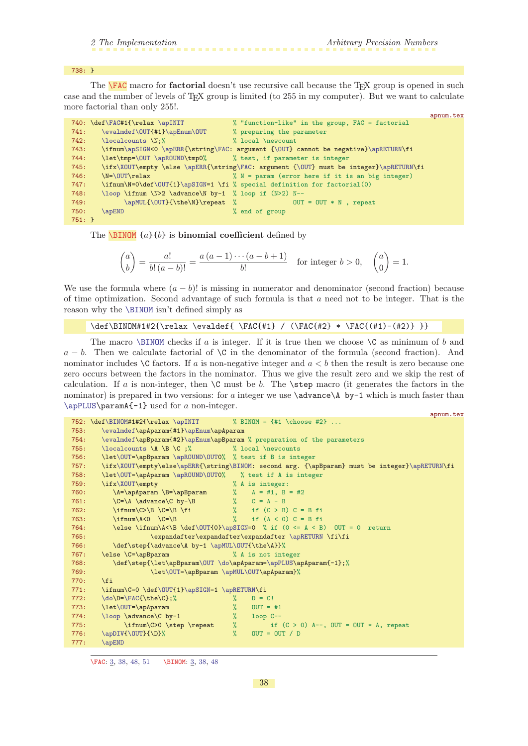appum.tex

#### <span id="page-37-1"></span>738: }

<span id="page-37-0"></span>The **FAC** macro for **factorial** doesn't use recursive call because the TFX group is opened in such case and the number of levels of TEX group is limited (to 255 in my computer). But we want to calculate more factorial than only 255!.

|          | 740: \def\FAC#1{\relax \apINIT                               | % "function-like" in the group, FAC = factorial                                        |
|----------|--------------------------------------------------------------|----------------------------------------------------------------------------------------|
| 741:     | \evalmdef\0UT{#1}\apEnum\0UT                                 | % preparing the parameter                                                              |
| 742:     | \localcounts \N:%                                            | % local \newcount                                                                      |
| 743:     |                                                              | \ifnum\apSIGN<0 \apERR{\string\FAC: argument {\OUT} cannot be negative}\apRETURN\fi    |
| 744:     | \let\tmp=\OUT \apROUND\tmp0% % test, if parameter is integer |                                                                                        |
| 745:     |                                                              | \ifx\XOUT\empty \else \apERR{\string\FAC: argument {\OUT} must be integer}\apRETURN\fi |
| 746:     | \N=\OUT\relax                                                | $\%$ N = param (error here if it is an big integer)                                    |
| 747:     |                                                              | \ifnum\N=0\def\0UT{1}\apSIGN=1 \fi % special definition for factorial(0)               |
| 748:     | $\lozenge \ifmm \N>2 \advance \N by-1 % loop if (N>2) N--$   |                                                                                        |
| 749:     | \apMUL{\OUT}{\the\N}\repeat %                                | $\text{OUT} = \text{OUT} * N$ , repeat                                                 |
| 750:     | <b>\apEND</b>                                                | % end of group                                                                         |
| $751: }$ |                                                              |                                                                                        |

<span id="page-37-2"></span>The **[\BINOM](#page-2-12)**  $\{a\}\{b\}$  is **binomial coefficient** defined by

$$
\binom{a}{b} = \frac{a!}{b! \, (a-b)!} = \frac{a \, (a-1) \cdots (a-b+1)}{b!}
$$
 for integer  $b > 0$ ,  $\binom{a}{0} = 1$ .

We use the formula where  $(a - b)!$  is missing in numerator and denominator (second fraction) because of time optimization. Second advantage of such formula is that a need not to be integer. That is the reason why the [\BINOM](#page-37-2) isn't defined simply as

```
\def\[H] / (\FAC{#2} * \FAC{(#1)-({#2}} \} )
```
The macro [\BINOM](#page-37-2) checks if a is integer. If it is true then we choose  $\setminus$ C as minimum of b and  $a - b$ . Then we calculate factorial of \C in the denominator of the formula (second fraction). And nominator includes  $\setminus$ C factors. If a is non-negative integer and  $a < b$  then the result is zero because one zero occurs between the factors in the nominator. Thus we give the result zero and we skip the rest of calculation. If a is non-integer, then  $\setminus$ C must be b. The  $\setminus$ step macro (it generates the factors in the nominator) is prepared in two versions: for a integer we use  $\ad$  vadvance $\A$  by-1 which is much faster than [\apPLUS\](#page-14-0)paramA{-1} used for a non-integer.

|      | upnam . von                                                                                    |
|------|------------------------------------------------------------------------------------------------|
|      | 752: $\def\BlM0M#1#2{\relax \apINIT$ % BINOM = {#1 \choose #2}                                 |
| 753: | \evalmdef\apAparam{#1}\apEnum\apAparam                                                         |
| 754: | \evalmdef\apBparam{#2}\apEnum\apBparam % preparation of the parameters                         |
| 755: | $\lozenge$ $\Lambda \B \C$ ; $\Lambda \bmod$ $\Lambda \bmod$                                   |
| 756: | \let\OUT=\apBparam \apROUND\OUTO% % test if B is integer                                       |
| 757: | \ifx\XOUT\empty\else\apERR{\string\BINOM: second arg. {\apBparam} must be integer}\apRETURN\fi |
| 758: | \let\OUT=\apAparam \apROUND\OUTO% % test if A is integer                                       |
| 759: | \ifx\XOUT\empty<br>% A is integer:                                                             |
| 760: | $\A = \alpha pAparam \B = \alpha m$ % A = #1, B = #2                                           |
| 761: |                                                                                                |
| 762: | $\label{c} $$\ifnum\C>\B \C=\B \tif \quad \quad \quad \quad \quad (C>B) C = B f i$             |
| 763: | $\%$ if $(A < 0)$ C = B fi<br>$\lim_{A<0} \C = B$                                              |
| 764: | \else \ifnum\A<\B \def\OUT{0}\apSIGN=0 % if (0 <= A < B) OUT = 0 return                        |
| 765: | \expandafter\expandafter\expandafter \apRETURN \fi\fi                                          |
| 766: | \def\step{\advance\A by-1 \apMUL\OUT{\the\A}}%                                                 |
| 767: | \else \C=\apBparam<br>% A is not integer                                                       |
| 768: | \def\step{\let\apBparam\OUT \do\apAparam=\apPLUS\apAparam{-1};%                                |
| 769: | \let\OUT=\apBparam \apMUL\OUT\apAparam}%                                                       |
| 770: | $\overline{\text{f}i}$                                                                         |
| 771: | \ifnum\C=0 \def\0UT{1}\apSIGN=1 \apRETURN\fi                                                   |
| 772: | $\do\D=\FAC{\the\C};$<br>$D = C!$<br>$\frac{9}{4}$                                             |
| 773: | \let\OUT=\apAparam<br>$\frac{9}{4}$<br>$OUT = #1$                                              |
| 774: | $\frac{9}{6}$<br>\loop \advance\C by-1<br>$loop C--$                                           |
| 775: | $\%$<br>\ifnum\C>0 \step \repeat<br>if $(C > 0)$ A--, OUT = OUT * A, repeat                    |
| 776: | $\frac{9}{2}$<br>$\apDIV{\OUT}{\D}$<br>$OUT = OUT / D$                                         |
| 777: | \apEND                                                                                         |

\FAC: [3](#page-2-1), 38, [48,](#page-47-1) [51](#page-50-1) \BINOM: [3,](#page-2-1) 38, [48](#page-47-1)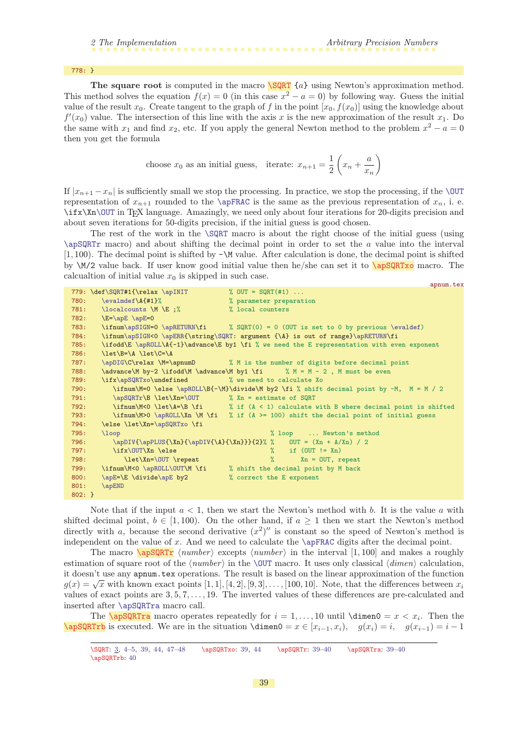<span id="page-38-1"></span>778: }

The square root is computed in the macro  $\S$ QRT {a} using Newton's approximation method. This method solves the equation  $f(x) = 0$  (in this case  $x^2 - a = 0$ ) by following way. Guess the initial value of the result  $x_0$ . Create tangent to the graph of f in the point  $[x_0, f(x_0)]$  using the knowledge about  $f'(x_0)$  value. The intersection of this line with the axis x is the new approximation of the result  $x_1$ . Do the same with  $x_1$  and find  $x_2$ , etc. If you apply the general Newton method to the problem  $x^2 - a = 0$ then you get the formula

<span id="page-38-2"></span><span id="page-38-0"></span>choose 
$$
x_0
$$
 as an initial guess, iterate:  $x_{n+1} = \frac{1}{2} \left( x_n + \frac{a}{x_n} \right)$ 

If  $|x_{n+1} - x_n|$  is sufficiently small we stop the processing. In practice, we stop the processing, if the [\OUT](#page-9-4) representation of  $x_{n+1}$  rounded to the [\apFRAC](#page-8-7) is the same as the previous representation of  $x_n$ , i. e.  $\if$ Xn[\OUT](#page-9-4) in TEX language. Amazingly, we need only about four iterations for 20-digits precision and about seven iterations for 50-digits precision, if the initial guess is good chosen.

The rest of the work in the [\SQRT](#page-38-0) macro is about the right choose of the initial guess (using  $\qquad$  and about shifting the decimal point in order to set the a value into the interval  $[1, 100)$ . The decimal point is shifted by  $-\M$  value. After calculation is done, the decimal point is shifted by  $\M/2$  value back. If user know good initial value then he/she can set it to  $\sqrt{\frac{apSQRTx}{apSQRTx}}$  macro. The calcualtion of initial value  $x_0$  is skipped in such case. apnum.tex

|           | 779: \def\SQRT#1{\relax \apINIT                                                                                                                                                                                                                                                                                                    | % OUT = $SQRT(#1)$                                                                         |
|-----------|------------------------------------------------------------------------------------------------------------------------------------------------------------------------------------------------------------------------------------------------------------------------------------------------------------------------------------|--------------------------------------------------------------------------------------------|
| 780:      | $\text{evalmdef}\A{#1}\%$                                                                                                                                                                                                                                                                                                          | % parameter preparation                                                                    |
| 781:      | $\lozenge$ $\mathbb{R}$ $\mathbb{R}$ $\mathbb{R}$ $\mathbb{R}$ $\mathbb{R}$ $\mathbb{R}$ $\mathbb{R}$ $\mathbb{R}$ $\mathbb{R}$ $\mathbb{R}$ $\mathbb{R}$ $\mathbb{R}$ $\mathbb{R}$ $\mathbb{R}$ $\mathbb{R}$ $\mathbb{R}$ $\mathbb{R}$ $\mathbb{R}$ $\mathbb{R}$ $\mathbb{R}$ $\mathbb{R}$ $\mathbb{R}$ $\mathbb{R}$ $\mathbb{R}$ | % local counters                                                                           |
| 782:      | $\E=\ap E \geq 0$                                                                                                                                                                                                                                                                                                                  |                                                                                            |
| 783:      |                                                                                                                                                                                                                                                                                                                                    | \ifnum\apSIGN=0 \apRETURN\fi % SQRT(0) = 0 (OUT is set to 0 by previous \evaldef)          |
| 784:      |                                                                                                                                                                                                                                                                                                                                    | \ifnum\apSIGN<0 \apERR{\string\SQRT: argument {\A} is out of range}\apRETURN\fi            |
| 785:      |                                                                                                                                                                                                                                                                                                                                    | \ifodd\E \apROLL\A{-1}\advance\E by1 \fi % we need the E representation with even exponent |
| 786:      | $\let\B - \A \ \let\C = \A$                                                                                                                                                                                                                                                                                                        |                                                                                            |
| 787:      |                                                                                                                                                                                                                                                                                                                                    | \apDIG\C\relax \M=\apnumD % M is the number of digits before decimal point                 |
| 788:      |                                                                                                                                                                                                                                                                                                                                    | \advance\M by-2 \ifodd\M \advance\M by1 \fi % M = M - 2, M must be even                    |
| 789:      | \ifx\apSQRTxo\undefined % we need to calculate Xo                                                                                                                                                                                                                                                                                  |                                                                                            |
| 790:      |                                                                                                                                                                                                                                                                                                                                    | \ifnum\M=0 \else \apROLL\B{-\M}\divide\M by2 \fi % shift decimal point by -M, M = M / 2    |
| 791:      | $\ap{SQRTr\B \let\Xn=\OUT \ A = estimate of SQRT}$                                                                                                                                                                                                                                                                                 |                                                                                            |
| 792:      |                                                                                                                                                                                                                                                                                                                                    | \ifnum\M<0 \let\A=\B \fi $\#$ if (A < 1) calculate with B where decimal point is shifted   |
| 793:      |                                                                                                                                                                                                                                                                                                                                    | \ifnum\M>0 \apROLL\Xn \M \fi % if (A >= 100) shift the decial point of initial guess       |
| 794:      | \else \let\Xn=\apSQRTxo \fi                                                                                                                                                                                                                                                                                                        |                                                                                            |
| 795:      | $\log$                                                                                                                                                                                                                                                                                                                             | % loop  Newton's method                                                                    |
| 796:      |                                                                                                                                                                                                                                                                                                                                    | \apDIV{\apPLUS{\Xn}{\apDIV{\A}{\Xn}}}}{2}% % 0UT = $(Xn + A/Xn) / 2$                       |
| 797:      | \ifx\OUT\Xn \else                                                                                                                                                                                                                                                                                                                  | $\frac{9}{6}$ if (OUT != Xn)                                                               |
| 798:      | $\let \Xn=\0UT \repeat$                                                                                                                                                                                                                                                                                                            | $\%$ Xn = OUT, repeat                                                                      |
| 799:      |                                                                                                                                                                                                                                                                                                                                    | \ifnum\M<0 \apROLL\OUT\M \fi % shift the decimal point by M back                           |
| 800:      | \apE=\E \divide\apE by2                                                                                                                                                                                                                                                                                                            | % correct the E exponent                                                                   |
| 801:      | \apEND                                                                                                                                                                                                                                                                                                                             |                                                                                            |
| $802: \}$ |                                                                                                                                                                                                                                                                                                                                    |                                                                                            |

Note that if the input  $a < 1$ , then we start the Newton's method with b. It is the value a with shifted decimal point,  $b \in [1, 100)$ . On the other hand, if  $a \ge 1$  then we start the Newton's method directly with a, because the second derivative  $(x^2)$ " is constant so the speed of Newton's method is independent on the value of x. And we need to calculate the  $\apadesuit$  apFRAC digits after the decimal point.

<span id="page-38-3"></span>The macro  $\sqrt{\text{apSQQRTr}}$  (number) excepts (number) in the interval [1, 100] and makes a roughly estimation of square root of the  $\langle number \rangle$  in the [\OUT](#page-9-4) macro. It uses only classical  $\langle dimen \rangle$  calculation, it doesn't use any apnum.tex operations. The result is based on the linear approximation of the function  $g(x) = \sqrt{x}$  with known exact points [1, 1], [4, 2], [9, 3], ..., [100, 10]. Note, that the differences between  $x_i$ values of exact points are 3, 5, 7, . . . , 19. The inverted values of these differences are pre-calculated and inserted after [\apSQRTra](#page-38-4) macro call.

<span id="page-38-5"></span>The **\apSQRTra** macro operates repeatedly for  $i = 1, ..., 10$  until **\dimen0** =  $x < x_i$ . Then the  $\mathcal{Q}(\mathcal{A}) = x \in [x_{i-1}, x_i), \quad g(x_i) = i, \quad g(x_{i-1}) = i - 1$ 

<span id="page-38-4"></span><sup>\</sup>SQRT: [3](#page-2-1), [4–](#page-3-1)[5](#page-4-1), 39, [44,](#page-43-1) [47](#page-46-1)–[48](#page-47-1) \apSQRTxo: 39, [44](#page-43-1) \apSQRTr: 39[–40](#page-39-1) \apSQRTra: 39[–40](#page-39-1) \apSQRTrb: [40](#page-39-1)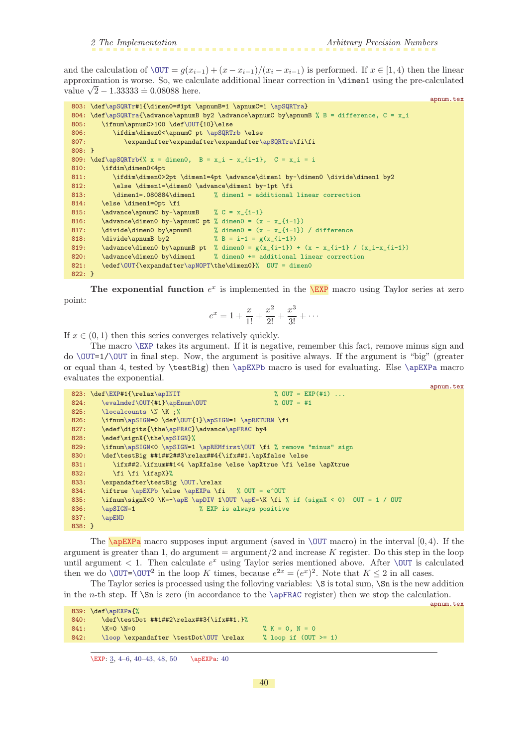<span id="page-39-1"></span>and the calculation of  $\text{OUT} = g(x_{i-1}) + (x - x_{i-1})/(x_i - x_{i-1})$  is performed. If  $x \in [1, 4)$  then the linear approximation is worse. So, we calculate additional linear correction in \dimen1 using the pre-calculated approximation is worse. So, we calc<br>value  $\sqrt{2} - 1.33333 = 0.08088$  here.

```
apnum.tex
803: \def\apSQRTr#1{\dimen0=#1pt \apnumB=1 \apnumC=1 \apSQRTra}
804: \def\apSQRTra{\advance\apnumB by2 \advance\apnumC by\apnumB % B = difference, C = x_i
\OUT{10}\else<br>806: \ifdim\dimen0<\apnumC pt \apSQRT
                \apSQRTrb \else
r\apSQRTra\fi\fi
808: }
809: \def\as@809: \def\as@809: \def\as@809: \def\as@809: \def\as@809: \def\as@809: \def\as@809: \def\as@809: \def\as@809: \def\as@809: \def\as@809: \def\as@809: \def\as@809: \def\as@809: \def\as@809: \def\as@809: \def\as@809: \def\as@809: \def\as@809: \def\as@809: \def\as@809: \def\as@809: \def\as@809: \def\as@809810: \ifdim\dimen0<4pt
811: \ifdim\dimen0>2pt \dimen1=4pt \advance\dimen1 by-\dimen0 \divide\dimen1 by2
812: \ \text{element}=\dim\text{rad} \quad \text{by-1pt } \text{813}: \ \dim\text{med}=\text{.080884\dim\text{rad} \quad \text{ and itional}=\text{add} \quad \text{ad} \quad \text{and} \quad \text{and} \quad \text{and} \quad \text{and} \quad \text{and} \quad \text{and} \quad \text{and} \quad \text{and} \quad \text{and} \quad \text{and} \quad \text{and} \quad \text{and} \quad \text{and} \quad \text{and} \quad \text{and} \quad \text{and} \quad \text{and} \quad \text{and} \quad \text{and} \quad \text{and}813: \dimen1=.080884\dimen1 % dimen1 = additional linear correction
814: \else \dimen1=0pt \fi
815: \advance\apnumC by-\apnumB % C = x_{i-1}816: \advance\dimen0 by-\apnumC pt % dimen0 = (x - x_{i-1})817: \divide\dimen0 by\apnumB % dimen0 = (x - x_{i-1}) / difference
818: \divide\apnumB by2 % B = i-1 = g(x_{i-1})
819: \advance\dimen0 by\apnumB pt % dimen0 = g(x_{i-1}) + (x - x_{i-1}) / (x_i-x_{i-1})820: \advance\dimen0 by\dimen1 % dimen0 += additional linear correction
\OUT{\apNOPT\the\dimen0}% OUT = dimen0
822: }
```
The exponential function  $e^x$  is implemented in the **[\EXP](#page-2-14)** macro using Taylor series at zero point:

<span id="page-39-0"></span>
$$
e^x = 1 + \frac{x}{1!} + \frac{x^2}{2!} + \frac{x^3}{3!} + \cdots
$$

If  $x \in (0, 1)$  then this series converges relatively quickly.

The macro [\EXP](#page-39-0) takes its argument. If it is negative, remember this fact, remove minus sign and  $\text{do } \text{OUT=1}/\text{OUT}$  in final step. Now, the argument is positive always. If the argument is "big" (greater or equal than 4, tested by \testBig) then [\apEXPb](#page-40-2) macro is used for evaluating. Else [\apEXPa](#page-39-2) macro evaluates the exponential.

```
apnum.tex
823: \EXP#\apINIT}  % OUT = EXP(#1) ...<br>824: \evalmdef\OUT{#1}\apEnum\OUT % OUT = #1
824: \evalmdef\OUT{#1}\apEnum\OUT % OUT = #1
\localcounts \N \K ;%
\apSIGN=f\OUT\apRETURN \fi
\apFRACe\apFRAC by4
e\apSIGN}%
\apSIGN<\apSIGN=\apREMfirst\OUT \fi % remove "minus" sign
830: \def\testBig ##1##2##3\relax##4{\ifx##1.\apXfalse \else
831: \ifx##2.\ifnum##1<4 \apXfalse \else \apXtrue \fi \else \apXtrue
832: \fi \fi \ifapX}%
\OUT.\relax
\apEXPb\apEXPa \fi % OUT = e^OUT
-\apE\apDIV1\OUT\apE=\K \fi % if (signX < 0) OUT = 1 / OUT
\apSIGN=1 % EXP is always positive
\apEND
838: }
```
<span id="page-39-2"></span>The **\apEXPa** macro supposes input argument (saved in **[\OUT](#page-9-4)** macro) in the interval  $[0, 4)$ . If the argument is greater than 1, do argument  $=$  argument  $/2$  and increase K register. Do this step in the loop until argument  $\lt 1$ . Then calculate  $e^x$  using Taylor series mentioned above. After \0UT is calculated then we do \00T=\00T<sup>2</sup> in the loop K times, because  $e^{2x} = (e^x)^2$ . Note that  $K \le 2$  in all cases.

The Taylor series is processed using the folloving variables:  $\S$  is total sum,  $\S$ n is the new addition in the n-th step. If  $\Sn$  is zero (in accordance to the  $\ap{\ap{\a}pFRAC register}$ ) then we stop the calculation. apnum.tex

```
839: \def\apEXPa{%
840: \def\testDot ##1##2\relax##3{\ifx##1.}%
841: \sqrt{K}=0 \sqrt{N}=0 \sqrt{K}=0, N = 0\loop\OUT \relax % loop if (OUT >= 1)
```

```
34–6434850 \apEXPa: 40
```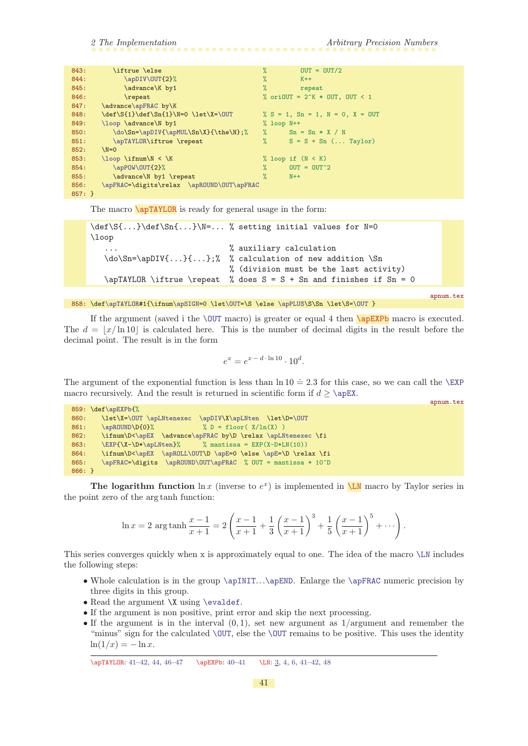<span id="page-40-1"></span>

| 843:     | \iftrue \else                             | $\%$          | $OUT = OUT/2$                              |
|----------|-------------------------------------------|---------------|--------------------------------------------|
| 844:     | \apDIV\OUT{2}%                            | %             | $K++$                                      |
| 845:     | \advance\K by1                            | $\%$          | repeat                                     |
| 846:     | \repeat                                   |               | % oriOUT = $2K * 0UT$ , OUT < 1            |
| 847:     | \advance\apFRAC by\K                      |               |                                            |
| 848:     | \def\S{1}\def\Sn{1}\N=0 \let\X=\OUT       |               | % $S = 1$ , $Sn = 1$ , $N = 0$ , $X = OUT$ |
| 849:     | \loop \advance\N by1                      |               | $%$ loop $N++$                             |
| 850:     | \do\Sn=\apDIV{\apMUL\Sn\X}{\the\N};%      | $\%$          | $Sn = Sn * X / N$                          |
| 851:     | \apTAYLOR\iftrue \repeat                  | $\%$          | $S = S + Sn$ ( Taylor)                     |
| 852:     | $N=0$                                     |               |                                            |
| 853:     | $\lozenge \ifnum(N < K)$                  |               | % loop if $(N < K)$                        |
| 854:     | \apPOW\OUT{2}%                            | $\frac{9}{4}$ | $OUT = OUT^2$                              |
| 855:     | \advance\N by1 \repeat                    | $\frac{9}{4}$ | $N++$                                      |
| 856:     | \apFRAC=\digits\relax \apROUND\OUT\apFRAC |               |                                            |
| $857:$ } |                                           |               |                                            |

<span id="page-40-0"></span>The macro **\apTAYLOR** is ready for general usage in the form:

```
\def\S_{\ldots} \def\S_{\ldots} \right\} = ... % setting initial values for N=0\loop
                               % auxiliary calculation
   \do\Sn=\ap{\iota}:..};% % calculation of new addition \Sn% (division must be the last activity)
   \ap{TAYLOR \if{true} repeat \, % does S = S + Sn and finishes if Sn = 0
```
858:  $\def\alpha\left\{ \ifmmode\alpha\beta\end{array} \left\{ \ifmmode\beta\end{array} \left\{ \ifmmode\beta\end{array} \left\{ \ifmmode\beta\end{array} \left\{ \ifmmode\beta\end{array} \left\{ \ifmmode\beta\end{array} \left\{ \ifmmode\beta\end{array} \left\{ \ifmmode\beta\end{array} \left\{ \ifmmode\beta\end{array} \left\{ \ifmmode\beta\end{array} \left\{ \ifmmode\beta\end{array} \left\{ \ifmmode\beta\end{array} \left\{ \ifmmode\beta\end{array} \left\{ \ifmmode\beta\end{array$ 

<span id="page-40-2"></span>apnum.tex

<span id="page-40-3"></span>apnum.tex

If the argument (saved i the  $\sqrt{OUT \text{ macro}}}$ ) is greater or equal 4 then  $\a{pEXPb \text{ macro}}$  is executed. The  $d = |x/\ln 10|$  is calculated here. This is the number of decimal digits in the result before the decimal point. The result is in the form

$$
e^x = e^{x-d \cdot \ln 10} \cdot 10^d.
$$

The argument of the exponential function is less than  $\ln 10 = 2.3$  for this case, so we can call the [\EXP](#page-39-0) macro recursively. And the result is returned in scientific form if  $d \geq \angle EX$ .

|          | $859: \def\ap{\text{NPb[}\n$                                    |  |
|----------|-----------------------------------------------------------------|--|
| 860:     | \let\X=\OUT \apLNtenexec \apDIV\X\apLNten \let\D=\OUT           |  |
| 861:     | $\frac{9}{6}$ D = floor( $\frac{X}{\ln(X)}$ )<br>\apROUND\D{0}% |  |
| 862:     | \ifnum\D<\apEX \advance\apFRAC by\D \relax \apLNtenexec \fi     |  |
| 863:     | $\EXP{\X-\D*\apLNten}\$ % mantissa = EXP(X-D*LN(10))            |  |
| 864:     | \ifnum\D<\apEX \apROLL\OUT\D \apE=0 \else \apE=\D \relax \fi    |  |
| 865:     | \apFRAC=\digits \apROUND\OUT\apFRAC % OUT = mantissa * 10^D     |  |
| $866:$ } |                                                                 |  |

The logarithm function  $\ln x$  (inverse to  $e^x$ ) is implemented in  $\sum N$  macro by Taylor series in the point zero of the arg tanh function:

$$
\ln x = 2 \arg \tanh \frac{x-1}{x+1} = 2 \left( \frac{x-1}{x+1} + \frac{1}{3} \left( \frac{x-1}{x+1} \right)^3 + \frac{1}{5} \left( \frac{x-1}{x+1} \right)^5 + \cdots \right).
$$

This series converges quickly when x is approximately equal to one. The idea of the macro [\LN](#page-40-3) includes the following steps:

- Whole calculation is in the group [\apINIT](#page-35-6)...[\apEND](#page-32-9). Enlarge the [\apFRAC](#page-8-7) numeric precision by three digits in this group.
- Read the argument \X using [\evaldef](#page-9-0).
- If the argument is non positive, print error and skip the next processing.
- If the argument is in the interval  $(0, 1)$ , set new argument as  $1/$ argument and remember the "minus" sign for the calculated [\OUT](#page-9-4), else the [\OUT](#page-9-4) remains to be positive. This uses the identity  $\ln(1/x) = -\ln x.$

\apTAYLOR: 41–[42](#page-41-1), [44,](#page-43-1) [46–](#page-45-1)[47](#page-46-1) \apEXPb: [40–](#page-39-1)41 \LN: [3](#page-2-1), [4,](#page-3-1) [6](#page-5-1), 41[–42](#page-41-1), [48](#page-47-1)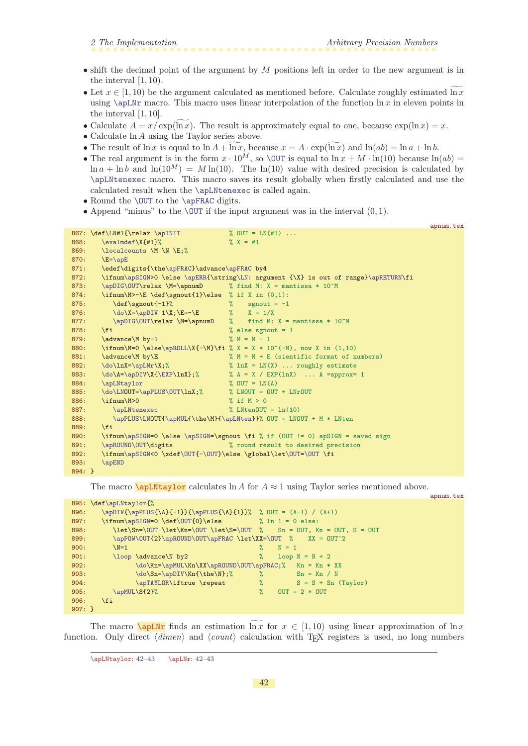appum.tex

- <span id="page-41-1"></span> $\bullet$  shift the decimal point of the argument by M positions left in order to the new argument is in the interval [1, 10).
- Let  $x \in [1, 10)$  be the argument calculated as mentioned before. Calculate roughly estimated  $\ln x$ using  $\alpha$  uses linear interpolation of the function ln x in eleven points in the interval [1, 10].
- Calculate  $A = x/\exp(\widetilde{\ln x})$ . The result is approximately equal to one, because  $\exp(\ln x) = x$ .
- Calculate ln A using the Taylor series above.
- The result of  $\ln x$  is equal to  $\ln A + \ln x$ , because  $x = A \cdot \exp(\ln x)$  and  $\ln(ab) = \ln a + \ln b$ .
- The real argument is in the form  $x \cdot 10^M$ , so [\OUT](#page-9-4) is equal to  $\ln x + M \cdot \ln(10)$  because  $\ln(ab) =$  $\ln a + \ln b$  and  $\ln(10^M) = M \ln(10)$ . The  $\ln(10)$  value with desired precision is calculated by [\apLNtenexec](#page-42-3) macro. This macro saves its result globally when firstly calculated and use the calculated result when the [\apLNtenexec](#page-42-3) is called again.
- Round the **[\OUT](#page-9-4)** to the **[\apFRAC](#page-8-7)** digits.
- Append "minus" to the [\OUT](#page-9-4) if the input argument was in the interval  $(0, 1)$ .

|          |                                                                |                                                                                           | apnum.tex |
|----------|----------------------------------------------------------------|-------------------------------------------------------------------------------------------|-----------|
|          | 867: \def\LN#1{\relax \apINIT                                  | % OUT = $LN(+1)$                                                                          |           |
| 868:     | $\text{evalmdef}\X{\#1}\%$                                     | $\% X = #1$                                                                               |           |
| 869:     | $\lozenge$ \localcounts \M \N \E;%                             |                                                                                           |           |
| 870:     | $E=\ap{apE}$                                                   |                                                                                           |           |
| 871:     | \edef\digits{\the\apFRAC}\advance\apFRAC by4                   |                                                                                           |           |
| 872:     |                                                                | \ifnum\apSIGN>0 \else \apERR{\string\LN: argument {\X} is out of range}\apRETURN\fi       |           |
| 873:     | \apDIG\OUT\relax \M=\apnumD % find M: X = mantissa * 10^M      |                                                                                           |           |
| 874:     | \ifnum\M>-\E\def\sgnout{1}\else % if X in $(0,1)$ :            |                                                                                           |           |
| 875:     | \def\sgnout{-1}%                                               | $\%$<br>sgnout $= -1$                                                                     |           |
| 876:     | $\do \X = \ap{DIV 1\X; \E = -E}$                               | $\frac{9}{4}$ X = 1/X                                                                     |           |
| 877:     | \apDIG\OUT\relax \M=\apnumD                                    | % find M: $X =$ mantissa $* 10^M$                                                         |           |
| 878:     | $\overline{f}$                                                 | % else sgnout = $1$                                                                       |           |
| 879:     | \advance\M by-1                                                | $\% M = M - 1$                                                                            |           |
| 880:     |                                                                | \ifnum\M=0 \else\apROLL\X{-\M}\fi % X = X * 10^(-M), now X in (1,10)                      |           |
| 881:     | \advance\M by\E                                                | % $M = M + E$ (sientific format of numbers)                                               |           |
| 882:     | $\do\ln X = \apLNr\X;\%$                                       | $\%$ lnX = LN(X)  roughly estimate                                                        |           |
| 883:     |                                                                | $\do\A = \ap{\propto \X {\exp\ln X};$ $\land A = X / EXP(\ln X) \dots A = \ap{\propto} 1$ |           |
| 884:     | \apLNtaylor                                                    | $\%$ OUT = LN(A)                                                                          |           |
| 885:     | \do\LNOUT=\apPLUS\OUT\lnX;%                                    | $% LNOUT = OUT + LNrOUT$                                                                  |           |
| 886:     | \ifnum\M>0                                                     | % if $M > 0$                                                                              |           |
| 887:     | <b>\apLNtenexec</b>                                            | % LNtenOUT = $ln(10)$                                                                     |           |
| 888:     |                                                                | \apPLUS\LNOUT{\apMUL{\the\M}{\apLNten}}% OUT = LNOUT + M * LNten                          |           |
| 889:     | $\overline{f}$                                                 |                                                                                           |           |
| 890:     |                                                                | \ifnum\apSIGN=0 \else \apSIGN=\sgnout \fi % if (OUT != 0) apSIGN = saved sign             |           |
| 891:     | \apROUND\OUT\digits                                            | % round result to desired precision                                                       |           |
| 892:     | \ifnum\apSIGN<0 \xdef\0UT{-\0UT}\else \global\let\0UT=\0UT \fi |                                                                                           |           |
| 893:     | <b>\apEND</b>                                                  |                                                                                           |           |
| $894:$ } |                                                                |                                                                                           |           |

<span id="page-41-0"></span>The macro  $\alpha$  is a for A for  $A \approx 1$  using Taylor series mentioned above.

|              |                                                                          |                                        | $Sp$ as what $\theta$ is $\theta$ is a |
|--------------|--------------------------------------------------------------------------|----------------------------------------|----------------------------------------|
|              | 895: \def\apLNtaylor{%                                                   |                                        |                                        |
| 896:         | \apDIV{\apPLUS{\A}{-1}}{\apPLUS{\A}{1}}% % OUT = $(A-1) / (A+1)$         |                                        |                                        |
| 897:         | \ifnum\apSIGN=0 \def\0UT{0}\else $\lambda$ in 1 = 0 else:                |                                        |                                        |
| 898:         | $\let\Sn=\OUT \let\Kn=\OUT \let\St=\OUT % \$ Sn = 0UT, Kn = 0UT, S = 0UT |                                        |                                        |
| 899:         | \apPOW\OUT{2}\apROUND\OUT\apFRAC \let\XX=\OUT % XX = OUT^2               |                                        |                                        |
| 900:         | $N=1$                                                                    | ℀<br>$N = 1$                           |                                        |
| 901:         | \loop \advance\N by2                                                     | $\frac{9}{4}$<br>$loop N = N + 2$      |                                        |
| 902:         | \do\Kn=\apMUL\Kn\XX\apROUND\OUT\apFRAC;% Kn = Kn * XX                    |                                        |                                        |
| 903:         | \do\Sn=\apDIV\Kn{\the\N};%                                               | $\%$<br>$Sn = Kn / N$                  |                                        |
| 904:         | \apTAYLOR\iftrue \repeat                                                 | $\frac{9}{6}$<br>$S = S + Sn (Taylor)$ |                                        |
| 905:         | \apMUL\S{2}%                                                             | $\%$<br>$OUT = 2 * OUT$                |                                        |
| 906:         | \fi                                                                      |                                        |                                        |
| $907: \; \}$ |                                                                          |                                        |                                        |

The macro  $\emptyset$  finds an estimation ln x for  $x \in [1, 10)$  using linear approximation of ln x function. Only direct  $\langle dimen \rangle$  and  $\langle count \rangle$  calculation with T<sub>EX</sub> registers is used, no long numbers

<span id="page-41-2"></span><sup>\</sup>apLNtaylor: 42[–43](#page-42-1) \apLNr: 42[–43](#page-42-1)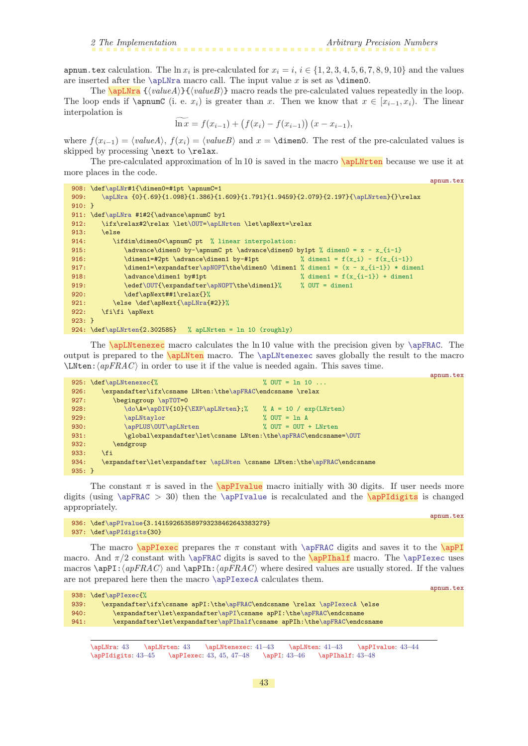<span id="page-42-9"></span><span id="page-42-8"></span><span id="page-42-6"></span>apnum.tex

<span id="page-42-1"></span>apnum.tex calculation. The  $\ln x_i$  is pre-calculated for  $x_i = i$ ,  $i \in \{1, 2, 3, 4, 5, 6, 7, 8, 9, 10\}$  and the values are inserted after the  $\alpha$ macro call. The input value x is set as  $\dim$ 0.

<span id="page-42-0"></span>The  $\alpha {\{valueA\}} {\{\langle valueB\rangle\}}$  macro reads the pre-calculated values repeatedly in the loop. The loop ends if  $\emptyset$  applemation is greater than x. Then we know that  $x \in [x_{i-1}, x_i]$ . The linear interpolation is

<span id="page-42-2"></span>
$$
\ln x = f(x_{i-1}) + (f(x_i) - f(x_{i-1})) (x - x_{i-1}),
$$

where  $f(x_{i-1}) = \{valueA\}, f(x_i) = \{valueB\}$  and  $x = \dim 0$ . The rest of the pre-calculated values is skipped by processing \next to \relax.

The pre-calculated approximation of ln 10 is saved in the macro \apLNrten because we use it at more places in the code. apnum.tex

```
\apLNr#1{\dimen0=#1pt \apnumC=1
\apLNra{\apLNrten}{}\relax
910: }
\apLNra #1#2{\advance\apnumC by1
\OUT=\apLNrten \let\apNext=\relax
913: \else
914: \ifdim\dimen0<\apnumC pt % linear interpolation:
915: \ddot{\text{dimen0 by-\apnumC pt}\advance\dim\text{C} by1pt % dimen0 = x - x_{i-1}
916: \dim_{1=\#2pt} \advance\dim_{1 by-\#1pt} % \dim_{1 = f(x_i) - f(x_i-1)}917: \apNOPT\the\dimen0 \dimen1 % dimen1 = (x - x_{i-1}) * dimen1918: \ddot{\text{advance}} \cdot \text{by#1pt} % dimen1 = f(x_{i-1}) + dimen1
919: f\OUT{\expandafter\aphWOPT\the\dimen1}\ % OUT = dimen1
920: \def\apNext##1\relax{}%
\apLNra{#2}}%
922: \fi\fi \apNext
923: }
924: \def\apLNrten{2.302585} % apLNrten = ln 10 (roughly)
```
<span id="page-42-4"></span><span id="page-42-3"></span>The **\apLNtenexec** macro calculates the ln 10 value with the precision given by **[\apFRAC](#page-8-7)**. The output is prepared to the \apLNten macro. The [\apLNtenexec](#page-42-3) saves globally the result to the macro  $\Delta C$  in order to use it if the value is needed again. This saves time.

|           |                                                                           |                          | apnum.tex |
|-----------|---------------------------------------------------------------------------|--------------------------|-----------|
|           | 925: \def\apLNtenexec{%                                                   | % OUT = $\ln 10$         |           |
| 926:      | \expandafter\ifx\csname LNten:\the\apFRAC\endcsname \relax                |                          |           |
| 927:      | begingroup \apTOT=0                                                       |                          |           |
| 928:      | \do\A=\apDIV{10}{\EXP\apLNrten};%                                         | % $A = 10 / exp(LNrten)$ |           |
| 929:      | \apLNtaylor                                                               | $%$ OUT = 1n A           |           |
| 930:      | \apPLUS\0UT\apLNrten                                                      | $\%$ OUT = OUT + LNrten  |           |
| 931:      | \global\expandafter\let\csname LNten:\the\apFRAC\endcsname=\0UT           |                          |           |
| 932:      | endgroup                                                                  |                          |           |
| 933:      | <b>\fi</b>                                                                |                          |           |
| 934:      | \expandafter\let\expandafter \apLNten \csname LNten:\the\apFRAC\endcsname |                          |           |
| $935: \}$ |                                                                           |                          |           |

<span id="page-42-5"></span>The constant  $\pi$  is saved in the **\apPIvalue** macro initially with 30 digits. If user needs more digits (using  $\ap{PerAC}$  30) then the  $\ap{PerAuue}$  is recalculated and the  $\ap{apPIdigits}$  is changed appropriately.

```
936: \def\apPIvalue{3.141592653589793238462643383279}
\apPIdigits{30}
```
The macro  $\a{pPlexec}$  prepares the  $\pi$  constant with  $\a{pFRAC}$  digits and saves it to the  $\a{pP1}$ macro. And  $\pi/2$  constant with [\apFRAC](#page-8-7) digits is saved to the \apPIhalf macro. The [\apPIexec](#page-42-7) uses macros  $\apph{apPI:}\apph{apFRAC}\text{ where }$  desired values are usually stored. If the values are not prepared here then the macro [\apPIexecA](#page-43-0) calculates them.

```
938: \def\apPIexec{%
e\apFRAC\\apPIexecA \else
\apPI\apFRAC\endcsname
\apPIhalf\e\apFRAC\endcsname
```
 $\apLNra: 43$   $\apLNr. 43$   $\apLNten: 41–43$  $\apLNten: 41–43$  $\apLNten: 41–43$   $\apPlvalue: 43–44$  $\apPlvalue: 43–44$ \apPIdigits: 43-[45](#page-44-1) \apPIexec: 43, 45, 47-[48](#page-47-1) \apPI: 43-46 \apPIhalf: 43-48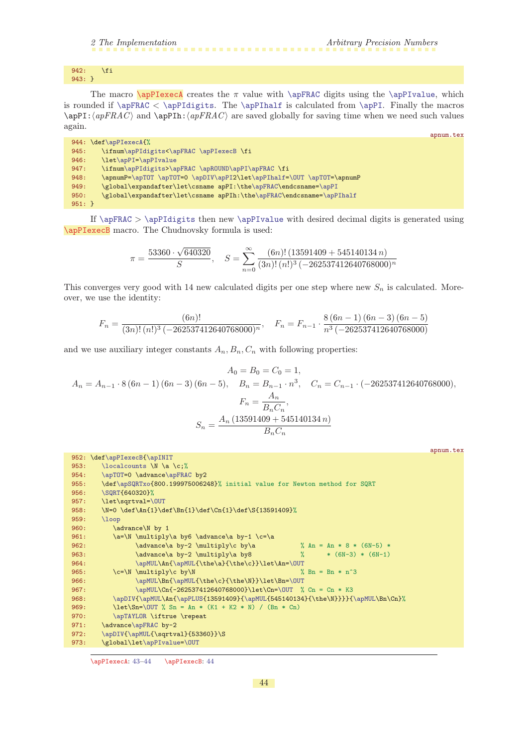<span id="page-43-1"></span><span id="page-43-0"></span>942: \fi 943: }

The macro  $\alpha$  creates the  $\pi$  value with  $\apadesuit$  TRAC digits using the  $\apadesuit$   $\apadesuit$   $\alpha$ . is rounded if  $\ap{FRAC < \ap{PIdigits. The \ap{PIndif} is calculated from \ap{PId. Finally the macros}$  $\alpha$ PI:  $\langle apFRAC \rangle$  and  $\langle apFRAC \rangle$  are saved globally for saving time when we need such values again.

|          |                                                                       | apnum.tex |
|----------|-----------------------------------------------------------------------|-----------|
|          | 944: \def\apPIexecA{%                                                 |           |
| 945:     | \ifnum\apPIdigits<\apFRAC \apPIexecB \fi                              |           |
| 946:     | \let\apPI=\apPIvalue                                                  |           |
| 947:     | \ifnum\apPIdigits>\apFRAC \apROUND\apPI\apFRAC \fi                    |           |
| 948:     | \apnumP=\apTOT \apTOT=0 \apDIV\apPI2\let\apPIhalf=\OUT \apTOT=\apnumP |           |
| 949:     | \global\expandafter\let\csname apPI:\the\apFRAC\endcsname=\apPI       |           |
| 950:     | \global\expandafter\let\csname apPIh:\the\apFRAC\endcsname=\apPIhalf  |           |
| $951:$ } |                                                                       |           |

<span id="page-43-2"></span>If [\apFRAC](#page-8-7) > [\apPIdigits](#page-42-6) then new [\apPIvalue](#page-42-5) with desired decimal digits is generated using \apPIexecB macro. The Chudnovsky formula is used:

$$
\pi = \frac{53360 \cdot \sqrt{640320}}{S}, \quad S = \sum_{n=0}^{\infty} \frac{(6n)! (13591409 + 545140134 n)}{(3n)! (n!)^3 (-262537412640768000)^n}
$$

This converges very good with 14 new calculated digits per one step where new  $S_n$  is calculated. Moreover, we use the identity:

$$
F_n = \frac{(6n)!}{(3n)!(n!)^3(-262537412640768000)^n}, \quad F_n = F_{n-1} \cdot \frac{8(6n-1)(6n-3)(6n-5)}{n^3(-262537412640768000)}
$$

and we use auxiliary integer constants  $A_n, B_n, C_n$  with following properties:

$$
A_0 = B_0 = C_0 = 1,
$$
  
\n
$$
A_n = A_{n-1} \cdot 8(6n - 1)(6n - 3)(6n - 5), \quad B_n = B_{n-1} \cdot n^3, \quad C_n = C_{n-1} \cdot (-262537412640768000),
$$
  
\n
$$
F_n = \frac{A_n}{B_n C_n},
$$
  
\n
$$
S_n = \frac{A_n (13591409 + 545140134 n)}{B_n C_n}
$$

|      |                                                                                        | apnum.tex |
|------|----------------------------------------------------------------------------------------|-----------|
|      | 952: \def\apPIexecB{\apINIT                                                            |           |
| 953: | \localcounts \N \a \c;%                                                                |           |
| 954: | \apTOT=0 \advance\apFRAC by2                                                           |           |
| 955: | \def\apSQRTxo{800.199975006248}% initial value for Newton method for SQRT              |           |
| 956: | \SQRT{640320}%                                                                         |           |
| 957: | \let\sqrtval=\0UT                                                                      |           |
| 958: | \N=0 \def\An{1}\def\Bn{1}\def\Cn{1}\def\S{13591409}%                                   |           |
| 959: | $\log$                                                                                 |           |
| 960: | \advance\N by 1                                                                        |           |
| 961: | \a=\N \multiply\a by6 \advance\a by-1 \c=\a                                            |           |
| 962: | $\advance\a$ by-2 $\multiply\c$ by $a$<br>% An = An * 8 * (6N-5) *                     |           |
| 963: | % $*(6N-3) * (6N-1)$<br>\advance\a by-2 \multiply\a by8                                |           |
| 964: | \apMUL\An{\apMUL{\the\a}{\the\c}}\let\An=\OUT                                          |           |
| 965: | $\c=\N \mathbf{u}$<br>% $\text{Bn} = \text{Bn} * \text{n}^3$                           |           |
| 966: | \apMUL\Bn{\apMUL{\the\c}{\the\N}}\let\Bn=\0UT                                          |           |
| 967: | $\ap{MUL\Ch{-262537412640768000}\let\Ch={OUT % Cn = Cn * K3}$                          |           |
| 968: | $\apDIV {\apMUL\An {\apPLUS}_{13591409}{\apMUL}{545140134}{\the\nN}} {\apMUL\An{\cap}$ |           |
| 969: | $\let\Sn=\OUT$ % Sn = An * (K1 + K2 * N) / (Bn * Cn)                                   |           |
| 970: | \apTAYLOR \iftrue \repeat                                                              |           |
| 971: | \advance\apFRAC by-2                                                                   |           |
| 972: | \apDIV{\apMUL{\sqrtval}{53360}}\S                                                      |           |
| 973: | \global\let\apPIvalue=\OUT                                                             |           |

\apPIexecA: [43–](#page-42-1)44 \apPIexecB: 44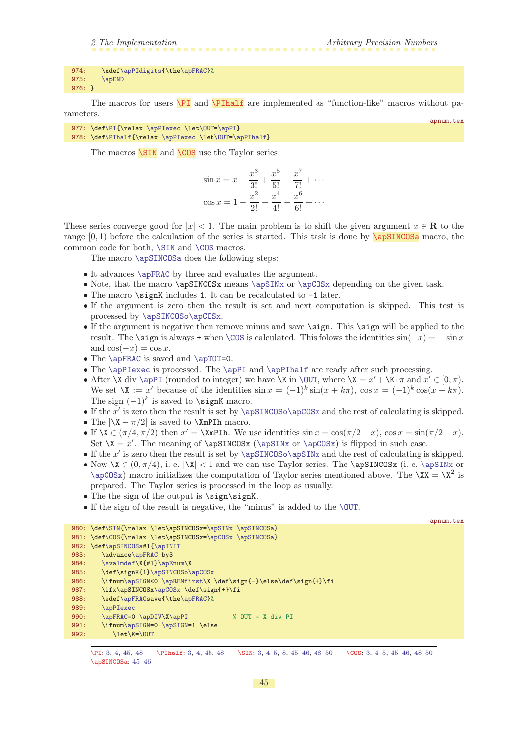```
\apPIdigits\apFRAC}%
975: \apEND
976 \cdot 3
```
The macros for users  $\Pi$  and  $\Pi$ half are implemented as "function-like" macros without parameters.

- 977: \def[\PI{](#page-44-0)\relax [\apPIexec](#page-42-7) \let[\OUT=](#page-9-4)[\apPI](#page-42-8)}
- 978: \def[\PIhalf](#page-44-2){\relax [\apPIexec](#page-42-7) \let[\OUT=](#page-9-4)[\apPIhalf}](#page-42-9)

<span id="page-44-3"></span>The macros  $\sum N$  and  $\sum$  use the Taylor series

<span id="page-44-4"></span><span id="page-44-2"></span><span id="page-44-0"></span>
$$
\sin x = x - \frac{x^3}{3!} + \frac{x^5}{5!} - \frac{x^7}{7!} + \cdots
$$

$$
\cos x = 1 - \frac{x^2}{2!} + \frac{x^4}{4!} - \frac{x^6}{6!} + \cdots
$$

These series converge good for  $|x| < 1$ . The main problem is to shift the given argument  $x \in \mathbb{R}$  to the range  $[0, 1)$  before the calculation of the series is started. This task is done by  $\sqrt{apSINCOSa}$  macro, the common code for both, [\SIN](#page-44-3) and [\COS](#page-44-4) macros.

The macro [\apSINCOSa](#page-44-5) does the following steps:

- It advances  $\apadesuit$  [\apFRAC](#page-8-7) by three and evaluates the argument.
- Note, that the macro \apSINCOSx means [\apSINx](#page-45-0) or [\apCOSx](#page-45-2) depending on the given task.
- The macro \signK includes 1. It can be recalculated to -1 later.
- If the argument is zero then the result is set and next computation is skipped. This test is processed by [\apSINCOSo](#page-45-3)[\apCOSx](#page-45-2).
- If the argument is negative then remove minus and save \sign. This \sign will be applied to the result. The \sign is always + when [\COS](#page-44-4) is calculated. This folows the identities  $\sin(-x) = -\sin x$ and  $\cos(-x) = \cos x$ .
- The [\apFRAC](#page-8-7) is saved and [\apTOT=](#page-8-6)0.
- The [\apPIexec](#page-42-7) is processed. The [\apPI](#page-42-8) and [\apPIhalf](#page-42-9) are ready after such processing.
- After \X div [\apPI](#page-42-8) (rounded to integer) we have \K in [\OUT](#page-9-4), where  $\X = x' + \X \cdot \pi$  and  $x' \in [0, \pi)$ . We set  $\lambda \mathbf{X} := x'$  because of the identities  $\sin x = (-1)^k \sin(x + k\pi)$ ,  $\cos x = (-1)^k \cos(x + k\pi)$ . The sign  $(-1)^k$  is saved to \signK macro.
- If the  $x'$  is zero then the result is set by [\apSINCOSo](#page-45-3)[\apCOSx](#page-45-2) and the rest of calculating is skipped.
- The  $|\X \pi/2|$  is saved to  $\X$ mPIh macro.
- If  $\X \in (\pi/4, \pi/2)$  then  $x' = \XmP$ Ih. We use identities  $\sin x = \cos(\pi/2 x)$ ,  $\cos x = \sin(\pi/2 x)$ . Set  $X = x'$ . The meaning of  $\ap{x \cap \ap{x} or \ap{COSx}$  is flipped in such case.
- If the  $x'$  is zero then the result is set by [\apSINCOSo](#page-45-3)[\apSINx](#page-45-0) and the rest of calculating is skipped.
- Now  $X \in (0, \pi/4)$ , i. e.  $|\X| < 1$  and we can use Taylor series. The  $\apartsuit$ SINCOSx (i. e.  $\apartsuit$ SINx or [\apCOSx](#page-45-2)) macro initializes the computation of Taylor series mentioned above. The  $\chi X = \chi^2$  is prepared. The Taylor series is processed in the loop as usually.
- The the sign of the output is \sign\signK.
- If the sign of the result is negative, the "minus" is added to the [\OUT](#page-9-4).

```
\SIN{=\apSINx\apSINCOSa}
\COS{=\apCOSx\apSINCOSa}
982: \def\apSINCOSa#1{\apINIT
e\apFRAC by3
\evalmdef\}\apEnum\X
\apSINCOSo\apCOSx
\apSIGN<\apREMfirst\X \def\sign{-}\else\def\sign{+}\fi
\apCOSx \def\sign{+}\fi
\apFRACsave{\the\apFRAC}%
\apPIexec
990: \apFRAC\apDIV\apPI \qquad \text{\t0.000} 00T = X div PI991: \ifnum\apSIGN=0 \apSIGN=1 \else
\OUT
```
<span id="page-44-5"></span>apnum.tex

apnum.tex

<sup>\</sup>PI: [3](#page-2-1), [4,](#page-3-1) 45, [48](#page-47-1) \PIhalf: [3,](#page-2-1) [4](#page-3-1), 4[5,](#page-4-1) 4[8](#page-7-1) \SIN: 3, 4-5, 8, 45[–46,](#page-45-1) [48–](#page-47-1)[50](#page-49-1) \COS: 3, [4–](#page-3-1)[5](#page-4-1), 45–46, 48–50 \apSINCOSa: 45[–46](#page-45-1)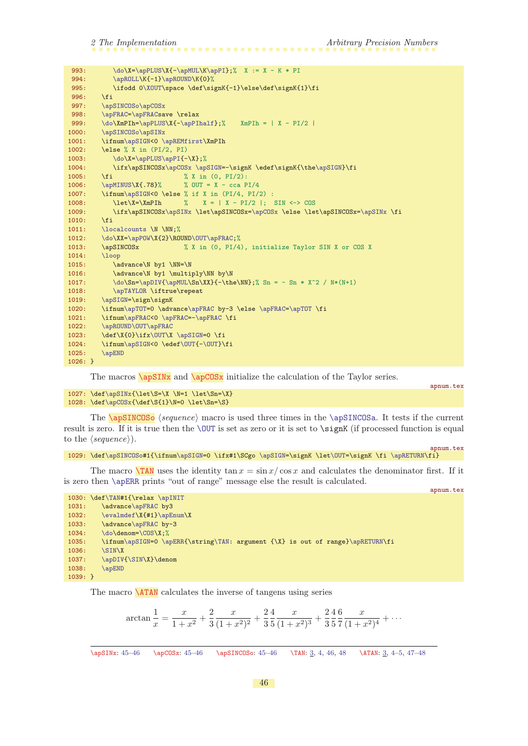<span id="page-45-1"></span>

| 993:      | $\do \X = \ap{PLUS \X {\ - \ap{MUL \K \ap{PI}; % X := X - K * PI \nightharpoonup X} \}$ |
|-----------|-----------------------------------------------------------------------------------------|
| 994:      | \apROLL\K{-1}\apROUND\K{0}%                                                             |
| 995:      | \ifodd 0\XOUT\space \def\signK{-1}\else\def\signK{1}\fi                                 |
| 996:      | \fi                                                                                     |
| 997:      | \apSINCOSo\apCOSx                                                                       |
| 998:      | \apFRAC=\apFRACsave \relax                                                              |
| 999:      | $\do\XmPIn=\apPLUS\X{-\apPInalf};$ XmPIh =   X - PI/2                                   |
| 1000:     | \apSINCOSo\apSINx                                                                       |
| 1001:     | \ifnum\apSIGN<0 \apREMfirst\XmPIh                                                       |
| 1002:     | \else % X in (PI/2, PI)                                                                 |
| 1003:     | $\do \X = \ap{PLUS \ap{PI{-X}};$                                                        |
| 1004:     | \ifx\apSINCOSx\apCOSx \apSIGN=-\signK \edef\signK{\the\apSIGN}\fi                       |
| 1005:     | \fi<br>% X in $(0, PI/2)$ :                                                             |
| 1006:     | $\alpha$ /apMINUS \X{.78}% % OUT = X - cca PI/4                                         |
| 1007:     | \ifnum\apSIGN<0 \else % if X in (PI/4, PI/2) :                                          |
| 1008:     | $\let \X = \XmP1h$<br>$X =   X - PI/2  $ ; SIN <-> COS<br>$\%$                          |
| 1009:     | \ifx\apSINCOSx\apSINx \let\apSINCOSx=\apCOSx \else \let\apSINCOSx=\apSINx \fi           |
| 1010:     | \fi                                                                                     |
| 1011:     | \localcounts \N \NN;%                                                                   |
| 1012:     | \do\XX=\apPOW\X{2}\ROUND\OUT\apFRAC;%                                                   |
| 1013:     | \apSINCOSx<br>% X in (0, PI/4), initialize Taylor SIN X or COS X                        |
| 1014:     | $\log$                                                                                  |
| 1015:     | \advance\N by1 \NN=\N                                                                   |
| 1016:     | \advance\N by1 \multiply\NN by\N                                                        |
| 1017:     | $\do\Sn=\apDIV{\aphUL\Sn\XX}{-\the\NN}; % \Sn = - Sn * X^2 / N*(N+1)$                   |
| 1018:     | \apTAYLOR \iftrue\repeat                                                                |
| 1019:     | \apSIGN=\sign\signK                                                                     |
| 1020:     | \ifnum\apT0T=0 \advance\apFRAC by-3 \else \apFRAC=\apT0T \fi                            |
| 1021:     | \ifnum\apFRAC<0 \apFRAC=-\apFRAC \fi                                                    |
| 1022:     | \apROUND\OUT\apFRAC                                                                     |
| 1023:     | \def\X{0}\ifx\OUT\X \apSIGN=0 \fi                                                       |
| 1024:     | \ifnum\apSIGN<0 \edef\0UT{-\0UT}\fi                                                     |
| 1025:     | <b>\apEND</b>                                                                           |
| $1026:$ } |                                                                                         |

<span id="page-45-3"></span><span id="page-45-2"></span><span id="page-45-0"></span>The macros  $\a$ sing and  $\a$ cOSx initialize the calculation of the Taylor series.

1027:  $\def\ayright\{ \let\x\s=\X \ \N=1 \ \let\x\n=X$ 1028:  $\def\ap{\overline{\def}}\N=0 \let\Sn=\S}$ 

The  $\ap{apSINCOSo (sequence) macro is used three times in the \apSINCOSa. It tests if the current$  $\ap{apSINCOSo (sequence) macro is used three times in the \apSINCOSa. It tests if the current$  $\ap{apSINCOSo (sequence) macro is used three times in the \apSINCOSa. It tests if the current$ result is zero. If it is true then the [\OUT](#page-9-4) is set as zero or it is set to \signK (if processed function is equal to the  $\langle sequence \rangle$ ).

```
\apSINCOSom\apSIGN=\apSIGN\OUT=\apRETURN\fi}
```
<span id="page-45-4"></span>The macro  $\Gamma$ AN uses the identity tan  $x = \frac{\sin x}{\cos x}$  and calculates the denominator first. If it is zero then [\apERR](#page-36-3) prints "out of range" message else the result is calculated.

apnum.tex

apnum.tex

apnum.tex

```
1030: \def\TAN#1{\relax \apINIT
e\apFRAC by3
1032: \evalmdef\X{#1}\apEnum\X
e\apFRAC by-3
1034: \downarrow\COS\X;%
1035: \ifnum\apSIGN=0 \apERR{\string\TAN: argument {\X} is out of range}\apRETURN\fi
\SIN\X<br>1037: \apDIV
       \apDIV{\SIN\X}\denom
1038: \apEND
1039: }
```
The macro **[\ATAN](#page-2-17)** calculates the inverse of tangens using series

<span id="page-45-5"></span>
$$
\arctan\frac{1}{x} = \frac{x}{1+x^2} + \frac{2}{3}\frac{x}{(1+x^2)^2} + \frac{2}{3}\frac{4}{5}\frac{x}{(1+x^2)^3} + \frac{2}{3}\frac{4}{5}\frac{6}{7}\frac{x}{(1+x^2)^4} + \cdots
$$

\apSINx: [45](#page-44-1)–46 \apSINCOSo: [45–](#page-44-1)46 \TAN: [3,](#page-2-1) [4](#page-3-1), 46, [48](#page-47-1) \ATAN: 3, 4–[5,](#page-4-1) [47](#page-46-1)–48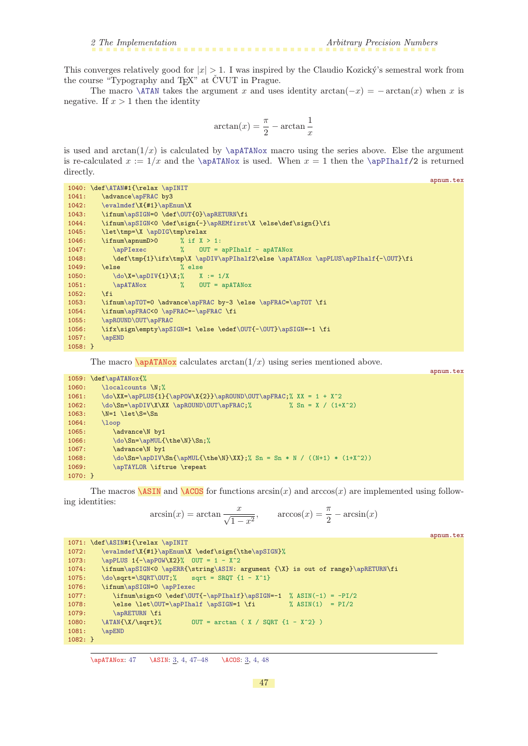<span id="page-46-1"></span>This converges relatively good for  $|x| > 1$ . I was inspired by the Claudio Kozický's semestral work from the course "Typography and T<sub>EX</sub>" at CVUT in Prague.

The macro  $\Lambda$ TAN takes the argument x and uses identity  $arctan(-x) = -arctan(x)$  when x is negative. If  $x > 1$  then the identity

$$
\arctan(x) = \frac{\pi}{2} - \arctan\frac{1}{x}
$$

is used and  $arctan(1/x)$  is calculated by  $\apadesuit$   $\apadesuit$  macro using the series above. Else the argument is re-calculated  $x := 1/x$  and the [\apATANox](#page-46-0) is used. When  $x = 1$  then the [\apPIhalf](#page-42-9)/2 is returned directly.

```
apnum.tex
1040: \def\ATAN#1{\relax \apINIT
e\apFRAC by3
1042: \evalmdef\X{#1}\apEnum\X
1043: \ifnum\apSIGN=0 \def\OUT{0}\apRETURN\fi
\apSIGN<}\apREMfirst\X \else\def\sign{}\fi<br>1045: \let\tmp=\X \apDIG\tmp\relax
            \apDIG\tmp\relax
1046: \ifnum\apnumD>0 % if X > 1:
1047: \langle \text{appIexec} \rangle / OUT = apPIhalf - apATANox
1048: \def\tmp{1}\ifx\tmp\X \apDIV\apPIhalf2\else \apATANox \apPLUS\apPIhalf{-\OUT}\fi
1049: \else % else<br>1050: \do\X=\apDIV{1}\X;% X := 1/X
1050: \dot{\lambda}=\alpha DIV{1}\X;1051: \alpha\apATANox % OUT = apATANox 1052: \fi
1052:1053: \ifnum\apTOT=0 \advance\apFRAC by-3 \else \apFRAC=\apTOT \fi
\apFRAC<\apFRAC=-\apFRAC \fi
1055: \apROUND\OUT\apFRAC
1056: \qquad \texttt{\#1} \else \texttt{\#1} \def\mathcal{N}=1 \if{ \texttt{\#2}} \def\mathcal{N}=1 \if{ \texttt{\#3}} \def\mathcal{N}=1 \if{ \texttt{\#4}} \def\mathcal{N}=1 \if{ \texttt{\#4}} \def\mathcal{N}=1 \if{ \texttt{\#4}} \def\mathcal{N}=1 \if{ \texttt{\#5}} \def\mathcal{N}=1 \if{ \texttt{\#5}} \def\mathcal{N}=1 \if{ \texttt{\#6}} \def\mathcal{N}=1 \if{ \texttt{\#6}} \def\mathcal{N}=1 \if{ \texttt{\#6}} \def\mathcal{1057: \apEND
1058: }
```
<span id="page-46-0"></span>The macro  $\alpha$  calculates  $\arctan(1/x)$  using series mentioned above.

|           |                                                                             | apnum.tex |
|-----------|-----------------------------------------------------------------------------|-----------|
|           | 1059: \def\apATANox{%                                                       |           |
| 1060:     | \localcounts \N:%                                                           |           |
| 1061:     | $\do\XX = \apPLUS{1}{\apPOW\X{2}}\apROUND\OUT\apFRAC; % XX = 1 + X^2$       |           |
| 1062:     | \do\Sn=\apDIV\X\XX \apROUND\OUT\apFRAC;%<br>% Sn = X / $(1+X^2)$            |           |
| 1063:     | $N=1$ $\let\S=\Sn$                                                          |           |
| 1064:     | $\log$                                                                      |           |
| 1065:     | \advance\N by1                                                              |           |
| 1066:     | \do\Sn=\apMUL{\the\N}\Sn;%                                                  |           |
| 1067:     | \advance\N by1                                                              |           |
| 1068:     | $\do\Sn=\apDiv\Sn{\ap{{\mathsf{the}}}\XX};$ Sn = Sn * N / ((N+1) * (1+X^2)) |           |
| 1069:     | \apTAYLOR \iftrue \repeat                                                   |           |
| $1070:$ } |                                                                             |           |
|           |                                                                             |           |

The macros  $\overline{ASIN}$  and  $\overline{ACOS}$  for functions  $arcsin(x)$  and  $arccos(x)$  are implemented using following identities:

<span id="page-46-3"></span><span id="page-46-2"></span>
$$
\arcsin(x) = \arctan\frac{x}{\sqrt{1-x^2}}, \qquad \arccos(x) = \frac{\pi}{2} - \arcsin(x)
$$

apnum.tex

```
1071: \def\ASIN#1{\relax \apINIT
\evalmdef\}\apEnum\\apSIGN}%
1073: \ap{{\qquad1}-\ap{{\qquad1}\x2}{\qquad 000} x2} OUT = 1 - X<sup>2</sup>
1074: \ifnum\apSIGN<0 \apERR{\string\ASIN: argument {\X} is out of range}\apRETURN\fi
1075: \ \ \ \ \ \ \ \ \ \ \ \ \ \ \ \ \ sqrt = SRQT {1 - X^1}
1076: \ifnum\apSIGN=0 \apPIexec
\OUT{-\apPIhalf}\apSIGN=-1 % ASIN(-1) = -PI/2
1078: \apSIGN=1 \fi \qquad \text{$$ASIN(1) = PI/2$}1079: \alpha\apRETURN \fi<br>1080: \ATAN{\X/\sqrt}%
1080: \{X/\sqrt{X}\ OUT = arctan ( X / SQRT {1 - X<sup>2</sup>} )
1081: \apEND
1082: }
```
\apATANox: 47 \ASIN: [3](#page-2-1), [4,](#page-3-1) 47-[48](#page-47-1) \ACOS: 3, 4, 48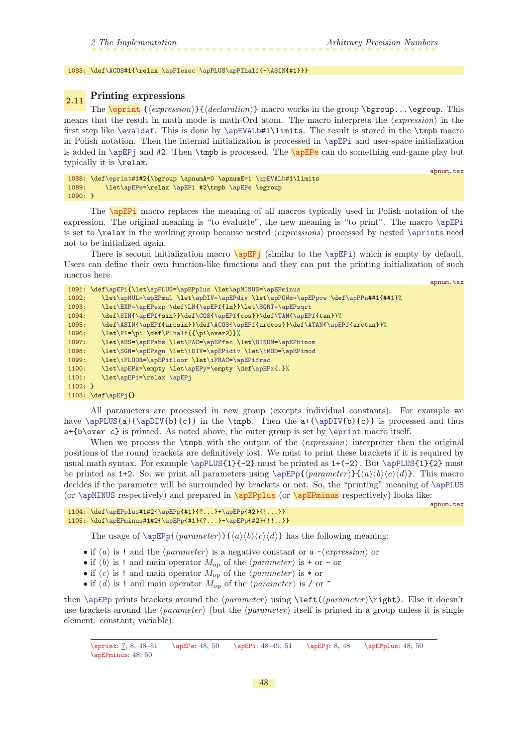<span id="page-47-1"></span>1083: \def[\ACOS#](#page-46-3)1{\relax [\apPIexec](#page-42-7) [\apPLUS](#page-14-0)[\apPIhalf](#page-42-9){-[\ASIN](#page-46-2){#1}}}

#### <span id="page-47-2"></span><span id="page-47-0"></span>2.11 Printing expressions

The  $\epsilon$  { $\{expression\}$ }  $\{declamation\}$  macro works in the group  $\epsilon$ ...\egroup. This means that the result in math mode is math-Ord atom. The macro interprets the  $\langle expression \rangle$  in the first step like [\evaldef](#page-9-0). This is done by [\apEVALb#](#page-9-5)1\limits. The result is stored in the \tmpb macro in Polish notation. Then the internal initialization is processed in  $\apaket{\text{apEPi}}$  and user-space initialization is added in  $\angle$ Pi and #2. Then  $\times$  is processed. The  $\angle$ **pEPe** can do something end-game play but typically it is \relax.

```
apnum.tex
1088: \def\eprint#1#2{\bgroup \apnumA=0 \apnumE=1 \apEVALb#1\limits
1089: \let\apEPe=\relax \apEPi #2\tmpb \apEPe \egroup
1090: }
```
<span id="page-47-4"></span>The **\apEPi** macro replaces the meaning of all macros typically used in Polish notation of the expression. The original meaning is "to evaluate", the new meaning is "to print". The macro [\apEPi](#page-47-4) is set to  $\relaxright$  in the working group because nested *(expressions)* processed by nested  $\equiv$ not to be initialized again.

<span id="page-47-5"></span>There is second initialization macro  $\langle \text{apEP}_j \rangle$  (similar to the  $\langle \text{apEP}_i \rangle$ ) which is empty by default. Users can define their own function-like functions and they can put the printing initialization of such macros here. apnum.tex

```
1091: \def\apEPi{\let\apPLUS=\apEPplus \let\apMINUS=\apEPminus
1092: \let\apMUL=\apEPmul \let\apDIV=\apEPdiv \let\apPOWx=\apEPpow \def\apPPn##1{##1}%
\EXP\apEPexp\LN\apEPft\SQRT\apEPsqrt
\SIN\apEPff\COSf\TAN\apEPf{tan}}%
1095: \def\ASIN{\apEPf{arcsin}}\def\ACOS{\apEPf{arccos}}\def\ATAN{\apEPf{arctan}}%
\PIf\PIhalf{{\pi\over2}}%
1097: \let\ABS=\apEPabs \let\FAC=\apEPfac \let\BINOM=\apEPbinom
1098: \let\SGN=\apEPsgn \let\iDIV=\apEPidiv \let\iMOD=\apEPimod
1099: \let\iFLOOR=\apEPifloor \let\iFRAC=\apEPifrac
\apEPk=\apEPy\apEPx{.}%
1101: \let\apEPi=\relax \apEPj
1102 \cdot 31103: \def\apEPj{}
```
All parameters are processed in new group (excepts individual constants). For example we have [\apPLUS{](#page-14-0)a}{[\apDIV{](#page-22-0)b}{c}} in the \tmpb. Then the a+{[\apDIV](#page-22-0){b}{c}} is processed and thus a+{b\over c} is printed. As noted above, the outer group is set by [\eprint](#page-47-2) macro itself.

When we process the  $\t{tmpb}$  with the output of the  $\text{expression}$  interpreter then the original positions of the round brackets are definitively lost. We must to print these brackets if it is required by usual math syntax. For example  $\apph{1}{-2}$  must be printed as  $1+(-2)$ . But  $\apph{1}{2}$  must be printed as 1+2. So, we print all parameters using  $\ap{\sigma_{\text{parameter}}{\langle a \rangle}(b \rangle \langle c \rangle \langle d \rangle}.$  This macro decides if the parameter will be surrounded by brackets or not. So, the "printing" meaning of [\apPLUS](#page-14-0) (or  $\apaket{\text{apMINUS} \text{ respectively}}$  and prepared in  $\apaket{\text{apEPDlus} \text{ (or } \apaket{\text{apEPminus} \text{ respectively})}}$  looks like:

```
apnum.tex
```

```
1104: \def\alpha\{112{\\ap{1}2?\ldots}+\ap{12}{?...}+\ap{12}{1!\ldots}1105: \def\apEPminus#1#2{\apEPp{#1}{?...}-\apEPp{#2}{!!..}}
```
<span id="page-47-6"></span>The usage of  $\Phi(\gamma)$  (parameter)  $\{a\}(b)(c)\{d\}$  has the following meaning:

- if  $\langle a \rangle$  is ! and the  $\langle parameter \rangle$  is a negative constant or a - $\langle expression \rangle$  or
- if  $\langle b \rangle$  is ! and main operator  $M_{op}$  of the  $\langle parameter \rangle$  is + or or
- if  $\langle c \rangle$  is ! and main operator  $M_{op}$  of the  $\langle parameter \rangle$  is \* or
- if  $\langle d \rangle$  is ! and main operator  $M_{op}$  of the  $\langle parameter \rangle$  is / or ^

then [\apEPp](#page-49-4) prints brackets around the  $\{parameter\}\left(\{parameter\right)\$ . Else it doesn't use brackets around the  $\langle parameter \rangle$  (but the  $\langle parameter \rangle$  itself is printed in a group unless it is single element: constant, variable).

\eprint: [7](#page-6-1), [8](#page-7-1), 48[–51](#page-50-1) \apEPe: 48, [50](#page-49-1) \apEPi: 48[–49,](#page-48-1) [51](#page-50-1) \apEPj: [8,](#page-7-1) 48 \apEPplus: 48, [50](#page-49-1) \apEPminus: 48, [50](#page-49-1)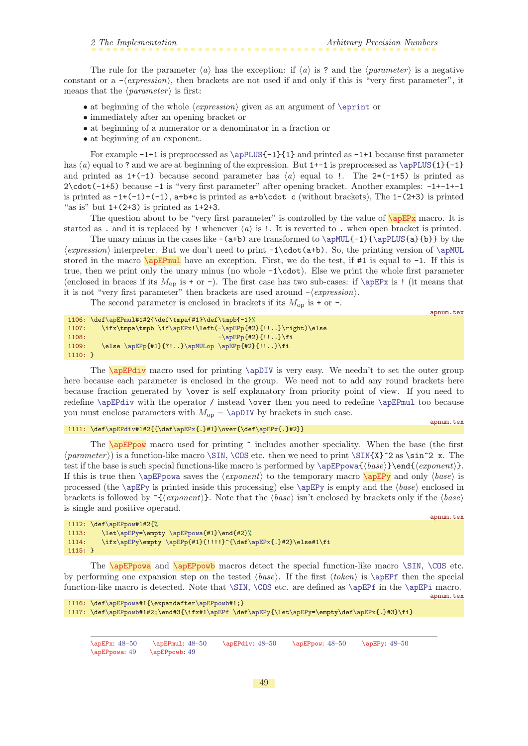<span id="page-48-1"></span>The rule for the parameter  $\langle a \rangle$  has the exception: if  $\langle a \rangle$  is ? and the  $\langle parameter \rangle$  is a negative constant or a  $-\langle expression \rangle$ , then brackets are not used if and only if this is "very first parameter", it means that the  $\langle parameter \rangle$  is first:

- at beginning of the whole  $\langle expression \rangle$  given as an argument of  $\epsilon$
- immediately after an opening bracket or
- at beginning of a numerator or a denominator in a fraction or
- at beginning of an exponent.

For example  $-1+1$  is preprocessed as  $\ap{-1}{1}$  and printed as  $-1+1$  because first parameter has  $\langle a \rangle$  equal to ? and we are at beginning of the expression. But 1+-1 is preprocessed as  $\alpha \setminus \alpha$ PLUS{1}{-1} and printed as  $1+(-1)$  because second parameter has  $\langle a \rangle$  equal to !. The  $2*(-1+5)$  is printed as 2\cdot(-1+5) because -1 is "very first parameter" after opening bracket. Another examples: -1+-1+-1 is printed as  $-1+(-1)+(-1)$ ,  $a+b*c$  is printed as  $a+b\cdot d$  c (without brackets), The  $1-(2+3)$  is printed "as is" but  $1+(2+3)$  is printed as  $1+2+3$ .

The question about to be "very first parameter" is controlled by the value of  $\a{pEPx}$  macro. It is started as . and it is replaced by ! whenever  $\langle a \rangle$  is !. It is reverted to . when open bracket is printed.

The unary minus in the cases like  $-(a+b)$  are transformed to  $\ap{-1}{\ap{D}{3}$  by the  $\langle expression \rangle$  interpreter. But we don't need to print  $-1\cdot\cdot($  a+b). So, the printing version of  $\alpha$ MUL stored in the macro  $\alpha$  is equal have an exception. First, we do the test, if #1 is equal to -1. If this is true, then we print only the unary minus (no whole -1\cdot). Else we print the whole first parameter (enclosed in braces if its  $M_{\text{op}}$  is + or -). The first case has two sub-cases: if [\apEPx](#page-48-0) is ! (it means that it is not "very first parameter" then brackets are used around  $-\langle expression \rangle$ .

<span id="page-48-2"></span>The second parameter is enclosed in brackets if its  $M_{op}$  is + or -.

```
\apEPmul#1#2{\def\tmpa{#1}\def\tmpb{-1}%
\apEPx-\apEPp{#2}{!!..}\right)\else
1108: -\apEPp{#2}{!!..}\fi
     \apEPp\apMULop \apEPp{#2}{!!..}\fi
1110: }
```
<span id="page-48-3"></span>The **\apEPdiv** macro used for printing **[\apDIV](#page-22-0)** is very easy. We needn't to set the outer group here because each parameter is enclosed in the group. We need not to add any round brackets here because fraction generated by \over is self explanatory from priority point of view. If you need to redefine [\apEPdiv](#page-48-3) with the operator / instead \over then you need to redefine [\apEPmul](#page-48-2) too because you must enclose parameters with  $M_{\text{on}} = \ap{\text{apDIV}}$  by brackets in such case.

#### 1111: \def[\apEPdiv#](#page-48-3)1#2{{\de[f\apEPx](#page-48-0){.}#1}\over{\de[f\apEPx{](#page-48-0).}#2}}

<span id="page-48-4"></span>The  $\alpha$  macro used for printing  $\hat{ }$  includes another speciality. When the base (the first  $\langle parameter \rangle$  is a function-like macro [\SIN](#page-44-3), [\COS](#page-44-4) etc. then we need to print \SIN{X}^2 as \sin^2 x. The test if the base is such special functions-like macro is performed by  $\ap{\alpha_{\text{base}}\end{math}$ . If this is true then [\apEPpowa](#page-48-6) saves the  $\langle exponent \rangle$  to the temporary macro  $\langle target \rangle$  and only  $\langle base \rangle$  is processed (the [\apEPy](#page-48-5) is printed inside this processing) else \apEPy is empty and the  $\langle base \rangle$  enclosed in brackets is followed by  $\hat{\chi}(exponent)$ . Note that the  $\langle base \rangle$  isn't enclosed by brackets only if the  $\langle base \rangle$ is single and positive operand.

```
apnum.tex
```
apnum.tex

<span id="page-48-0"></span>apnum.tex

```
1112: \def\apEPpow#1#2{%
1113: \let\apEPy=\empty \apEPpowa{#1}\end{#2}%
\apEPy\\apEPp{\apEPx{.}#2}\else#1\fi
1115: }
```
<span id="page-48-7"></span><span id="page-48-6"></span>The **\apEPpowa** and **\apEPpowb** macros detect the special function-like macro [\SIN](#page-44-3), [\COS](#page-44-4) etc. by performing one expansion step on the tested  $\langle base \rangle$ . If the first  $\langle token \rangle$  is  $\langle appEPf$  then the special function-like macro is detected. Note that  $\SIM$ ,  $\COS$  etc. are defined as  $\apEPf$  in the  $\apEPi$  macro.

```
apnum.tex
1116: \def\apEPpowa#1{\expandafter\apEPpowb#1;}
\apEPpowb#1\apEPf\apEPyt\apEPy=f\apEPx{.}#3}\fi}
```
\apEPx: [48–](#page-47-1)[50](#page-49-1) \apEPmul: [48](#page-47-1)[–50](#page-49-1) \apEPdiv: 48–50 \apEPpow: 48–50 \apEPy: 48–50 \apEPpowa: 49 \apEPpowb: 49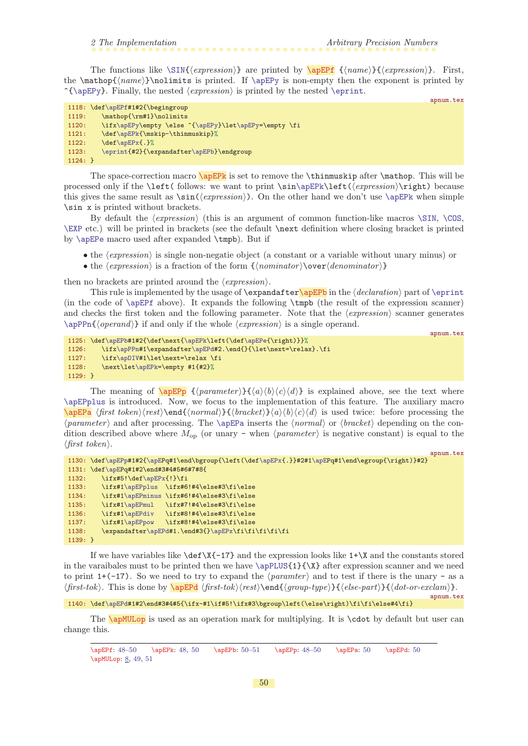<span id="page-49-1"></span>The functions like  $\SIN{\text{expression}}$  $\SIN{\text{expression}}$  are printed by  $\alpha$  = {\appEPf}{\appression}}. First, the  $\mathbf{\langle name}\rangle$ \nolimits is printed. If  $\ap{-\alpha\beta\psi}$  is non-empty then the exponent is printed by  $\{\apash\$ . Finally, the nested  $\langle expression \rangle$  is printed by the nested  $\eprint.$  $\eprint.$ 

<span id="page-49-0"></span>apnum.tex

<span id="page-49-3"></span>apnum.tex

apnum.tex

apnum.tex

|           | 1118: \def\apEPf#1#2{\begingroup                      |
|-----------|-------------------------------------------------------|
| 1119:     | \mathop{\rm#1}\nolimits                               |
| 1120:     | \ifx\apEPy\empty \else ^{\apEPy}\let\apEPy=\empty \fi |
| 1121:     | \def\apEPk{\mskip-\thinmuskip}%                       |
| 1122:     | $\def \ap{\x0{\alpha} f. }\$                          |
| 1123:     | \eprint{#2}{\expandafter\apEPb}\endgroup              |
| $1124:$ } |                                                       |

<span id="page-49-2"></span>The space-correction macro  $\apreak$  \apEPk is set to remove the \thinmuskip after \mathop. This will be processed only if the  $\left(\delta\right)$  we want to print  $\sin\alpha\left(\epsilon\right)$ . this gives the same result as  $\sin(\langle expression \rangle)$ . On the other hand we don't use  $\ap{pePk$  when simple \sin x is printed without brackets.

By default the  $\langle expression \rangle$  (this is an argument of common function-like macros  $\sin \ \cos$ , [\EXP](#page-39-0) etc.) will be printed in brackets (see the default \next definition where closing bracket is printed by [\apEPe](#page-47-3) macro used after expanded \tmpb). But if

- the  $\langle expression \rangle$  is single non-negatie object (a constant or a variable without unary minus) or
- the  $\langle expression \rangle$  is a fraction of the form  $\{\langle nominator \rangle\over \langle denominator \rangle\}$

then no brackets are printed around the  $\langle expression \rangle$ .

This rule is implemented by the usage of  $\exp\delta t$  in the  $\delta$  in the  $\delta$  and  $\epsilon$  of  $\epsilon$ (in the code of [\apEPf](#page-49-0) above). It expands the following \tmpb (the result of the expression scanner) and checks the first token and the following parameter. Note that the  $\langle expression \rangle$  scanner generates  $\alpha$ )} if and only if the whole  $\langle expression \rangle$  is a single operand.

```
1125: \def\apEPb#1#2{\def\next{\apEPk\left(\def\apEPe{\right)}}%
\apPPn#r\apEPd#2.\end{}{\let\next=\relax}.\fi
\apDIV#1\let\next=\relax \fi
1128: \next\let\apEPk=\empty #1{#2}%
1129: }
```
<span id="page-49-5"></span><span id="page-49-4"></span>The meaning of  $\text{LapEPp } {\langle parameter \rangle} {\{\langle a \rangle \langle b \rangle \langle c \rangle \langle d \rangle\}}$  is explained above, see the text where [\apEPplus](#page-47-6) is introduced. Now, we focus to the implementation of this feature. The auxiliary macro  $\a{fist token}\text{end}(normal)$ { $bracket\}$  $\langle h \rangle \langle a \rangle \langle b \rangle \langle d \rangle$  is used twice: before processing the  $\langle parameter \rangle$  and after processing. The [\apEPa](#page-49-5) inserts the  $\langle normal \rangle$  or  $\langle bracket \rangle$  depending on the condition described above where  $M_{op}$  (or unary - when  $\langle parameter \rangle$  is negative constant) is equal to the  $\langle$ first token $\rangle$ .

```
1130: \def\{\ap{1#2{\ap{2}}\ap{2}}\qquad 1} \label{1130} $$1131: \def\apEPq#1#2\end#3#4#5#6#7#8{
1132: \ifx#5!\def\apEPx{!}\fi
1133: \ifx#1\apEPplus \ifx#6!#4\else#3\fi\else
1134: \ifx#1\apEPminus \ifx#6!#4\else#3\fi\else
1135: \ifx#1\apEPmul \ifx#7!#4\else#3\fi\else
1136: \ifx#1\apEPdiv \ifx#8!#4\else#3\fi\else
1137: \ifx#1\apEPpow \ifx#8!#4\else#3\fi\else
r\apEPd#}\apEPx\fi\fi\fi\fi\fi
1139: }
```
If we have variables like  $\det X$ {-17} and the expression looks like 1+ $X$  and the constants stored in the varaibales must to be printed then we have [\apPLUS{](#page-14-0)1}{\X} after expression scanner and we need to print 1+(-17). So we need to try to expand the  $\langle parameter \rangle$  and to test if there is the unary - as a  $\frac{\frac{\frac{\text{log of } \frac{\text{log of}}{\text{log of}} \left( \frac{\text{log of}}{\text{log of}} \left( \frac{\text{log of}}{\text{log of}} \right)}{\text{log of of}} \right)}{ \text{log of of}}.}$ 

1140: \def[\apEPd](#page-49-6)#1#2\end#3#4#5{\ifx-#1\if#5!\ifx#3\bgroup\left(\else\right)\fi\fi\else#4\fi}

The **[\apMULop](#page-7-0)** is used as an operation mark for multiplying. It is **\cdot** by default but user can change this.

<span id="page-49-7"></span><span id="page-49-6"></span><sup>\</sup>apEPf: [48](#page-47-1)–50 \apEPk: [48](#page-47-1), 50 \apEPb: 50–[51](#page-50-1) \apEPp: [48](#page-47-1)–50 \apEPa: 50 \apEPd: 50 \apMULop: [8](#page-7-1), [49,](#page-48-1) [51](#page-50-1)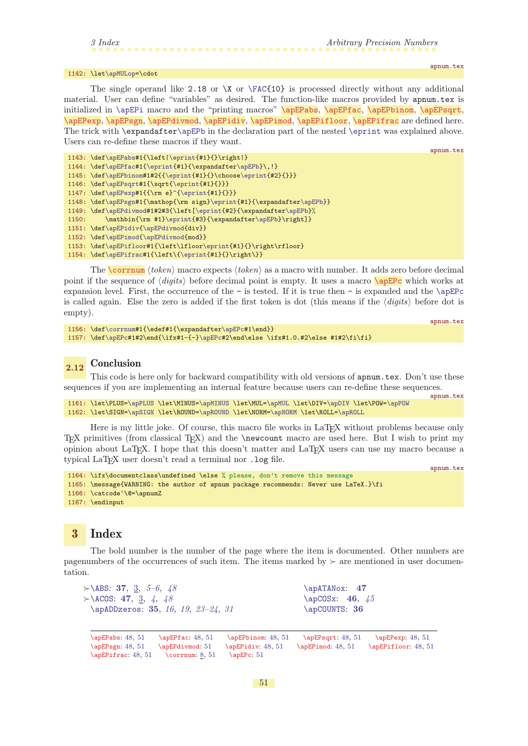#### <span id="page-50-1"></span>1142: \let[\apMULop=](#page-49-7)\cdot

<span id="page-50-13"></span><span id="page-50-11"></span><span id="page-50-4"></span><span id="page-50-3"></span><span id="page-50-2"></span>apnum.tex

apnum.tex

apnum.tex

<span id="page-50-8"></span><span id="page-50-7"></span><span id="page-50-6"></span><span id="page-50-5"></span><span id="page-50-0"></span>The single operand like 2.18 or  $X$  or  $\FAC{10}$  $\FAC{10}$  is processed directly without any additional material. User can define "variables" as desired. The function-like macros provided by apnum.tex is initialized in [\apEPi](#page-47-4) macro and the "printing macros" \apEPabs, \apEPfac, \apEPbinom, \apEPsqrt, \apEPexp, \apEPsgn, \apEPdivmod, \apEPidiv, \apEPimod, \apEPifloor, \apEPifrac are defined here. The trick with \expandafte[r\apEPb](#page-49-3) in the declaration part of the nested [\eprint](#page-47-2) was explained above. Users can re-define these macros if they want.

```
apnum.tex
1143: \def\apEPabs#1{\left|\eprint{#1}{}\right|}
1144: \def\apEPfac#1{\eprint{#1}{\expandafter\apEPb}\,!}
\apEPbinom\eprinte\eprint{#2}{}}}
1146: \def\apEPsqrt#1{\sqrt{\eprint{#1}{}}}
1147: \def\apEPexp#1{{\rm e}^{\eprint{#1}{}}}
\apEPsgn#}\eprint\apEPb}}
1149: \def\apEPdivmod#1#2#3{\left[\eprint{#2}{\expandafter\apEPb}%
\eprintr\apEPb}\right]}
\apEPidiv{\apEPdivmod{div}}
\apEPimod{\apEPdivmod{mod}}
1153: \def\apEPifloor#1{\left\lfloor\eprint{#1}{}\right\rfloor}
\apEPifrac\eprint{#1}{}\right\}}
```
<span id="page-50-12"></span>The **[\corrnum](#page-7-2)**  $\langle token \rangle$  macro expects  $\langle token \rangle$  as a macro with number. It adds zero before decimal point if the sequence of  $\langle diqits \rangle$  before decimal point is empty. It uses a macro  $\angle$ apEPc which works at expansion level. First, the occurrence of the  $-$  is tested. If it is true then  $-$  is expanded and the  $\angle$ apEPc is called again. Else the zero is added if the first token is dot (this means if the  $\langle \text{digits} \rangle$  before dot is empty).

```
\corrnum#r\apEPc#1\end}}
\apEPc#1#2\end{\ifx#1-{-}\apEPc#2\end\else \ifx#1.0.#2\else #1#2\fi\fi}
```
#### <span id="page-50-14"></span> $_{2.12}$  Conclusion

This code is here only for backward compatibility with old versions of apnum.tex. Don't use these sequences if you are implementing an internal feature because users can re-define these sequences.

```
1161: \let\PLUS=\apPLUS \let\MINUS=\apMINUS \let\MUL=\apMUL \let\DIV=\apDIV \let\POW=\apPOW
1162: \let\SIGN=\apSIGN \let\ROUND=\apROUND \let\NORM=\apNORM \let\ROLL=\apROLL
```
Here is my little joke. Of course, this macro file works in LaT<sub>E</sub>X without problems because only TEX primitives (from classical TEX) and the \newcount macro are used here. But I wish to print my opinion about LaTEX. I hope that this doesn't matter and LaTEX users can use my macro because a typical LaT<sub>E</sub>X user doesn't read a terminal nor .log file.

```
1164: \ifx\documentclass\undefined \else % please, don't remove this message
1165: \message{WARNING: the author of apnum package recommends: Never use LaTeX.}\fi
1166: \catcode'\@=\apnumZ
1167: \endinput
```
#### <span id="page-50-15"></span>3 Index

The bold number is the number of the page where the item is documented. Other numbers are pagenumbers of the occurrences of such item. The items marked by  $\succ$  are mentioned in user documentation.

```
\succ\ABS373,5–6,48
>\angle473448
 \apADDzeros: 35, 16, 19, 23–24, 31
                                                \apATANox: 47
                                                \apCOSx4645
                                                \apCOUNTS: 36
 \apEPabs: 48, 51 \apEPfac: 48, 51 \apEPbinom: 48, 51 \apEPsqrt: 48, 51 \apEPexp: 48, 51
 \apEPsgn: 48, 51 \apEPdivmod: 51 \apEPidiv: 48, 51 \apEPimod: 48, 51 \apEPifloor: 48, 51
 48,8, 51 \apEPc: 51
```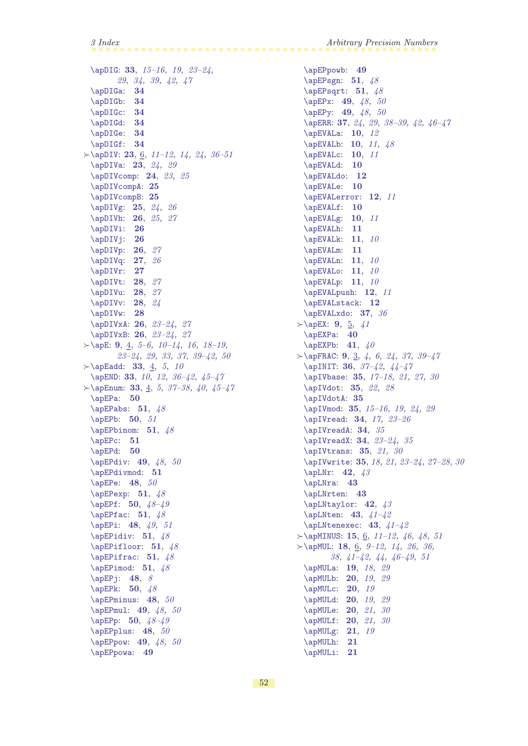[\apDIG](#page-32-10): [33](#page-32-1), [15](#page-14-1)[–16,](#page-15-1) [19,](#page-18-1) [23](#page-22-1)[–24,](#page-23-1) [29,](#page-28-1) [34,](#page-33-1) [39](#page-38-1), [42,](#page-41-1) [47](#page-46-1) [\apDIGa](#page-33-0): [34](#page-33-1) [\apDIGb](#page-33-2): [34](#page-33-1) [\apDIGc](#page-33-3): [34](#page-33-1) [\apDIGd](#page-33-4): [34](#page-33-1) [\apDIGe](#page-33-5): [34](#page-33-1) [\apDIGf](#page-33-6): [34](#page-33-1)  $\rightarrow$  [\apDIV](#page-22-0): [23](#page-22-1), [6,](#page-5-1) 11-[12](#page-11-1), [14](#page-13-1), [24,](#page-23-1) [36](#page-35-1)-51 [\apDIVa](#page-22-2): [23](#page-22-1), [24,](#page-23-1) [29](#page-28-1) [\apDIVcomp](#page-23-0): [24](#page-23-1), [23](#page-22-1), [25](#page-24-1) [\apDIVcompA](#page-24-0): [25](#page-24-1) [\apDIVcompB](#page-24-2): [25](#page-24-1) [\apDIVg](#page-24-3): [25](#page-24-1), [24,](#page-23-1) [26](#page-25-1) [\apDIVh](#page-25-0): [26](#page-25-1), [25,](#page-24-1) [27](#page-26-1) [\apDIVi](#page-25-2): [26](#page-25-1) [\apDIVj](#page-25-3): [26](#page-25-1)  $\alpha$ DIVp: [26](#page-25-1), [27](#page-26-1) [\apDIVq](#page-26-0): [27](#page-26-1), [26](#page-25-1) [\apDIVr](#page-26-2): [27](#page-26-1) [\apDIVt](#page-27-0): [28](#page-27-1), [27](#page-26-1) [\apDIVu](#page-27-2): [28](#page-27-1), [27](#page-26-1)  $\alpha$ DIVv: [28](#page-27-1), [24](#page-23-1) [\apDIVw](#page-27-5): [28](#page-27-1) [\apDIVxA](#page-25-5): [26](#page-25-1), [23](#page-22-1)[–24](#page-23-1), [27](#page-26-1) [\apDIVxB](#page-25-6): [26](#page-25-1), [23](#page-22-1)[–24](#page-23-1), [27](#page-26-1)  $\rightarrow$  [\apE](#page-8-5): [9](#page-8-1), [4,](#page-3-1) [5–](#page-4-1)[6](#page-5-1), [10–](#page-9-1)[14](#page-13-1), [16,](#page-15-1) [18–](#page-17-1)[19,](#page-18-1) [23](#page-22-1)[–24](#page-23-1), [29,](#page-28-1) [33](#page-32-1), [37,](#page-36-1) [39](#page-38-1)[–42](#page-41-1), [50](#page-49-1)  $\rightarrow$ [\apEadd](#page-32-6): [33](#page-32-1), [4](#page-3-1), [5,](#page-4-1) [10](#page-9-1) [\apEND](#page-32-9): [33](#page-32-1), [10,](#page-9-1) [12](#page-11-1), [36](#page-35-1)[–42](#page-41-1), [45–](#page-44-1)[47](#page-46-1)  $\rightarrow$  [\apEnum](#page-32-7): [33](#page-32-1), [4,](#page-3-1) [5](#page-4-1), 37-[38](#page-37-1), [40](#page-39-1), 45-[47](#page-46-1) [\apEPa](#page-49-5): [50](#page-49-1)  $\alpha$ bs: [51](#page-50-1), [48](#page-47-1) [\apEPb](#page-49-3): [50](#page-49-1), [51](#page-50-1)  $\alpha: 51, 48$  $\alpha: 51, 48$  $\alpha: 51, 48$  $\alpha: 51, 48$ [\apEPc](#page-50-13): [51](#page-50-1) [\apEPd](#page-49-6): [50](#page-49-1) [\apEPdiv](#page-48-3): [49](#page-48-1), [48,](#page-47-1) [50](#page-49-1) [\apEPdivmod](#page-50-7): [51](#page-50-1) [\apEPe](#page-47-3): [48](#page-47-1), [50](#page-49-1) [\apEPexp](#page-50-5): [51](#page-50-1),  $48$  $\alpha$  = [50](#page-49-1),  $48-49$  $48-49$  $\alpha$ : [51](#page-50-1), [48](#page-47-1) [\apEPi](#page-47-4): [48](#page-47-1), [49](#page-48-1), [51](#page-50-1)  $\alpha$ EPidiv: [51](#page-50-1), [48](#page-47-1)  $\alpha: 51, 48$  $\alpha: 51, 48$  $\alpha: 51, 48$  $\alpha: 51, 48$  $\langle$  apEPifrac: [51](#page-50-1), [48](#page-47-1)  $\alpha: 51, 48$  $\alpha: 51, 48$  $\alpha: 51, 48$  $\alpha: 51, 48$ [\apEPj](#page-47-5): [48](#page-47-1), [8](#page-7-1) [\apEPk](#page-49-2): [50](#page-49-1), [48](#page-47-1) [\apEPminus](#page-47-7): [48](#page-47-1), [50](#page-49-1) [\apEPmul](#page-48-2): [49](#page-48-1), [48,](#page-47-1) [50](#page-49-1)  $\alpha$  = [50](#page-49-1),  $48-49$  $48-49$ [\apEPplus](#page-47-6): [48](#page-47-1), [50](#page-49-1) [\apEPpow](#page-48-4): [49](#page-48-1), [48,](#page-47-1) [50](#page-49-1)

[\apEPpowa](#page-48-6): [49](#page-48-1)

[\apEPpowb](#page-48-7): [49](#page-48-1) [\apEPsgn](#page-50-6): [51](#page-50-1), [48](#page-47-1)  $\alpha$ FPsqrt: [51](#page-50-1), [48](#page-47-1) [\apEPx](#page-48-0): [49](#page-48-1), [48,](#page-47-1) [50](#page-49-1) [\apEPy](#page-48-5): [49](#page-48-1), [48,](#page-47-1) [50](#page-49-1) [\apERR](#page-36-3): [37](#page-36-1), [24](#page-23-1), [29,](#page-28-1) [38–](#page-37-1)[39](#page-38-1), [42](#page-41-1), [46–](#page-45-1)[47](#page-46-1) [\apEVALa](#page-9-3): [10](#page-9-1), [12](#page-11-1) [\apEVALb](#page-9-5): [10](#page-9-1), [11](#page-10-1), [48](#page-47-1) [\apEVALc](#page-9-6): [10](#page-9-1), [11](#page-10-1) [\apEVALd](#page-9-7): [10](#page-9-1) [\apEVALdo](#page-11-3): [12](#page-11-1) [\apEVALe](#page-9-8): [10](#page-9-1) [\apEVALerror](#page-11-4): [12](#page-11-1), [11](#page-10-1) [\apEVALf](#page-9-9): [10](#page-9-1) [\apEVALg](#page-9-10): [10](#page-9-1), [11](#page-10-1) [\apEVALh](#page-10-0): [11](#page-10-1)  $\alpha EVALk: 11, 10$  $\alpha EVALk: 11, 10$  $\alpha EVALk: 11, 10$  $\alpha EVALk: 11, 10$ [\apEVALm](#page-10-3): [11](#page-10-1)  $\alpha$ EVALn: [11](#page-10-1), [10](#page-9-1)  $\Delta$ DEVALo: [11](#page-10-1), [10](#page-9-1)  $\alpha$  |  $\alpha$  |  $\alpha$  |  $\alpha$  |  $\alpha$  |  $\alpha$  |  $\alpha$  |  $\alpha$  |  $\alpha$  |  $\alpha$  |  $\alpha$  |  $\alpha$  |  $\alpha$  |  $\alpha$  |  $\alpha$  |  $\alpha$  |  $\alpha$  |  $\alpha$  |  $\alpha$  |  $\alpha$  |  $\alpha$  |  $\alpha$  |  $\alpha$  |  $\alpha$  |  $\alpha$  |  $\alpha$  |  $\alpha$  |  $\alpha$  |  $\alpha$  |  $\alpha$  |  $\alpha$  |  $\alpha$ [\apEVALpush](#page-11-2): [12](#page-11-1), [11](#page-10-1) [\apEVALstack](#page-11-0): [12](#page-11-1) [\apEVALxdo](#page-36-0): [37](#page-36-1), [36](#page-35-1)  $\rightarrow$ [\apEX](#page-8-8): [9](#page-8-1), [5](#page-4-1), [41](#page-40-1) [\apEXPa](#page-39-2): [40](#page-39-1)  $\alpha$  EXPb: [41](#page-40-1), [40](#page-39-1)  $\rightarrow$  [\apFRAC](#page-8-7): [9](#page-8-1), [3](#page-2-1), [4](#page-3-1), [6,](#page-5-1) [24](#page-23-1), [37](#page-36-1), 39-[47](#page-46-1) [\apINIT](#page-35-6): [36](#page-35-1), [37](#page-36-1)[–42](#page-41-1), [44–](#page-43-1)[47](#page-46-1) [\apIVbase](#page-34-3): [35](#page-34-1), [17–](#page-16-1)[18,](#page-17-1) [21,](#page-20-1) [27](#page-26-1), [30](#page-29-1) [\apIVdot](#page-34-5): [35](#page-34-1), [22](#page-21-1), [28](#page-27-1) [\apIVdotA](#page-34-6): [35](#page-34-1) [\apIVmod](#page-34-4): [35](#page-34-1), [15–](#page-14-1)[16](#page-15-1), [19,](#page-18-1) [24](#page-23-1), [29](#page-28-1) [\apIVread](#page-33-7): **[34](#page-33-1)**, *[17](#page-16-1), 23-[26](#page-25-1)* [\apIVreadA](#page-33-8): [34](#page-33-1), [35](#page-34-1) [\apIVreadX](#page-33-10): [34](#page-33-1), 23-[24,](#page-23-1) [35](#page-34-1) [\apIVtrans](#page-34-2): **[35](#page-34-1)**, *[21](#page-20-1)*, *[30](#page-29-1)* [\apIVwrite](#page-34-0): [35](#page-34-1), [18](#page-17-1), [21](#page-20-1), [23–](#page-22-1)[24,](#page-23-1) [27–](#page-26-1)[28](#page-27-1), [30](#page-29-1) [\apLNr](#page-41-2): [42](#page-41-1), [43](#page-42-1) [\apLNra](#page-42-0): [43](#page-42-1) [\apLNrten](#page-42-2): [43](#page-42-1) [\apLNtaylor](#page-41-0): [42](#page-41-1), [43](#page-42-1)  $\alpha: 43, 41-42$  $\alpha: 43, 41-42$  $\alpha: 43, 41-42$  $\alpha: 43, 41-42$  $\alpha$ 1-42  $\rightarrow$  [\apMINUS](#page-14-2): [15](#page-14-1), [6](#page-5-1), [11](#page-10-1)-12, [46,](#page-45-1) [48](#page-47-1), [51](#page-50-1)  $\rightarrow$  [\apMUL](#page-17-6): [18](#page-17-1), [6,](#page-5-1) 9-[12,](#page-11-1) [14,](#page-13-1) [26,](#page-25-1) [36](#page-35-1), [38,](#page-37-1) [41](#page-40-1)[–42,](#page-41-1) [44,](#page-43-1) [46](#page-45-1)–[49,](#page-48-1) [51](#page-50-1) [\apMULa](#page-18-0): **[19](#page-18-1)**, *[18](#page-17-1)*, *[29](#page-28-1)* [\apMULb](#page-19-0): [20](#page-19-1), [19](#page-18-1), [29](#page-28-1) [\apMULc](#page-19-2): [20](#page-19-1), [19](#page-18-1) [\apMULd](#page-19-3): [20](#page-19-1), [19](#page-18-1), [29](#page-28-1) [\apMULe](#page-19-4): [20](#page-19-1), [21](#page-20-1), [30](#page-29-1) [\apMULf](#page-19-5): [20](#page-19-1), [21](#page-20-1), [30](#page-29-1) [\apMULg](#page-20-0):  $21, 19$  $21, 19$  $21, 19$ [\apMULh](#page-20-2): [21](#page-20-1) [\apMULi](#page-20-3): [21](#page-20-1)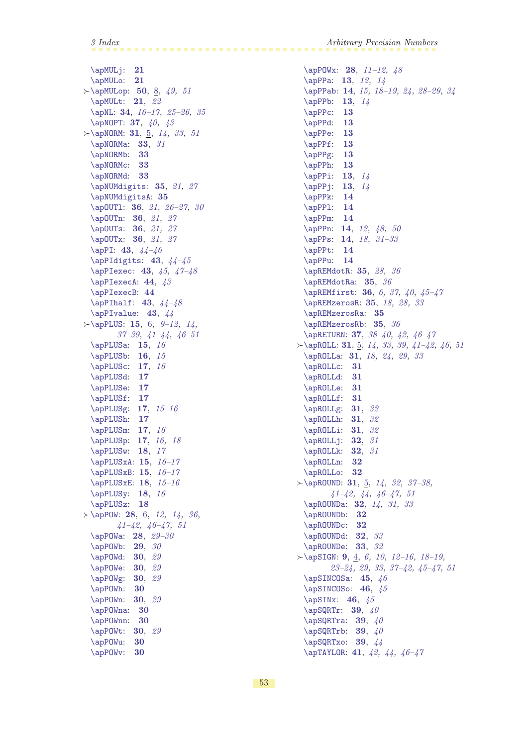# 3 Index Arbitrary Precision Numbers

[\apMULj](#page-20-4): [21](#page-20-1) [\apMULo](#page-20-5): [21](#page-20-1)  $\rightarrow$ [\apMULop](#page-49-7): [50](#page-49-1), [8,](#page-7-1) [49,](#page-48-1) [51](#page-50-1) [\apMULt](#page-20-6): [21](#page-20-1), [22](#page-21-1) [\apNL](#page-33-9): [34](#page-33-1), [16–](#page-15-1)[17,](#page-16-1) [25](#page-24-1)[–26](#page-25-1), [35](#page-34-1) [\apNOPT](#page-36-4): [37](#page-36-1),  $40, 43$  $40, 43$  $40, 43$  $\succ$  [\apNORM](#page-30-4): [31](#page-30-1), [5](#page-4-1), [14](#page-13-1), [33,](#page-32-1) [51](#page-50-1) [\apNORMa](#page-32-2): [33](#page-32-1), [31](#page-30-1) [\apNORMb](#page-32-3): [33](#page-32-1) [\apNORMc](#page-32-4): [33](#page-32-1) [\apNORMd](#page-32-5): [33](#page-32-1) [\apNUMdigits](#page-34-7): [35](#page-34-1), [21](#page-20-1), [27](#page-26-1) [\apNUMdigitsA](#page-34-8): [35](#page-34-1) [\apOUTl](#page-35-4): [36](#page-35-1), [21,](#page-20-1) [26–](#page-25-1)[27](#page-26-1), [30](#page-29-1) \ap0UTn: [36](#page-35-1), [21,](#page-20-1) [27](#page-26-1) \ap0UTs: [36](#page-35-1), [21,](#page-20-1) [27](#page-26-1) \ap0UTx: [36](#page-35-1), [21,](#page-20-1) [27](#page-26-1) [\apPI](#page-42-8): [43](#page-42-1), [44](#page-43-1)[–46](#page-45-1)  $\alpha$ PIdigits: [43](#page-42-1),  $44-45$  $44-45$  $\ap{\angle}$ PIexec: [43](#page-42-1), [45,](#page-44-1) [47](#page-46-1)-48 [\apPIexecA](#page-43-0): [44](#page-43-1), [43](#page-42-1) [\apPIexecB](#page-43-2): [44](#page-43-1)  $\alpha 1f: 43, 44-48$  $\alpha 1f: 43, 44-48$  $\alpha 1f: 43, 44-48$  $\alpha 1f: 43, 44-48$  $\alpha$ 10.[44](#page-43-1)  $\succ \ap{\text{apPLUS: 15, 6, 9-12, 14}}$  $\succ \ap{\text{apPLUS: 15, 6, 9-12, 14}}$  $\succ \ap{\text{apPLUS: 15, 6, 9-12, 14}}$  $\succ \ap{\text{apPLUS: 15, 6, 9-12, 14}}$  $\succ \ap{\text{apPLUS: 15, 6, 9-12, 14}}$  $\succ \ap{\text{apPLUS: 15, 6, 9-12, 14}}$  $\succ \ap{\text{apPLUS: 15, 6, 9-12, 14}}$ [37](#page-36-1)[–39](#page-38-1), [41–](#page-40-1)[44,](#page-43-1) [46](#page-45-1)[–51](#page-50-1)  $\alpha: 15, 16$  $\alpha: 15, 16$  $\alpha: 15, 16$  $\alpha: 15, 16$  $\alpha$ PLUSb: [16](#page-15-1), [15](#page-14-1) [\apPLUSc](#page-16-0): [17](#page-16-1), [16](#page-15-1) [\apPLUSd](#page-16-5): [17](#page-16-1) [\apPLUSe](#page-16-2): [17](#page-16-1) [\apPLUSf](#page-16-6): [17](#page-16-1) [\apPLUSg](#page-16-4): [17](#page-16-1), [15](#page-14-1)[–16](#page-15-1) [\apPLUSh](#page-16-3): [17](#page-16-1) [\apPLUSm](#page-16-7): [17](#page-16-1), [16](#page-15-1) [\apPLUSp](#page-16-8): **[17](#page-16-1)**, *16*, *[18](#page-17-1)*  $\alpha$ : [18](#page-17-1), [17](#page-16-1) [\apPLUSxA](#page-14-4): [15](#page-14-1), [16](#page-15-1)[–17](#page-16-1)  $\alpha$ PLUSxB: [15](#page-14-1),  $16-17$  $16-17$ [\apPLUSxE](#page-17-4): [18](#page-17-1), [15](#page-14-1)[–16](#page-15-1) [\apPLUSy](#page-17-2): [18](#page-17-1), [16](#page-15-1) [\apPLUSz](#page-17-3): [18](#page-17-1)  $\succ \ap{\text{appow: } 28, 6, 12, 14, 36,}$  $\succ \ap{\text{appow: } 28, 6, 12, 14, 36,}$  $\succ \ap{\text{appow: } 28, 6, 12, 14, 36,}$  $\succ \ap{\text{appow: } 28, 6, 12, 14, 36,}$  $\succ \ap{\text{appow: } 28, 6, 12, 14, 36,}$  $\succ \ap{\text{appow: } 28, 6, 12, 14, 36,}$  $\succ \ap{\text{appow: } 28, 6, 12, 14, 36,}$  $\succ \ap{\text{appow: } 28, 6, 12, 14, 36,}$  $\succ \ap{\text{appow: } 28, 6, 12, 14, 36,}$  $\succ \ap{\text{appow: } 28, 6, 12, 14, 36,}$  $\succ \ap{\text{appow: } 28, 6, 12, 14, 36,}$ [41](#page-40-1)[–42](#page-41-1), [46](#page-45-1)[–47](#page-46-1), [51](#page-50-1) [\apPOWa](#page-27-9): [28](#page-27-1), [29](#page-28-1)[–30](#page-29-1)  $\alpha$ POWb: [29](#page-28-1), [30](#page-29-1) [\apPOWd](#page-29-0): [30](#page-29-1), [29](#page-28-1) [\apPOWe](#page-29-2): [30](#page-29-1), [29](#page-28-1) [\apPOWg](#page-29-3): [30](#page-29-1), [29](#page-28-1) [\apPOWh](#page-29-4): [30](#page-29-1) [\apPOWn](#page-29-5): **[30](#page-29-1)**, [29](#page-28-1) [\apPOWna](#page-29-6): [30](#page-29-1) [\apPOWnn](#page-29-7): [30](#page-29-1) [\apPOWt](#page-29-8): [30](#page-29-1), [29](#page-28-1) [\apPOWu](#page-29-9): [30](#page-29-1) [\apPOWv](#page-29-10): [30](#page-29-1)

[\apPOWx](#page-27-8): [28](#page-27-1), [11](#page-10-1)–[12,](#page-11-1) [48](#page-47-1) [\apPPa](#page-12-0): [13](#page-12-1), [12,](#page-11-1) [14](#page-13-1) [\apPPab](#page-13-5): [14](#page-13-1), [15,](#page-14-1) [18–](#page-17-1)[19](#page-18-1), [24](#page-23-1), [28](#page-27-1)[–29,](#page-28-1) [34](#page-33-1) [\apPPb](#page-12-2): [13](#page-12-1), [14](#page-13-1) [\apPPc](#page-12-3): [13](#page-12-1) [\apPPd](#page-12-4): [13](#page-12-1) [\apPPe](#page-12-5): [13](#page-12-1) [\apPPf](#page-12-6): [13](#page-12-1) [\apPPg](#page-12-7): [13](#page-12-1) [\apPPh](#page-12-8): [13](#page-12-1) [\apPPi](#page-12-9): [13](#page-12-1), [14](#page-13-1) [\apPPj](#page-12-10): [13](#page-12-1), [14](#page-13-1) [\apPPk](#page-13-0): [14](#page-13-1) [\apPPl](#page-13-2): [14](#page-13-1) [\apPPm](#page-13-3): [14](#page-13-1) [\apPPn](#page-13-4): [14](#page-13-1), [12](#page-11-1), [48](#page-47-1), [50](#page-49-1) [\apPPs](#page-13-6): [14](#page-13-1), [18,](#page-17-1) [31](#page-30-1)[–33](#page-32-1) [\apPPt](#page-13-7): [14](#page-13-1) [\apPPu](#page-13-8): [14](#page-13-1) [\apREMdotR](#page-34-13): [35](#page-34-1), [28](#page-27-1), [36](#page-35-1) [\apREMdotRa](#page-34-14): [35](#page-34-1), [36](#page-35-1) [\apREMfirst](#page-35-0): [36](#page-35-1), [6,](#page-5-1) [37](#page-36-1), [40,](#page-39-1) [45](#page-44-1)[–47](#page-46-1) [\apREMzerosR](#page-34-10): [35](#page-34-1), [18](#page-17-1), [28,](#page-27-1) [33](#page-32-1) [\apREMzerosRa](#page-34-11): [35](#page-34-1) [\apREMzerosRb](#page-34-12): [35](#page-34-1), [36](#page-35-1) [\apRETURN](#page-36-2): [37](#page-36-1), [38](#page-37-1)[–40](#page-39-1), [42](#page-41-1), [46–](#page-45-1)[47](#page-46-1)  $\rightarrow$  [\apROLL](#page-30-2): [31](#page-30-1), [5,](#page-4-1) [14,](#page-13-1) [33,](#page-32-1) [39,](#page-38-1) [41](#page-40-1)-42, [46](#page-45-1), [51](#page-50-1) [\apROLLa](#page-30-5): [31](#page-30-1), [18,](#page-17-1) [24,](#page-23-1) [29,](#page-28-1) [33](#page-32-1) [\apROLLc](#page-30-6): [31](#page-30-1) [\apROLLd](#page-30-7): [31](#page-30-1) [\apROLLe](#page-30-8): [31](#page-30-1) [\apROLLf](#page-30-9): [31](#page-30-1) [\apROLLg](#page-30-10): [31](#page-30-1), [32](#page-31-1) [\apROLLh](#page-30-11): [31](#page-30-1), [32](#page-31-1) [\apROLLi](#page-30-12): [31](#page-30-1), [32](#page-31-1) [\apROLLj](#page-31-0): [32](#page-31-1), [31](#page-30-1) [\apROLLk](#page-31-2): **[32](#page-31-1)**, [31](#page-30-1) [\apROLLn](#page-31-3): [32](#page-31-1) [\apROLLo](#page-31-4): [32](#page-31-1)  $\succ \apaket{ap{\textsf{A}} \textsf{B}}$ : [31](#page-30-1), [5,](#page-4-1) [14](#page-13-1), [32](#page-31-1), 37-[38,](#page-37-1) [41–](#page-40-1)[42,](#page-41-1) [44](#page-43-1), [46](#page-45-1)–[47,](#page-46-1) [51](#page-50-1) [\apROUNDa](#page-31-5): **[32](#page-31-1)**, [14,](#page-13-1) [31](#page-30-1), [33](#page-32-1) [\apROUNDb](#page-31-6): [32](#page-31-1) [\apROUNDc](#page-31-7): [32](#page-31-1) [\apROUNDd](#page-31-8): [32](#page-31-1), [33](#page-32-1) [\apROUNDe](#page-32-0): [33](#page-32-1), [32](#page-31-1)  $\rightarrow$  [\apSIGN](#page-8-4): [9](#page-8-1), [4,](#page-3-1) [6,](#page-5-1) [10](#page-9-1), 12-[16](#page-15-1), 18-[19](#page-18-1), [23–](#page-22-1)[24,](#page-23-1) [29,](#page-28-1) [33,](#page-32-1) [37](#page-36-1)[–42](#page-41-1), [45](#page-44-1)[–47,](#page-46-1) [51](#page-50-1)  $\alpha: 45, 46$  $\alpha: 45, 46$  $\alpha: 45, 46$  $\alpha: 45, 46$  $\alpha$ SINCOSo: [46](#page-45-1), [45](#page-44-1) [\apSINx](#page-45-0): [46](#page-45-1), [45](#page-44-1)  $\alpha$ PSQRTr: [39](#page-38-1), [40](#page-39-1)  $\alpha: 39, 40$  $\alpha: 39, 40$  $\alpha: 39, 40$  $\alpha: 39, 40$  $\alpha$ SQRTrb: [39](#page-38-1), [40](#page-39-1) [\apSQRTxo](#page-38-2): **[39](#page-38-1)**, [44](#page-43-1) [\apTAYLOR](#page-40-0): [41](#page-40-1), [42,](#page-41-1) [44,](#page-43-1) [46](#page-45-1)[–47](#page-46-1)